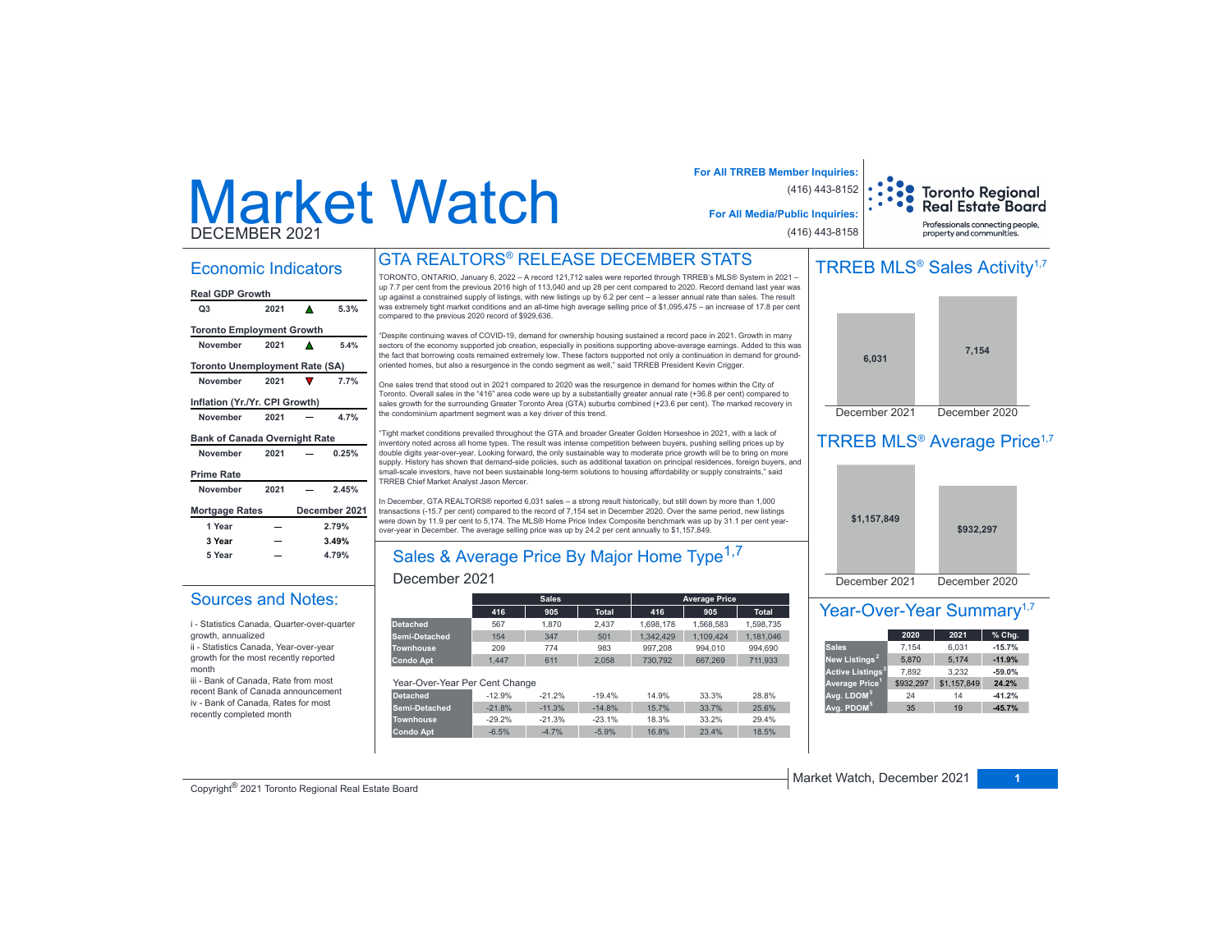# Market WatchDECEMBER 2021

### Economic Indicators

|  | Real GDP Growth |  |
|--|-----------------|--|

| וואטוט זעט וואסו                      |      |   |               |
|---------------------------------------|------|---|---------------|
| Q3                                    | 2021 | А | 5.3%          |
| <b>Toronto Employment Growth</b>      |      |   |               |
| November                              | 2021 |   | 5.4%          |
| <b>Toronto Unemployment Rate (SA)</b> |      |   |               |
| November                              | 2021 |   | 7.7%          |
| Inflation (Yr./Yr. CPI Growth)        |      |   |               |
| November                              | 2021 |   | 4.7%          |
|                                       |      |   |               |
| <b>Bank of Canada Overnight Rate</b>  |      |   |               |
| November                              | 2021 |   | 0.25%         |
| <b>Prime Rate</b>                     |      |   |               |
| November                              | 2021 |   | 2.45%         |
| <b>Mortgage Rates</b>                 |      |   | December 2021 |
| 1 Year                                |      |   | 2.79%         |
| 3 Year                                |      |   | 3.49%         |
| 5 Year                                |      |   | 4.79%         |

Sources and Notes: i - Statistics Canada, Quarter-over-quarter

ii - Statistics Canada, Year-over-year growth for the most recently reported

iii - Bank of Canada, Rate from most recent Bank of Canada announcement iv - Bank of Canada, Rates for most recently completed month

growth, annualized

month

## GTA REALTORS® RELEASE DECEMBER STATS

TORONTO, ONTARIO, January 6, 2022 - A record 121,712 sales were reported through TRREB's MLS® System in 2021 up 7.7 per cent from the previous 2016 high of 113,040 and up 28 per cent compared to 2020. Record demand last year was up against a constrained supply of listings, with new listings up by 6.2 per cent - a lesser annual rate than sales. The result was extremely tight market conditions and an all-time high average selling price of \$1,095,475 - an increase of 17.8 per cent compared to the previous 2020 record of \$929,636.

"Despite continuing waves of COVID-19, demand for ownership housing sustained a record pace in 2021. Growth in many sectors of the economy supported job creation, especially in positions supporting above-average earnings. Added to this was the fact that borrowing costs remained extremely low. These factors supported not only a continuation in demand for groundoriented homes, but also a resurgence in the condo segment as well," said TRREB President Kevin Crigger.

One sales trend that stood out in 2021 compared to 2020 was the resurgence in demand for homes within the City of Toronto. Overall sales in the "416" area code were up by a substantially greater annual rate (+36.8 per cent) compared to sales growth for the surrounding Greater Toronto Area (GTA) suburbs combined (+23.6 per cent). The marked recovery in the condominium apartment segment was a key driver of this trend.

"Tight market conditions prevailed throughout the GTA and broader Greater Golden Horseshoe in 2021, with a lack of inventory noted across all home types. The result was intense competition between buyers, pushing selling prices up by double digits year-over-year. Looking forward, the only sustainable way to moderate price growth will be to bring on more supply. History has shown that demand-side policies, such as additional taxation on principal residences, foreign buyers, and small-scale investors, have not been sustainable long-term solutions to housing affordability or supply constraints," said TRREB Chief Market Analyst Jason Mercer.

In December, GTA REALTORS® reported 6,031 sales - a strong result historically, but still down by more than 1,000 transactions (-15.7 per cent) compared to the record of 7,154 set in December 2020. Over the same period, new listings were down by 11.9 per cent to 5,174. The MLS® Home Price Index Composite benchmark was up by 31.1 per cent yearover-year in December. The average selling price was up by 24.2 per cent annually to \$1,157,849.

# Sales & Average Price By Major Home Type<sup>1,7</sup>

### December 2021

|                                |          | <b>Sales</b> |              |           | <b>Average Price</b> |              |
|--------------------------------|----------|--------------|--------------|-----------|----------------------|--------------|
|                                | 416      | 905          | <b>Total</b> | 416       | 905                  | <b>Total</b> |
| <b>Detached</b>                | 567      | 1.870        | 2.437        | 1.698.178 | 1.568.583            | 1.598.735    |
| Semi-Detached                  | 154      | 347          | 501          | 1.342.429 | 1.109.424            | 1.181.046    |
| <b>Townhouse</b>               | 209      | 774          | 983          | 997.208   | 994.010              | 994.690      |
| <b>Condo Apt</b>               | 1.447    | 611          | 2.058        | 730.792   | 667.269              | 711.933      |
| Year-Over-Year Per Cent Change |          |              |              |           |                      |              |
| <b>Detached</b>                | $-12.9%$ | $-21.2%$     | $-19.4%$     | 14.9%     | 33.3%                | 28.8%        |
| Semi-Detached                  | $-21.8%$ | $-11.3%$     | $-14.8%$     | 15.7%     | 33.7%                | 25.6%        |
| <b>Townhouse</b>               | $-29.2%$ | $-21.3%$     | $-23.1%$     | 18.3%     | 33.2%                | 29.4%        |
| <b>Condo Apt</b>               | $-6.5%$  | $-4.7%$      | $-5.9%$      | 16.8%     | 23.4%                | 18.5%        |

#### **For All TRREB Member Inquiries:** (416) 443-8152 **Toronto Regional Real Estate Board For All Media/Public Inquiries:** Professionals connecting people (416) 443-8158 property and communities.

# TRREB MLS<sup>®</sup> Sales Activity<sup>1,7</sup>



# TRREB MLS<sup>®</sup> Average Price<sup>1,7</sup>



### Year-Over-Year Summary<sup>1,7</sup>

|                              | 2020      | 2021        | % Chg.   |
|------------------------------|-----------|-------------|----------|
| <b>Sales</b>                 | 7.154     | 6.031       | $-15.7%$ |
| New Listings <sup>2</sup>    | 5.870     | 5.174       | $-11.9%$ |
| Active Listings <sup>3</sup> | 7.892     | 3.232       | $-59.0%$ |
| Average Price <sup>1</sup>   | \$932.297 | \$1,157,849 | 24.2%    |
| Avg. LDOM <sup>5</sup>       | 24        | 14          | $-41.2%$ |
| Avg. PDOM <sup>5</sup>       | 35        | 19          | $-45.7%$ |

Copyright® 2021 Toronto Regional Real Estate Board

Market Watch, December 2021 **1**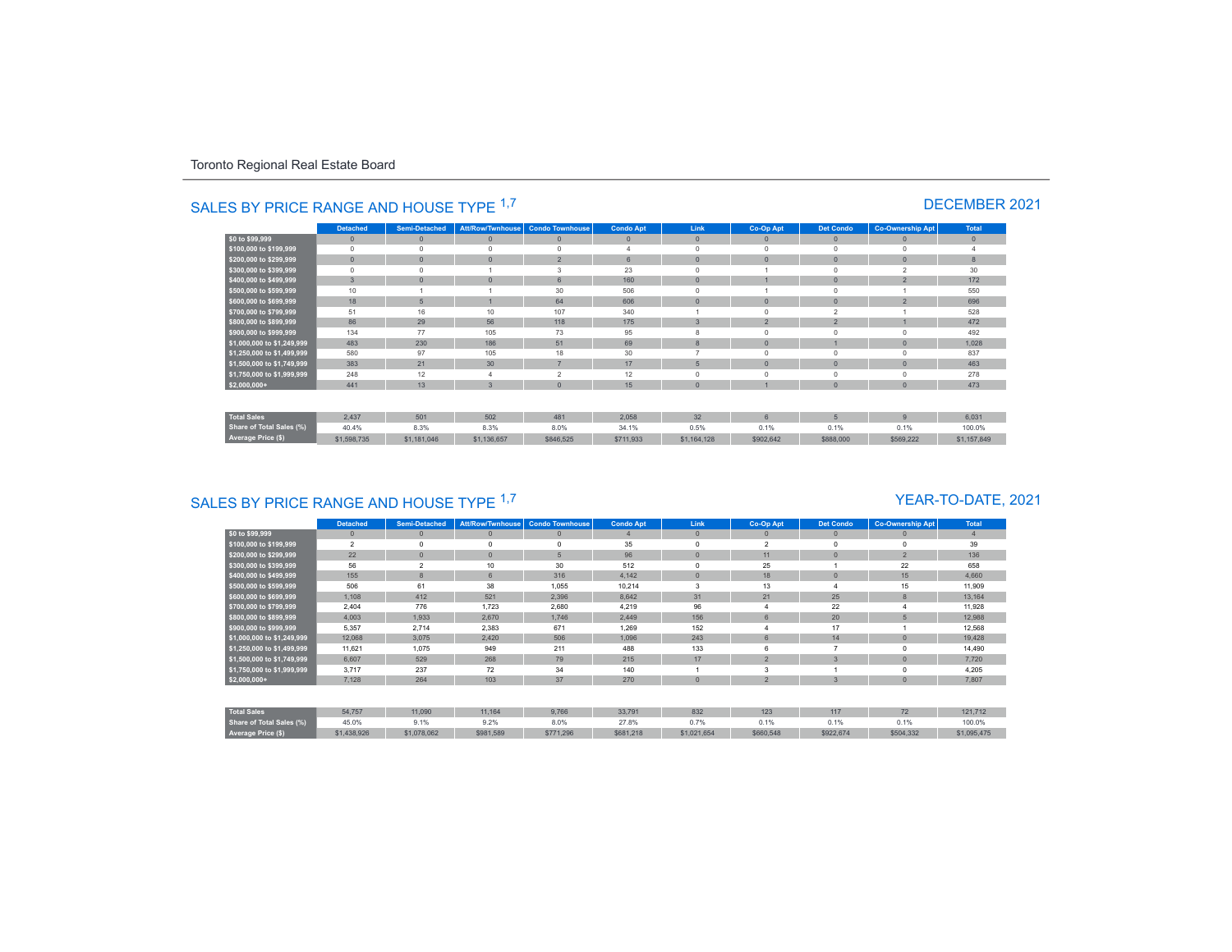|                                 | <b>Detached</b> | <b>Semi-Detached</b> | Att/Row/Twnhouse | <b>Condo Townhouse</b>   | <b>Condo Apt</b> | Link           | Co-Op Apt      | <b>Det Condo</b>        | <b>Co-Ownership Apt</b>  | Total        |
|---------------------------------|-----------------|----------------------|------------------|--------------------------|------------------|----------------|----------------|-------------------------|--------------------------|--------------|
| \$0 to \$99,999                 | $\mathbf{0}$    | $\mathbf{0}$         | $\mathbf{0}$     | $\theta$                 | $\mathbf{0}$     | $\mathbf{0}$   | $\Omega$       | $\mathbf{0}$            | $\Omega$                 | $\mathbf{0}$ |
| \$100,000 to \$199,999          | $\circ$         | $\Omega$             | $\Omega$         | $\Omega$                 |                  | $\Omega$       | $\Omega$       | $\Omega$                | $\Omega$                 |              |
| \$200,000 to \$299,999          | $\mathbf{0}$    | $\overline{0}$       | $\Omega$         | $\overline{2}$           | 6                | $\overline{0}$ |                | $\overline{0}$          | $\Omega$                 | 8            |
| \$300,000 to \$399,999          | $^{\circ}$      | $\Omega$             |                  | 3                        | 23               |                |                |                         | $\overline{\phantom{a}}$ | 30           |
| \$400,000 to \$499,999          | $\mathbf{3}$    | $\Omega$             | $\Omega$         | 6                        | 160              | $\overline{0}$ |                | $\Omega$                | $\overline{2}$           | 172          |
| \$500,000 to \$599,999          | 10              |                      |                  | 30                       | 506              |                |                |                         |                          | 550          |
| \$600,000 to \$699,999          | 18              | 5                    |                  | 64                       | 606              | $\mathbf{0}$   | $\Omega$       | $\Omega$                | $\overline{2}$           | 696          |
| \$700,000 to \$799,999          | 51              | 16                   | 10               | 107                      | 340              |                |                | $\overline{2}$          |                          | 528          |
| \$800,000 to \$899,999          | 86              | 29                   | 56               | 118                      | 175              | 3              | $\overline{2}$ | $\overline{\mathbf{z}}$ |                          | 472          |
| \$900,000 to \$999,999          | 134             | 77                   | 105              | 73                       | 95               | 8              | $\Omega$       |                         |                          | 492          |
| \$1,000,000 to \$1,249,999      | 483             | 230                  | 186              | 51                       | 69               | 8              | $\Omega$       |                         | $\Omega$                 | 1,028        |
| \$1,250,000 to \$1,499,999      | 580             | 97                   | 105              | 18                       | 30               | ۰              |                |                         |                          | 837          |
| \$1,500,000 to \$1,749,999      | 383             | 21                   | 30               | $\overline{7}$           | 17               | 5              | $\Omega$       | $\Omega$                | $\Omega$                 | 463          |
| \$1,750,000 to \$1,999,999      | 248             | 12                   |                  | $\overline{\phantom{a}}$ | 12               | $\Omega$       |                | $\Omega$                |                          | 278          |
| $$2,000,000+$                   | 441             | 13                   | $\overline{3}$   | $\overline{0}$           | 15               | $\overline{0}$ |                | $\Omega$                | $\Omega$                 | 473          |
|                                 |                 |                      |                  |                          |                  |                |                |                         |                          |              |
| <b>Total Sales</b>              | 2.437           | 501                  | 502              | 481                      | 2.058            | 32             | $\hat{p}$      | 5                       | $\mathfrak{g}$           | 6.031        |
| <b>Share of Total Sales (%)</b> | 40.4%           | 8.3%                 | 8.3%             | 8.0%                     | 34.1%            | 0.5%           | 0.1%           | 0.1%                    | 0.1%                     | 100.0%       |
| Average Price (\$)              | \$1,598,735     | \$1,181,046          | \$1,136,657      | \$846,525                | \$711,933        | \$1,164,128    | \$902,642      | \$888,000               | \$569,222                | \$1,157,849  |

# SALES BY PRICE RANGE AND HOUSE TYPE <sup>1,7</sup> DECEMBER 2021

# SALES BY PRICE RANGE AND HOUSE TYPE <sup>1,7</sup>

### YEAR-TO-DATE, 2021

|                                 | <b>Detached</b> | <b>Semi-Detached</b> | Att/Row/Twnhouse | <b>Condo Townhouse</b> | <b>Condo Apt</b> | Link         | Co-Op Apt      | <b>Det Condo</b> | <b>Co-Ownership Apt</b> | Total          |
|---------------------------------|-----------------|----------------------|------------------|------------------------|------------------|--------------|----------------|------------------|-------------------------|----------------|
| \$0 to \$99,999                 | $\mathbf{0}$    | $\Omega$             | $\mathbf{0}$     | $\mathbf{0}$           |                  | $\mathbf{0}$ | $\mathbf{0}$   | $\circ$          | $\Omega$                | $\overline{4}$ |
| \$100,000 to \$199,999          | $\overline{2}$  |                      | $\mathbf 0$      | $\Omega$               | 35               | $\mathbf 0$  | $\overline{2}$ | $\mathbf 0$      |                         | 39             |
| \$200,000 to \$299,999          | 22              | $\Omega$             | $\Omega$         | 5                      | 96               | $\mathbf{0}$ | 11             | $\mathbf{0}$     | $\overline{2}$          | 136            |
| \$300,000 to \$399,999          | 56              | $\mathfrak{p}$       | 10               | 30                     | 512              | $\Omega$     | 25             |                  | 22                      | 658            |
| \$400,000 to \$499,999          | 155             | 8                    | 6                | 316                    | 4.142            | $\mathbf{0}$ | 18             | $\mathbf{0}$     | 15                      | 4,660          |
| \$500,000 to \$599,999          | 506             | 61                   | 38               | 1,055                  | 10,214           | 3            | 13             |                  | 15                      | 11,909         |
| \$600,000 to \$699,999          | 1,108           | 412                  | 521              | 2,396                  | 8,642            | 31           | 21             | 25               | 8                       | 13,164         |
| \$700,000 to \$799,999          | 2,404           | 776                  | 1,723            | 2,680                  | 4,219            | 96           |                | 22               |                         | 11,928         |
| \$800,000 to \$899,999          | 4,003           | 1,933                | 2,670            | 1,746                  | 2,449            | 156          |                | 20               |                         | 12,988         |
| \$900,000 to \$999,999          | 5,357           | 2,714                | 2,383            | 671                    | 1,269            | 152          |                | 17               |                         | 12,568         |
| \$1,000,000 to \$1,249,999      | 12,068          | 3,075                | 2,420            | 506                    | 1.096            | 243          |                | 14               |                         | 19,428         |
| \$1,250,000 to \$1,499,999      | 11,621          | 1,075                | 949              | 211                    | 488              | 133          |                |                  |                         | 14,490         |
| \$1,500,000 to \$1,749,999      | 6,607           | 529                  | 268              | 79                     | 215              | 17           | $\overline{2}$ | 3                |                         | 7,720          |
| \$1,750,000 to \$1,999,999      | 3,717           | 237                  | 72               | 34                     | 140              |              |                |                  |                         | 4,205          |
| $$2,000,000+$                   | 7,128           | 264                  | 103              | 37                     | 270              | $\mathbf{0}$ | $\overline{2}$ | 3                |                         | 7,807          |
|                                 |                 |                      |                  |                        |                  |              |                |                  |                         |                |
| <b>Total Sales</b>              | 54,757          | 11,090               | 11,164           | 9,766                  | 33,791           | 832          | 123            | 117              | 72                      | 121,712        |
| <b>Share of Total Sales (%)</b> | 45.0%           | 9.1%                 | 9.2%             | 8.0%                   | 27.8%            | 0.7%         | 0.1%           | 0.1%             | 0.1%                    | 100.0%         |
| Average Price (\$)              | \$1,438,926     | \$1,078,062          | \$981,589        | \$771,296              | \$681,218        | \$1,021,654  | \$660,548      | \$922,674        | \$504,332               | \$1,095,475    |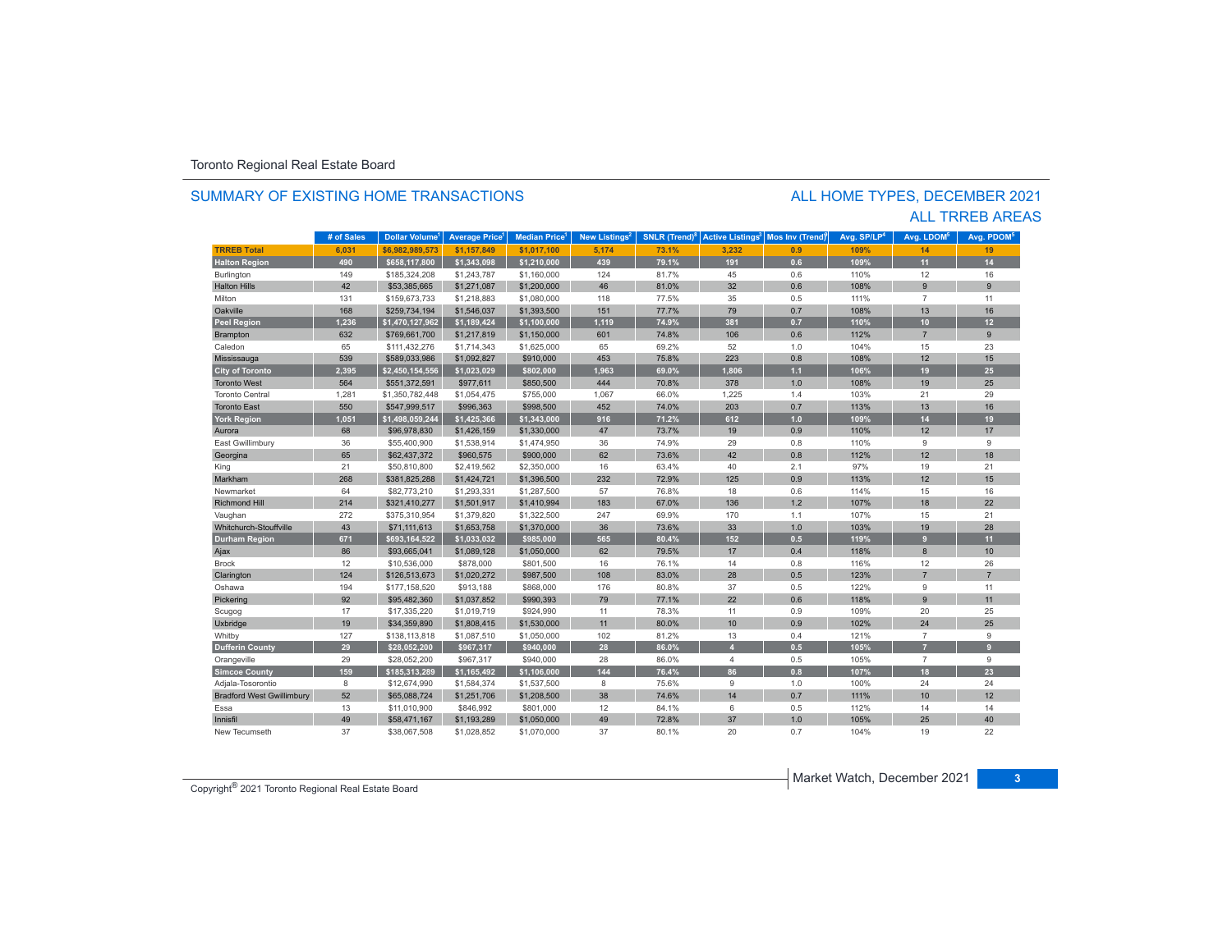### SUMMARY OF EXISTING HOME TRANSACTIONS

### ALL TRREB AREAS ALL HOME TYPES, DECEMBER 2021

|                                  | # of Sales | <b>Dollar Volume</b> | <b>Average Price</b> | <b>Median Price</b> | New Listings <sup>2</sup> | <b>SNLR</b> (Trend) <sup>8</sup> | <b>Active Listings<sup>3</sup></b> | Mos Inv (Trend) | Avg. SP/LP <sup>4</sup> | Avg. LDOM <sup>5</sup> | Avg. PDOM <sup>5</sup> |
|----------------------------------|------------|----------------------|----------------------|---------------------|---------------------------|----------------------------------|------------------------------------|-----------------|-------------------------|------------------------|------------------------|
| <b>TRREB Total</b>               | 6,031      | \$6.982.989.573      | \$1,157,849          | \$1,017,100         | 5,174                     | 73.1%                            | 3,232                              | 0.9             | 109%                    | 14                     | 19                     |
| <b>Halton Region</b>             | 490        | \$658,117,800        | \$1,343,098          | \$1,210,000         | 439                       | 79.1%                            | 191                                | 0.6             | 109%                    | 11                     | 14                     |
| Burlington                       | 149        | \$185,324,208        | \$1,243,787          | \$1,160,000         | 124                       | 81.7%                            | 45                                 | 0.6             | 110%                    | 12                     | 16                     |
| <b>Halton Hills</b>              | 42         | \$53,385,665         | \$1,271,087          | \$1,200,000         | 46                        | 81.0%                            | 32                                 | 0.6             | 108%                    | 9                      | 9                      |
| Milton                           | 131        | \$159,673,733        | \$1,218,883          | \$1,080,000         | 118                       | 77.5%                            | 35                                 | 0.5             | 111%                    | $\overline{7}$         | 11                     |
| Oakville                         | 168        | \$259,734,194        | \$1,546,037          | \$1,393,500         | 151                       | 77.7%                            | 79                                 | 0.7             | 108%                    | 13                     | 16                     |
| <b>Peel Region</b>               | 1.236      | \$1,470,127,962      | \$1,189,424          | \$1,100,000         | 1,119                     | 74.9%                            | 381                                | 0.7             | 110%                    | 10                     | 12 <sub>2</sub>        |
| Brampton                         | 632        | \$769,661,700        | \$1,217,819          | \$1,150,000         | 601                       | 74.8%                            | 106                                | 0.6             | 112%                    | $\overline{7}$         | 9                      |
| Caledon                          | 65         | \$111,432,276        | \$1,714,343          | \$1,625,000         | 65                        | 69.2%                            | 52                                 | 1.0             | 104%                    | 15                     | 23                     |
| Mississauga                      | 539        | \$589,033,986        | \$1,092,827          | \$910,000           | 453                       | 75.8%                            | 223                                | 0.8             | 108%                    | 12                     | 15                     |
| <b>City of Toronto</b>           | 2,395      | \$2,450,154,556      | \$1,023,029          | \$802,000           | 1,963                     | 69.0%                            | 1,806                              | $1.1$           | 106%                    | 19                     | 25                     |
| <b>Toronto West</b>              | 564        | \$551,372,591        | \$977,611            | \$850,500           | 444                       | 70.8%                            | 378                                | 1.0             | 108%                    | 19                     | 25                     |
| <b>Toronto Central</b>           | 1,281      | \$1,350,782,448      | \$1,054,475          | \$755,000           | 1,067                     | 66.0%                            | 1,225                              | 1.4             | 103%                    | 21                     | 29                     |
| <b>Toronto East</b>              | 550        | \$547,999,517        | \$996,363            | \$998,500           | 452                       | 74.0%                            | 203                                | 0.7             | 113%                    | 13                     | 16                     |
| <b>York Region</b>               | 1,051      | \$1,498,059,244      | \$1,425,366          | \$1,343,000         | 916                       | 71.2%                            | 612                                | 1.0             | 109%                    | 14                     | 19                     |
| Aurora                           | 68         | \$96,978,830         | \$1,426,159          | \$1,330,000         | 47                        | 73.7%                            | 19                                 | 0.9             | 110%                    | 12                     | 17                     |
| East Gwillimbury                 | 36         | \$55,400,900         | \$1,538,914          | \$1,474,950         | 36                        | 74.9%                            | 29                                 | 0.8             | 110%                    | 9                      | 9                      |
| Georgina                         | 65         | \$62,437,372         | \$960,575            | \$900,000           | 62                        | 73.6%                            | 42                                 | 0.8             | 112%                    | 12                     | 18                     |
| King                             | 21         | \$50,810,800         | \$2,419,562          | \$2,350,000         | 16                        | 63.4%                            | 40                                 | 2.1             | 97%                     | 19                     | 21                     |
| Markham                          | 268        | \$381,825,288        | \$1,424,721          | \$1,396,500         | 232                       | 72.9%                            | 125                                | 0.9             | 113%                    | 12                     | 15                     |
| Newmarket                        | 64         | \$82,773,210         | \$1,293,331          | \$1,287,500         | 57                        | 76.8%                            | 18                                 | 0.6             | 114%                    | 15                     | 16                     |
| <b>Richmond Hill</b>             | 214        | \$321,410,277        | \$1,501,917          | \$1,410,994         | 183                       | 67.0%                            | 136                                | 1.2             | 107%                    | 18                     | 22                     |
| Vaughan                          | 272        | \$375,310,954        | \$1,379,820          | \$1,322,500         | 247                       | 69.9%                            | 170                                | 1.1             | 107%                    | 15                     | 21                     |
| Whitchurch-Stouffville           | 43         | \$71,111,613         | \$1,653,758          | \$1,370,000         | 36                        | 73.6%                            | 33                                 | 1.0             | 103%                    | 19                     | 28                     |
| <b>Durham Region</b>             | 671        | \$693,164,522        | \$1,033,032          | \$985,000           | 565                       | 80.4%                            | 152                                | 0.5             | 119%                    | 9 <sup>°</sup>         | 11                     |
| Ajax                             | 86         | \$93,665,041         | \$1,089,128          | \$1,050,000         | 62                        | 79.5%                            | 17                                 | 0.4             | 118%                    | 8                      | 10                     |
| <b>Brock</b>                     | 12         | \$10,536,000         | \$878,000            | \$801,500           | 16                        | 76.1%                            | 14                                 | 0.8             | 116%                    | 12                     | 26                     |
| Clarington                       | 124        | \$126,513,673        | \$1,020,272          | \$987,500           | 108                       | 83.0%                            | 28                                 | 0.5             | 123%                    | $\overline{7}$         | $\overline{7}$         |
| Oshawa                           | 194        | \$177,158,520        | \$913,188            | \$868,000           | 176                       | 80.8%                            | 37                                 | 0.5             | 122%                    | 9                      | 11                     |
| Pickering                        | 92         | \$95,482,360         | \$1,037,852          | \$990,393           | 79                        | 77.1%                            | 22                                 | 0.6             | 118%                    | $\overline{9}$         | 11                     |
| Scugog                           | 17         | \$17,335,220         | \$1,019,719          | \$924,990           | 11                        | 78.3%                            | 11                                 | 0.9             | 109%                    | 20                     | 25                     |
| Uxbridge                         | 19         | \$34,359,890         | \$1,808,415          | \$1,530,000         | 11                        | 80.0%                            | 10                                 | 0.9             | 102%                    | 24                     | 25                     |
| Whitby                           | 127        | \$138,113,818        | \$1,087,510          | \$1,050,000         | 102                       | 81.2%                            | 13                                 | 0.4             | 121%                    | $\overline{7}$         | 9                      |
| <b>Dufferin County</b>           | 29         | \$28,052,200         | \$967,317            | \$940,000           | 28                        | 86.0%                            | $\overline{A}$                     | 0.5             | 105%                    | $\overline{7}$         | $\overline{9}$         |
| Orangeville                      | 29         | \$28.052.200         | \$967,317            | \$940,000           | 28                        | 86.0%                            | 4                                  | 0.5             | 105%                    | $\overline{7}$         | 9                      |
| <b>Simcoe County</b>             | 159        | \$185,313,289        | \$1,165,492          | \$1,106,000         | 144                       | 76.4%                            | 86                                 | 0.8             | 107%                    | 18                     | 23                     |
| Adjala-Tosorontio                | 8          | \$12,674,990         | \$1,584,374          | \$1,537,500         | 8                         | 75.6%                            | 9                                  | 1.0             | 100%                    | 24                     | 24                     |
| <b>Bradford West Gwillimbury</b> | 52         | \$65,088,724         | \$1,251,706          | \$1,208,500         | 38                        | 74.6%                            | 14                                 | 0.7             | 111%                    | 10                     | 12                     |
| Essa                             | 13         | \$11,010,900         | \$846,992            | \$801,000           | 12                        | 84.1%                            | 6                                  | 0.5             | 112%                    | 14                     | 14                     |
| Innisfil                         | 49         | \$58,471,167         | \$1,193,289          | \$1,050,000         | 49                        | 72.8%                            | 37                                 | 1.0             | 105%                    | 25                     | 40                     |
| New Tecumseth                    | 37         | \$38,067,508         | \$1,028,852          | \$1,070,000         | 37                        | 80.1%                            | 20                                 | 0.7             | 104%                    | 19                     | 22                     |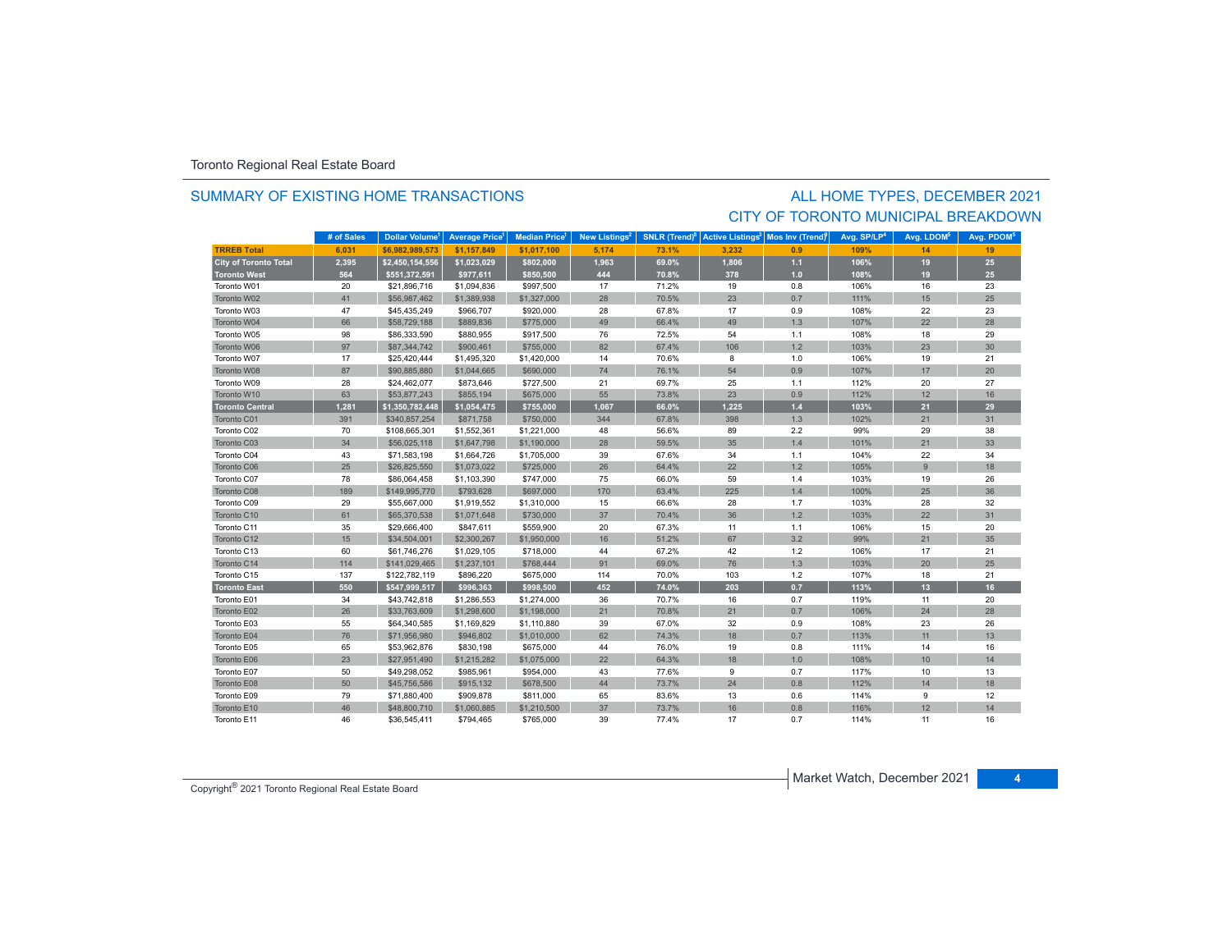### SUMMARY OF EXISTING HOME TRANSACTIONS

### ALL HOME TYPES, DECEMBER 2021 CITY OF TORONTO MUNICIPAL BREAKDOWN

|                              | # of Sales | <b>Dollar Volume</b> | <b>Average Price</b> | <b>Median Price</b> | New Listings <sup>2</sup> | <b>SNLR</b> (Trend) <sup>8</sup> | <b>Active Listings<sup>3</sup></b> | Mos Inv (Trend) | Avg. SP/LP <sup>4</sup> | Avg. LDOM <sup>5</sup> | Avg. PDOM <sup>5</sup> |
|------------------------------|------------|----------------------|----------------------|---------------------|---------------------------|----------------------------------|------------------------------------|-----------------|-------------------------|------------------------|------------------------|
| <b>TRREB Total</b>           | 6.031      | \$6.982.989.573      | \$1.157.849          | \$1.017.100         | 5.174                     | 73.1%                            | 3.232                              | 0.9             | 109%                    | 14                     | 19                     |
| <b>City of Toronto Total</b> | 2,395      | \$2,450,154,556      | \$1,023,029          | \$802,000           | 1,963                     | 69.0%                            | 1,806                              | $1.1$           | 106%                    | 19                     | 25                     |
| <b>Toronto West</b>          | 564        | \$551,372,591        | \$977,611            | \$850,500           | 444                       | 70.8%                            | 378                                | 1.0             | 108%                    | 19                     | 25                     |
| Toronto W01                  | 20         | \$21,896,716         | \$1,094,836          | \$997,500           | 17                        | 71.2%                            | 19                                 | 0.8             | 106%                    | 16                     | 23                     |
| Toronto W02                  | 41         | \$56,987,462         | \$1,389,938          | \$1,327,000         | 28                        | 70.5%                            | 23                                 | 0.7             | 111%                    | 15                     | 25                     |
| Toronto W03                  | 47         | \$45,435,249         | \$966,707            | \$920,000           | 28                        | 67.8%                            | 17                                 | 0.9             | 108%                    | 22                     | 23                     |
| Toronto W04                  | 66         | \$58,729,188         | \$889,836            | \$775,000           | 49                        | 66.4%                            | 49                                 | 1.3             | 107%                    | 22                     | 28                     |
| Toronto W05                  | 98         | \$86,333,590         | \$880,955            | \$917,500           | 76                        | 72.5%                            | 54                                 | 1.1             | 108%                    | 18                     | 29                     |
| Toronto W06                  | 97         | \$87,344,742         | \$900,461            | \$755,000           | 82                        | 67.4%                            | 106                                | 1.2             | 103%                    | 23                     | 30                     |
| Toronto W07                  | 17         | \$25,420,444         | \$1,495,320          | \$1,420,000         | 14                        | 70.6%                            | 8                                  | 1.0             | 106%                    | 19                     | 21                     |
| Toronto W08                  | 87         | \$90,885,880         | \$1,044,665          | \$690,000           | 74                        | 76.1%                            | 54                                 | 0.9             | 107%                    | 17                     | 20                     |
| Toronto W09                  | 28         | \$24,462,077         | \$873,646            | \$727,500           | 21                        | 69.7%                            | 25                                 | 1.1             | 112%                    | 20                     | 27                     |
| Toronto W10                  | 63         | \$53,877,243         | \$855,194            | \$675,000           | 55                        | 73.8%                            | 23                                 | 0.9             | 112%                    | 12                     | 16                     |
| <b>Toronto Central</b>       | 1,281      | \$1,350,782,448      | \$1,054,475          | \$755,000           | 1,067                     | 66.0%                            | 1,225                              | $1.4$           | 103%                    | 21                     | 29                     |
| Toronto C01                  | 391        | \$340,857,254        | \$871,758            | \$750,000           | 344                       | 67.8%                            | 398                                | 1.3             | 102%                    | 21                     | 31                     |
| Toronto C02                  | 70         | \$108,665,301        | \$1,552,361          | \$1,221,000         | 48                        | 56.6%                            | 89                                 | 2.2             | 99%                     | 29                     | 38                     |
| Toronto C03                  | 34         | \$56,025,118         | \$1,647,798          | \$1,190,000         | 28                        | 59.5%                            | 35                                 | 1.4             | 101%                    | 21                     | 33                     |
| Toronto C04                  | 43         | \$71,583,198         | \$1,664,726          | \$1,705,000         | 39                        | 67.6%                            | 34                                 | 1.1             | 104%                    | 22                     | 34                     |
| Toronto C06                  | 25         | \$26,825,550         | \$1,073,022          | \$725,000           | 26                        | 64.4%                            | 22                                 | 1.2             | 105%                    | $\overline{9}$         | 18                     |
| Toronto C07                  | 78         | \$86,064,458         | \$1,103,390          | \$747,000           | 75                        | 66.0%                            | 59                                 | 1.4             | 103%                    | 19                     | 26                     |
| Toronto C08                  | 189        | \$149,995,770        | \$793,628            | \$697,000           | 170                       | 63.4%                            | 225                                | 1.4             | 100%                    | 25                     | 36                     |
| Toronto C09                  | 29         | \$55,667,000         | \$1,919,552          | \$1,310,000         | 15                        | 66.6%                            | 28                                 | 1.7             | 103%                    | 28                     | 32                     |
| Toronto C10                  | 61         | \$65,370,538         | \$1,071,648          | \$730,000           | 37                        | 70.4%                            | 36                                 | 1.2             | 103%                    | 22                     | 31                     |
| Toronto C11                  | 35         | \$29,666,400         | \$847,611            | \$559,900           | 20                        | 67.3%                            | 11                                 | 1.1             | 106%                    | 15                     | 20                     |
| Toronto C12                  | 15         | \$34,504,001         | \$2,300,267          | \$1,950,000         | 16                        | 51.2%                            | 67                                 | 3.2             | 99%                     | 21                     | 35                     |
| Toronto C13                  | 60         | \$61,746,276         | \$1,029,105          | \$718,000           | 44                        | 67.2%                            | 42                                 | 1.2             | 106%                    | 17                     | 21                     |
| Toronto C14                  | 114        | \$141,029,465        | \$1,237,101          | \$768,444           | 91                        | 69.0%                            | 76                                 | 1.3             | 103%                    | 20                     | 25                     |
| Toronto C15                  | 137        | \$122,782,119        | \$896,220            | \$675,000           | 114                       | 70.0%                            | 103                                | 1.2             | 107%                    | 18                     | 21                     |
| <b>Toronto East</b>          | 550        | \$547,999,517        | \$996,363            | \$998,500           | 452                       | 74.0%                            | 203                                | 0.7             | 113%                    | 13                     | 16                     |
| Toronto E01                  | 34         | \$43,742,818         | \$1,286,553          | \$1,274,000         | 36                        | 70.7%                            | 16                                 | 0.7             | 119%                    | 11                     | 20                     |
| Toronto E02                  | 26         | \$33,763,609         | \$1,298,600          | \$1,198,000         | 21                        | 70.8%                            | 21                                 | 0.7             | 106%                    | 24                     | 28                     |
| Toronto E03                  | 55         | \$64,340,585         | \$1,169,829          | \$1,110,880         | 39                        | 67.0%                            | 32                                 | 0.9             | 108%                    | 23                     | 26                     |
| Toronto E04                  | 76         | \$71,956,980         | \$946,802            | \$1,010,000         | 62                        | 74.3%                            | 18                                 | 0.7             | 113%                    | 11                     | 13                     |
| Toronto E05                  | 65         | \$53,962,876         | \$830,198            | \$675,000           | 44                        | 76.0%                            | 19                                 | 0.8             | 111%                    | 14                     | 16                     |
| Toronto E06                  | 23         | \$27,951,490         | \$1,215,282          | \$1,075,000         | 22                        | 64.3%                            | 18                                 | 1.0             | 108%                    | 10                     | 14                     |
| Toronto E07                  | 50         | \$49,298,052         | \$985,961            | \$954,000           | 43                        | 77.6%                            | 9                                  | 0.7             | 117%                    | 10                     | 13                     |
| Toronto E08                  | 50         | \$45,756,586         | \$915,132            | \$678,500           | 44                        | 73.7%                            | 24                                 | 0.8             | 112%                    | 14                     | 18                     |
| Toronto E09                  | 79         | \$71,880,400         | \$909,878            | \$811,000           | 65                        | 83.6%                            | 13                                 | 0.6             | 114%                    | 9                      | 12                     |
| Toronto E10                  | 46         | \$48,800,710         | \$1,060,885          | \$1,210,500         | 37                        | 73.7%                            | 16                                 | 0.8             | 116%                    | 12                     | 14                     |
| Toronto E11                  | 46         | \$36,545,411         | \$794,465            | \$765,000           | 39                        | 77.4%                            | 17                                 | 0.7             | 114%                    | 11                     | 16                     |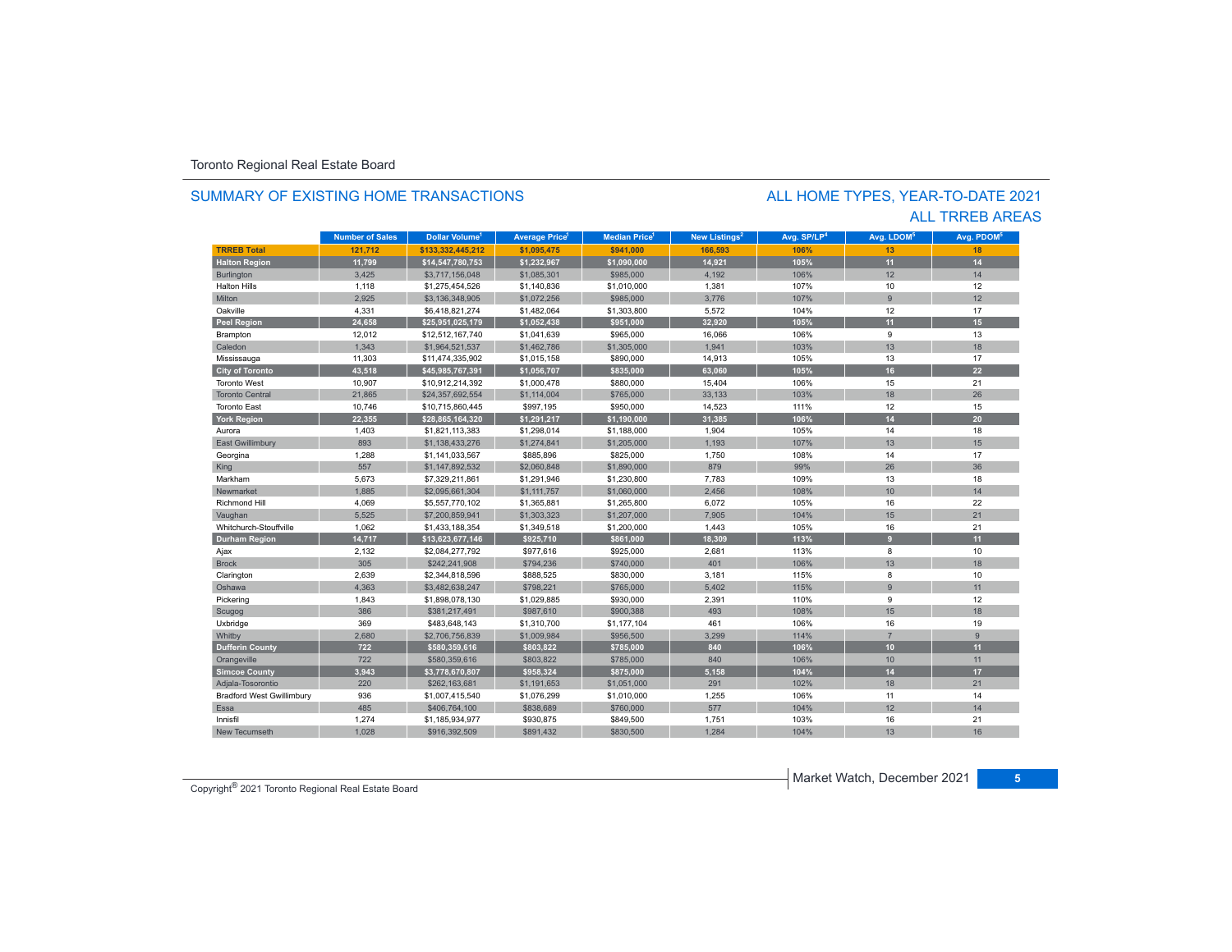### SUMMARY OF EXISTING HOME TRANSACTIONS

### ALL TRREB AREAS ALL HOME TYPES, YEAR-TO-DATE 2021

|                                  | <b>Number of Sales</b> | Dollar Volume <sup>1</sup> | <b>Average Price</b> | <b>Median Price</b> | New Listings <sup>2</sup> | Avg. SP/LP <sup>4</sup> | Avg. LDOM <sup>5</sup> | Avg. PDOM <sup>5</sup> |
|----------------------------------|------------------------|----------------------------|----------------------|---------------------|---------------------------|-------------------------|------------------------|------------------------|
| <b>TRREB Total</b>               | 121,712                | \$133,332,445,212          | \$1,095,475          | \$941,000           | 166,593                   | 106%                    | 13                     | 18                     |
| <b>Halton Region</b>             | 11,799                 | \$14,547,780,753           | \$1,232,967          | \$1,090,000         | 14,921                    | 105%                    | 11                     | 14                     |
| Burlington                       | 3,425                  | \$3,717,156,048            | \$1,085,301          | \$985,000           | 4,192                     | 106%                    | 12                     | 14                     |
| <b>Halton Hills</b>              | 1,118                  | \$1,275,454,526            | \$1,140,836          | \$1,010,000         | 1,381                     | 107%                    | 10                     | 12                     |
| Milton                           | 2.925                  | \$3,136,348,905            | \$1,072,256          | \$985,000           | 3,776                     | 107%                    | $\overline{9}$         | 12                     |
| Oakville                         | 4,331                  | \$6,418,821,274            | \$1,482,064          | \$1,303,800         | 5,572                     | 104%                    | 12                     | 17                     |
| Peel Region                      | 24,658                 | \$25,951,025,179           | \$1,052,438          | \$951,000           | 32,920                    | 105%                    | 11                     | 15                     |
| Brampton                         | 12,012                 | \$12,512,167,740           | \$1,041,639          | \$965,000           | 16,066                    | 106%                    | 9                      | 13                     |
| Caledon                          | 1,343                  | \$1,964,521,537            | \$1,462,786          | \$1,305,000         | 1.941                     | 103%                    | 13                     | 18                     |
| Mississauga                      | 11,303                 | \$11,474,335,902           | \$1,015,158          | \$890,000           | 14,913                    | 105%                    | 13                     | 17                     |
| <b>City of Toronto</b>           | 43,518                 | \$45,985,767,391           | \$1,056,707          | \$835,000           | 63,060                    | 105%                    | 16                     | 22                     |
| <b>Toronto West</b>              | 10,907                 | \$10,912,214,392           | \$1,000,478          | \$880,000           | 15,404                    | 106%                    | 15                     | 21                     |
| <b>Toronto Central</b>           | 21,865                 | \$24,357,692,554           | \$1,114,004          | \$765,000           | 33,133                    | 103%                    | 18                     | 26                     |
| <b>Toronto East</b>              | 10,746                 | \$10,715,860,445           | \$997,195            | \$950,000           | 14,523                    | 111%                    | 12                     | 15                     |
| <b>York Region</b>               | 22,355                 | \$28,865,164,320           | \$1,291,217          | \$1,190,000         | 31,385                    | 106%                    | 14                     | 20                     |
| Aurora                           | 1,403                  | \$1,821,113,383            | \$1,298,014          | \$1,188,000         | 1,904                     | 105%                    | 14                     | 18                     |
| <b>East Gwillimbury</b>          | 893                    | \$1,138,433,276            | \$1,274,841          | \$1,205,000         | 1,193                     | 107%                    | 13                     | 15                     |
| Georgina                         | 1,288                  | \$1,141,033,567            | \$885,896            | \$825,000           | 1,750                     | 108%                    | 14                     | 17                     |
| King                             | 557                    | \$1,147,892,532            | \$2,060,848          | \$1,890,000         | 879                       | 99%                     | 26                     | 36                     |
| Markham                          | 5,673                  | \$7,329,211,861            | \$1,291,946          | \$1,230,800         | 7,783                     | 109%                    | 13                     | 18                     |
| Newmarket                        | 1,885                  | \$2,095,661,304            | \$1,111,757          | \$1,060,000         | 2,456                     | 108%                    | 10                     | 14                     |
| Richmond Hill                    | 4,069                  | \$5,557,770,102            | \$1,365,881          | \$1,265,800         | 6,072                     | 105%                    | 16                     | 22                     |
| Vaughan                          | 5,525                  | \$7,200,859,941            | \$1,303,323          | \$1,207,000         | 7,905                     | 104%                    | 15                     | 21                     |
| Whitchurch-Stouffville           | 1,062                  | \$1,433,188,354            | \$1,349,518          | \$1,200,000         | 1,443                     | 105%                    | 16                     | 21                     |
| <b>Durham Region</b>             | 14,717                 | \$13,623,677,146           | \$925,710            | \$861,000           | 18,309                    | 113%                    | 9                      | 11                     |
| Ajax                             | 2,132                  | \$2,084,277,792            | \$977,616            | \$925,000           | 2,681                     | 113%                    | 8                      | 10                     |
| <b>Brock</b>                     | 305                    | \$242.241.908              | \$794.236            | \$740,000           | 401                       | 106%                    | 13                     | 18                     |
| Clarington                       | 2,639                  | \$2,344,818,596            | \$888,525            | \$830,000           | 3,181                     | 115%                    | 8                      | 10                     |
| Oshawa                           | 4,363                  | \$3,482,638,247            | \$798,221            | \$765,000           | 5,402                     | 115%                    | 9                      | 11                     |
| Pickering                        | 1,843                  | \$1,898,078,130            | \$1,029,885          | \$930,000           | 2,391                     | 110%                    | 9                      | 12                     |
| Scugog                           | 386                    | \$381,217,491              | \$987,610            | \$900,388           | 493                       | 108%                    | 15                     | 18                     |
| Uxbridge                         | 369                    | \$483,648,143              | \$1,310,700          | \$1,177,104         | 461                       | 106%                    | 16                     | 19                     |
| Whitby                           | 2,680                  | \$2,706,756,839            | \$1,009,984          | \$956,500           | 3,299                     | 114%                    | $\overline{7}$         | $\overline{9}$         |
| <b>Dufferin County</b>           | 722                    | \$580,359,616              | \$803,822            | \$785,000           | 840                       | 106%                    | 10 <sup>1</sup>        | 11                     |
| Orangeville                      | 722                    | \$580,359,616              | \$803,822            | \$785,000           | 840                       | 106%                    | 10                     | 11                     |
| <b>Simcoe County</b>             | 3,943                  | \$3,778,670,807            | \$958,324            | \$875,000           | 5,158                     | 104%                    | 14                     | 17                     |
| Adjala-Tosorontio                | 220                    | \$262,163,681              | \$1,191,653          | \$1,051,000         | 291                       | 102%                    | 18                     | 21                     |
| <b>Bradford West Gwillimbury</b> | 936                    | \$1,007,415,540            | \$1,076,299          | \$1,010,000         | 1,255                     | 106%                    | 11                     | 14                     |
| Essa                             | 485                    | \$406,764,100              | \$838,689            | \$760,000           | 577                       | 104%                    | 12                     | 14                     |
| Innisfil                         | 1,274                  | \$1,185,934,977            | \$930,875            | \$849,500           | 1,751                     | 103%                    | 16                     | 21                     |
| New Tecumseth                    | 1,028                  | \$916,392,509              | \$891,432            | \$830,500           | 1,284                     | 104%                    | 13                     | 16                     |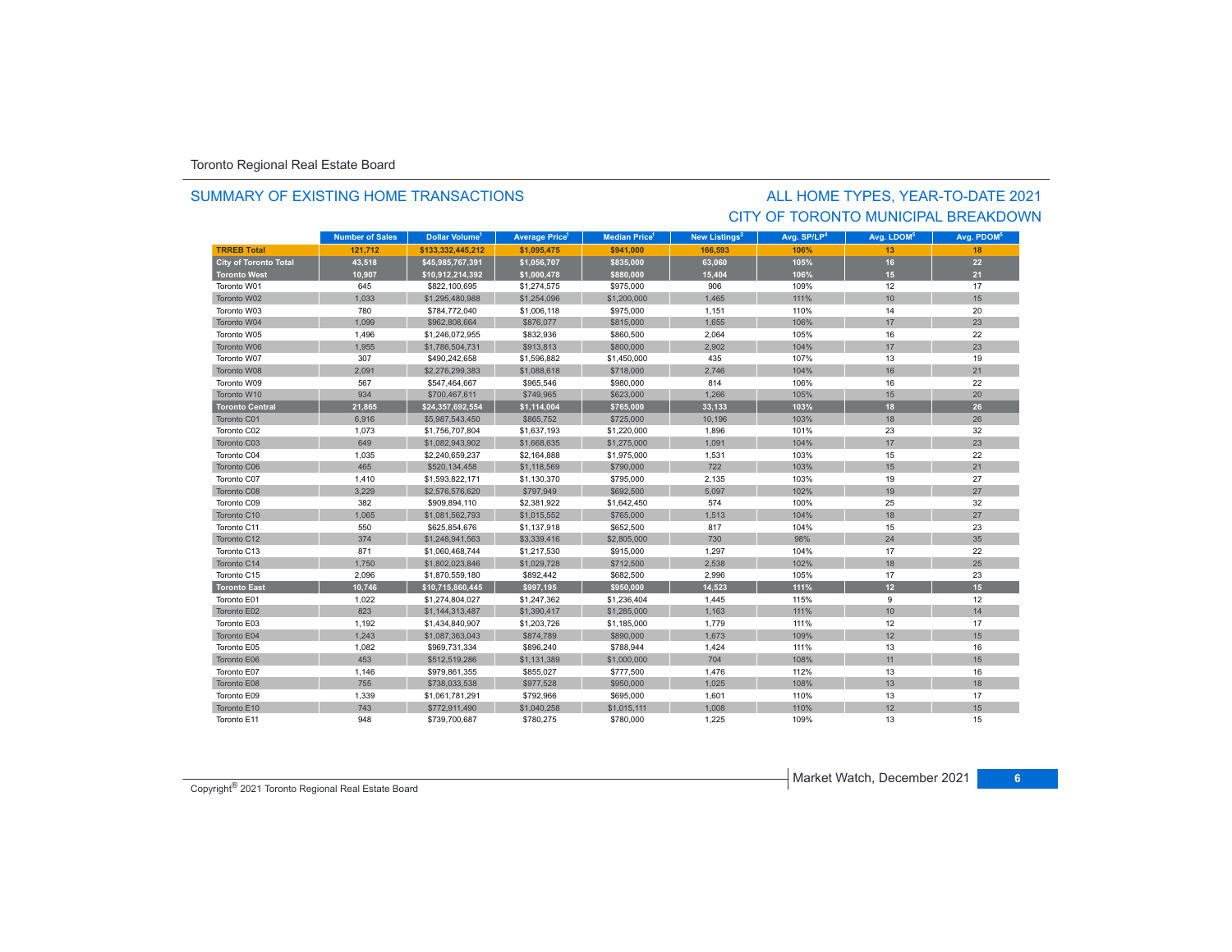### SUMMARY OF EXISTING HOME TRANSACTIONS

## CITY OF TORONTO MUNICIPAL BREAKDOWNALL HOME TYPES, YEAR-TO-DATE 2021

|                              | <b>Number of Sales</b> | Dollar Volume <sup>1</sup> | <b>Average Price<sup>1</sup></b> | <b>Median Price</b> <sup>1</sup> | New Listings <sup>2</sup> | Avg. SP/LP <sup>4</sup> | Avg. LDOM <sup>5</sup> | Avg. PDOM <sup>5</sup> |
|------------------------------|------------------------|----------------------------|----------------------------------|----------------------------------|---------------------------|-------------------------|------------------------|------------------------|
| <b>TRREB Total</b>           | 121.712                | \$133,332,445,212          | \$1,095,475                      | \$941.000                        | 166,593                   | 106%                    | 13                     | 18                     |
| <b>City of Toronto Total</b> | 43,518                 | \$45,985,767,391           | \$1,056,707                      | \$835,000                        | 63,060                    | 105%                    | 16                     | 22                     |
| <b>Toronto West</b>          | 10,907                 | \$10,912,214,392           | \$1,000,478                      | \$880,000                        | 15,404                    | 106%                    | 15                     | 21                     |
| Toronto W01                  | 645                    | \$822,100,695              | \$1,274,575                      | \$975,000                        | 906                       | 109%                    | 12                     | 17                     |
| Toronto W02                  | 1,033                  | \$1,295,480,988            | \$1,254,096                      | \$1,200,000                      | 1,465                     | 111%                    | 10                     | 15                     |
| Toronto W03                  | 780                    | \$784,772,040              | \$1,006,118                      | \$975,000                        | 1,151                     | 110%                    | 14                     | 20                     |
| Toronto W04                  | 1.099                  | \$962,808,664              | \$876,077                        | \$815,000                        | 1.655                     | 106%                    | 17                     | 23                     |
| Toronto W05                  | 1,496                  | \$1,246,072,955            | \$832,936                        | \$860,500                        | 2,064                     | 105%                    | 16                     | 22                     |
| Toronto W06                  | 1,955                  | \$1,786,504,731            | \$913,813                        | \$800,000                        | 2,902                     | 104%                    | 17                     | 23                     |
| Toronto W07                  | 307                    | \$490,242,658              | \$1,596,882                      | \$1,450,000                      | 435                       | 107%                    | 13                     | 19                     |
| Toronto W08                  | 2,091                  | \$2,276,299,383            | \$1,088,618                      | \$718,000                        | 2,746                     | 104%                    | 16                     | 21                     |
| Toronto W09                  | 567                    | \$547,464,667              | \$965,546                        | \$980,000                        | 814                       | 106%                    | 16                     | 22                     |
| Toronto W10                  | 934                    | \$700,467,611              | \$749,965                        | \$623,000                        | 1,266                     | 105%                    | 15                     | 20                     |
| <b>Toronto Central</b>       | 21,865                 | \$24,357,692,554           | \$1,114,004                      | \$765,000                        | 33,133                    | 103%                    | 18                     | 26                     |
| Toronto C01                  | 6,916                  | \$5,987,543,450            | \$865,752                        | \$725,000                        | 10,196                    | 103%                    | 18                     | 26                     |
| Toronto C02                  | 1,073                  | \$1,756,707,804            | \$1,637,193                      | \$1,220,000                      | 1,896                     | 101%                    | 23                     | 32                     |
| Toronto C03                  | 649                    | \$1,082,943,902            | \$1,668,635                      | \$1,275,000                      | 1,091                     | 104%                    | 17                     | 23                     |
| Toronto C04                  | 1,035                  | \$2,240,659,237            | \$2,164,888                      | \$1,975,000                      | 1,531                     | 103%                    | 15                     | 22                     |
| Toronto C06                  | 465                    | \$520,134,458              | \$1,118,569                      | \$790,000                        | 722                       | 103%                    | 15                     | 21                     |
| Toronto C07                  | 1,410                  | \$1,593,822,171            | \$1,130,370                      | \$795,000                        | 2,135                     | 103%                    | 19                     | 27                     |
| Toronto C08                  | 3,229                  | \$2,576,576,620            | \$797,949                        | \$692,500                        | 5,097                     | 102%                    | 19                     | 27                     |
| Toronto C09                  | 382                    | \$909,894,110              | \$2,381,922                      | \$1,642,450                      | 574                       | 100%                    | 25                     | 32                     |
| Toronto C10                  | 1,065                  | \$1,081,562,793            | \$1,015,552                      | \$765,000                        | 1,513                     | 104%                    | 18                     | 27                     |
| Toronto C11                  | 550                    | \$625,854,676              | \$1,137,918                      | \$652,500                        | 817                       | 104%                    | 15                     | 23                     |
| Toronto C12                  | 374                    | \$1,248,941,563            | \$3,339,416                      | \$2,805,000                      | 730                       | 98%                     | 24                     | 35                     |
| Toronto C13                  | 871                    | \$1,060,468,744            | \$1,217,530                      | \$915,000                        | 1,297                     | 104%                    | 17                     | 22                     |
| Toronto C14                  | 1,750                  | \$1,802,023,846            | \$1,029,728                      | \$712,500                        | 2.538                     | 102%                    | 18                     | 25                     |
| Toronto C15                  | 2,096                  | \$1,870,559,180            | \$892,442                        | \$682,500                        | 2.996                     | 105%                    | 17                     | 23                     |
| <b>Toronto East</b>          | 10,746                 | \$10,715,860,445           | \$997,195                        | \$950,000                        | 14,523                    | 111%                    | 12 <sup>2</sup>        | 15 <sub>1</sub>        |
| Toronto E01                  | 1,022                  | \$1,274,804,027            | \$1,247,362                      | \$1,236,404                      | 1,445                     | 115%                    | 9                      | 12                     |
| Toronto E02                  | 823                    | \$1,144,313,487            | \$1,390,417                      | \$1,285,000                      | 1,163                     | 111%                    | 10                     | 14                     |
| Toronto E03                  | 1,192                  | \$1,434,840,907            | \$1,203,726                      | \$1,185,000                      | 1,779                     | 111%                    | 12                     | 17                     |
| Toronto E04                  | 1,243                  | \$1,087,363,043            | \$874,789                        | \$890,000                        | 1,673                     | 109%                    | 12                     | 15                     |
| Toronto E05                  | 1,082                  | \$969,731,334              | \$896,240                        | \$788,944                        | 1,424                     | 111%                    | 13                     | 16                     |
| Toronto E06                  | 453                    | \$512,519,286              | \$1,131,389                      | \$1,000,000                      | 704                       | 108%                    | 11                     | 15                     |
| Toronto E07                  | 1,146                  | \$979,861,355              | \$855,027                        | \$777,500                        | 1,476                     | 112%                    | 13                     | 16                     |
| Toronto E08                  | 755                    | \$738,033,538              | \$977,528                        | \$950,000                        | 1,025                     | 108%                    | 13                     | 18                     |
| Toronto E09                  | 1,339                  | \$1,061,781,291            | \$792,966                        | \$695,000                        | 1,601                     | 110%                    | 13                     | 17                     |
| Toronto E10                  | 743                    | \$772,911,490              | \$1,040,258                      | \$1,015,111                      | 1,008                     | 110%                    | 12                     | 15                     |
| Toronto E11                  | 948                    | \$739,700,687              | \$780,275                        | \$780,000                        | 1,225                     | 109%                    | 13                     | 15                     |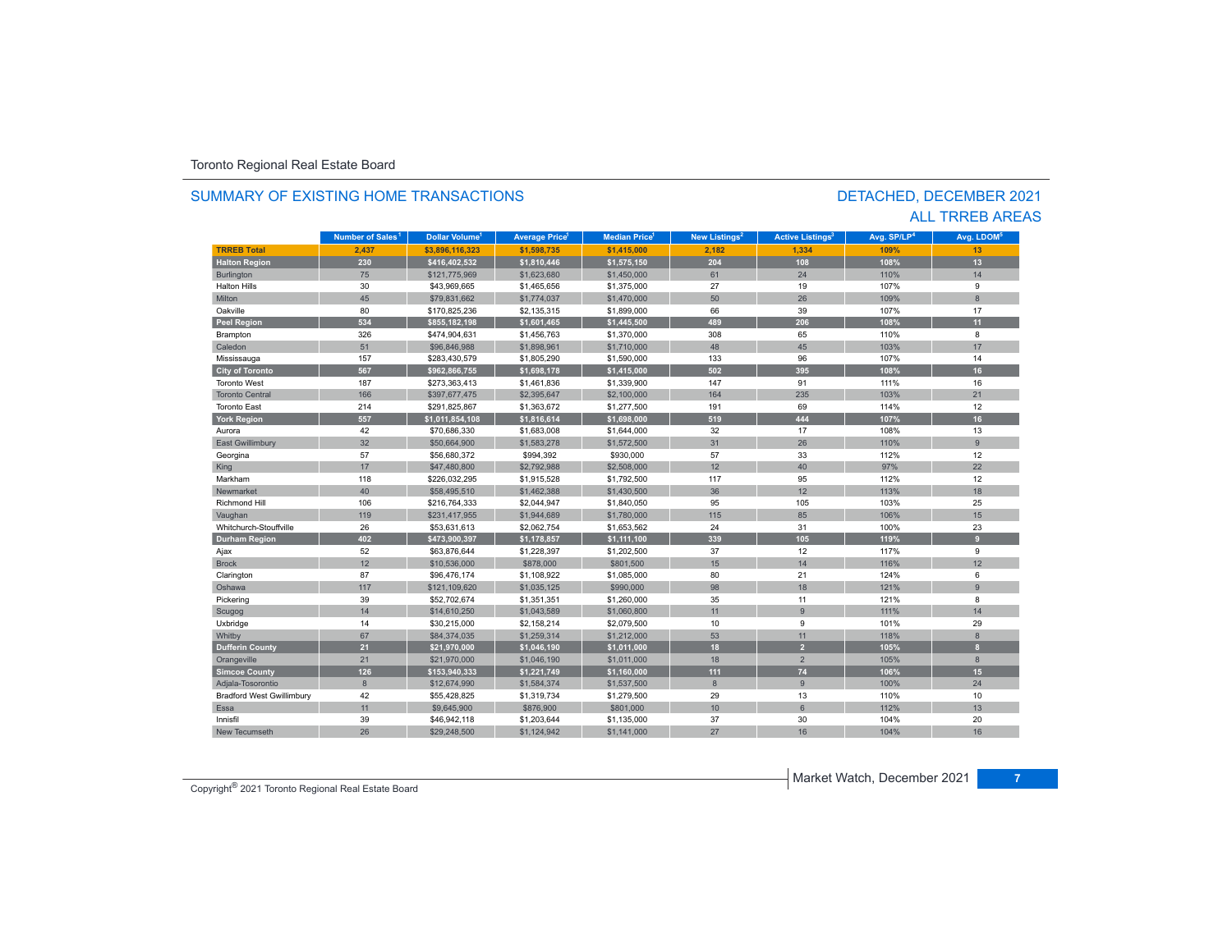#### **TR5EB Total 2,437 \$3,896,116,323 \$1,598,735 \$1,415,000 2,182 1,334 109% 13 Halton Region 230 \$416,402,532 \$1,810,446 \$1,575,150 204 108 108% 13** Burlington 75 \$121,775,969 \$1,623,680 \$1,450,000 61 24 110% 14 Halton Hillss 30 \$43,969,665 \$1,465,656 \$1,375,000 27 19 107% 9 Miltonn 45 \$79,831,662 \$1,774,037 \$1,470,000 50 26 109% 8 Oakvillee 80 \$170,825,236 \$2,135,315 \$1,899,000 66 39 107% 107% 17 **Peel Region 534 \$855,182,198 \$1,601,465 \$1,445,500 489 206 108% 11** Brampton 326 \$474,904,631 \$1,456,763 \$1,370,000 308 65 110% 8 Caledonn 51 \$96,846,988 \$1,898,961 \$1,710,000 48 45 103% 103% 17 Mississauga 157 \$283,430,579 \$1,805,290 \$1,590,000 133 96 107% 14 **City of Toronto 567 \$962,866,755 \$1,698,178 \$1,415,000 502 395 108% 16** Toronto West 187 \$273,363,413 \$1,461,836 \$1,339,900 147 91 111% 16 Toronto Central 166\$397,677,475 \$2,395,647 \$2,100,000 164 235 103% 21 Toronto East 214 \$291,825,867 \$1,363,672 \$1,277,500 191 69 114%% 12 **York Region 557 \$1,011,854,108 \$1,816,614 \$1,698,000 519 444 107% 16** Auroraa 42 \$70,686,330 \$1,683,008 \$1,644,000 32 17 108% 108% 13 East Gwillimbury 32 \$50,664,900 \$1,573,278 \$1,572,500 9 Georgina 57 \$56,680,372 \$994,392 \$930,000 57 33 112% 12 King 17 17 \$47,480,800 \$2,792,988 \$2,508,000 12 12 40 97% 22 22 Markhamm 118 \$226,032,295 \$1,915,528 \$1,792,500 117 95 112% 112% 12 Newmarket 40.0 \$58,495,510 \$1,462,388 \$1,430,500 36 12 113% 113% 18 Richmond Hill 106 \$216,764,333 \$2,044,947 \$1,840,050 95 105 103% 25 Vaughan 119 119 \$231,417,955 \$1,944,689 \$1,780,000 115 85 106% 106% 15 15 Whitchurch-Stouffville 26 \$53,631,613 \$2,062,754 \$1,653,562 24 31 100%100% 23 **Durham Region 402 \$473,900,397 \$1,178,857 \$1,111,100 339 105 119% 9** Ajax 52 \$63,876,644 \$1,228,397 \$1,202,500 37 12 117% 9 Brockk 12 \$10,536,000 \$878,000 \$801,500 15 14 116%116% 12 Clarington 87 \$96,476,174 \$1,108,922 \$1,085,000 80 21 124% 6 Oshawa 117 \$121,109,620 \$1,035,125 \$990,000 98 18 121%% 96 Pickering 39 \$52,702,674 \$1,351,351 \$1,260,000 35 11 121% 8 Scugog 14 | \$14,610,250 | \$1,043,589 | \$1,060,800 | 11 | 9 | 111% | 11% 14 Uxbridge 14 \$30,215,000 \$2,158,214 \$2,079,500 10 9 101% 29 Whitby 67 \$84,374,035 \$1,259,314 \$1,212,000 53 11 118% 8 **Dufferin County 21 \$21,970,000 \$1,046,190 \$1,011,000 18 2 105% 8** Orangeville 21 21 \$21,970,000 \$1,046,190 \$1,011,000 18 18 2 105% 8 **Simcoe County 126 \$153,940,333 \$1,221,749 \$1,160,000 111 74 106% 15** Adjala-Tosorontio 8 \$12,674,990 \$1,584,374 \$1,537,500 8 9 100% 24 Bradford West Gwillimbury 42 \$55,428,825 \$1,319,734 \$1,279,500 13 110% 110% 110% 10 Essa11 \$9,645,900 \$876,900 \$876,900 \$801,000 10 10 6 112% **112**% 112% 13 Innisfil 39 \$46,942,118 \$1,203,644 \$1,135,000 37 30 104%104% 20 New Tecumseth104% 16 **Municipality Number of Sales Dollar Volume Average Price Median Price New Listings Active Listings Avg. SP/LP Avg. LDOM Number of Sales<sup>1</sup>** 1 **Dollar Volume<sup>1</sup> Aversen Price<sup>1</sup> Median Price<sup>1</sup> Maw Listings<sup>2</sup> Active Listings<sup>3</sup> Ave SD/LD<sup>4</sup> Ave LDOM<sup>5</sup>**

h 26 \$29,248,500 \$1,124,942 \$1,141,000 27 16 104%

### SUMMARY OF EXISTING HOME TRANSACTIONS

### DETACHED, DECEMBER 2021 ALL TRREB AREAS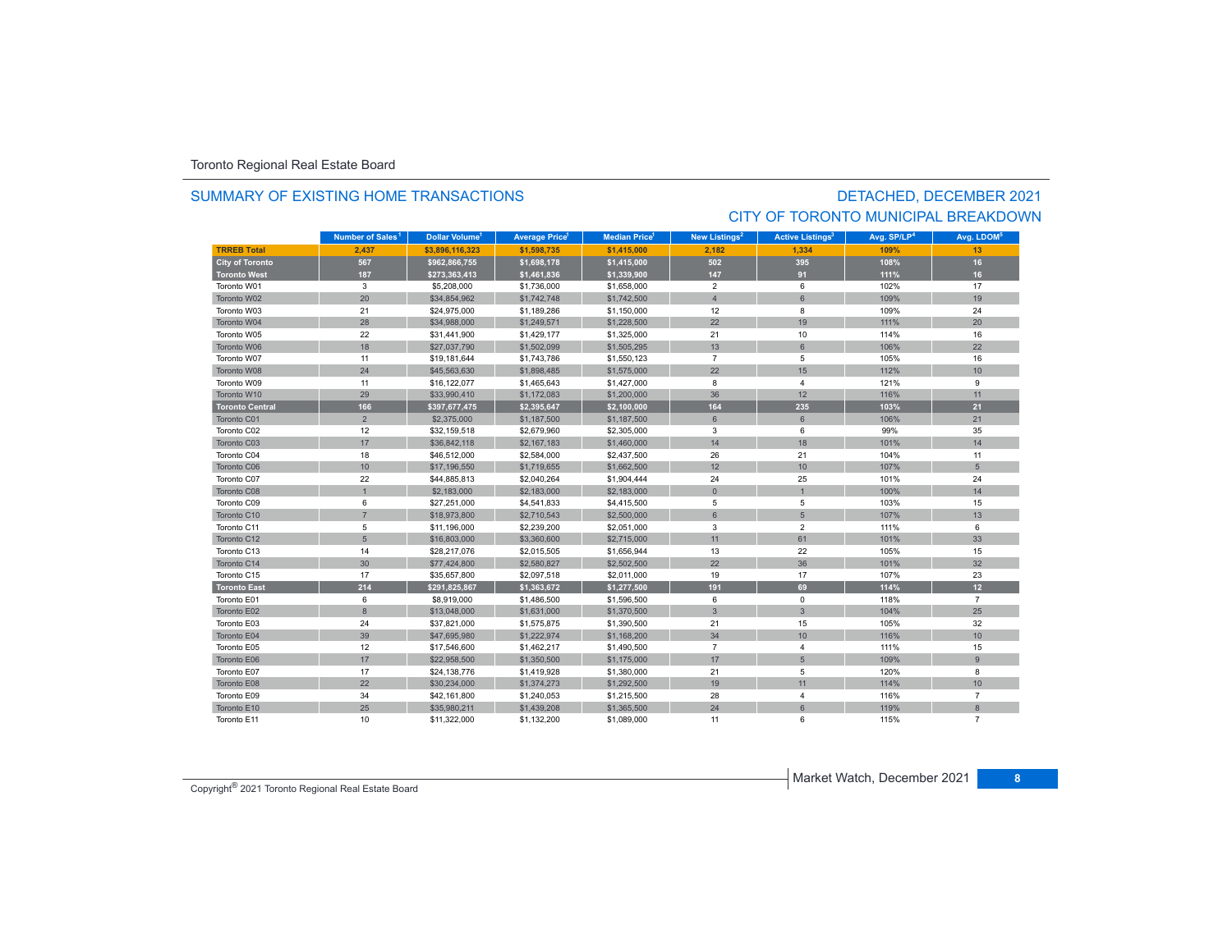### SUMMARY OF EXISTING HOME TRANSACTIONS

# DETACHED, DECEMBER 2021 CITY OF TORONTO MUNICIPAL BREAKDOWN

|                        | Number of Sales <sup>1</sup> | Dollar Volume <sup>1</sup> | <b>Average Price<sup>1</sup></b> | <b>Median Price</b> <sup>1</sup> | New Listings <sup>2</sup> | <b>Active Listings<sup>3</sup></b> | Avg. SP/LP <sup>4</sup> | Avg. LDOM <sup>5</sup> |
|------------------------|------------------------------|----------------------------|----------------------------------|----------------------------------|---------------------------|------------------------------------|-------------------------|------------------------|
| <b>TRREB Total</b>     | 2.437                        | \$3,896,116,323            | \$1,598,735                      | \$1,415,000                      | 2,182                     | 1,334                              | 109%                    | 13                     |
| <b>City of Toronto</b> | 567                          | \$962,866,755              | \$1,698,178                      | \$1,415,000                      | 502                       | 395                                | 108%                    | 16                     |
| <b>Toronto West</b>    | 187                          | \$273,363,413              | \$1,461,836                      | \$1,339,900                      | 147                       | 91                                 | 111%                    | 16                     |
| Toronto W01            | 3                            | \$5,208,000                | \$1,736,000                      | \$1,658,000                      | $\overline{2}$            | 6                                  | 102%                    | 17                     |
| Toronto W02            | 20                           | \$34,854,962               | \$1,742,748                      | \$1,742,500                      | $\overline{4}$            | 6                                  | 109%                    | 19                     |
| Toronto W03            | 21                           | \$24,975,000               | \$1,189,286                      | \$1,150,000                      | 12                        | 8                                  | 109%                    | 24                     |
| Toronto W04            | 28                           | \$34,988,000               | \$1,249,571                      | \$1,228,500                      | 22                        | 19                                 | 111%                    | 20                     |
| Toronto W05            | 22                           | \$31,441,900               | \$1,429,177                      | \$1,325,000                      | 21                        | 10                                 | 114%                    | 16                     |
| Toronto W06            | 18                           | \$27,037,790               | \$1,502,099                      | \$1,505,295                      | 13                        | $6\phantom{1}$                     | 106%                    | 22                     |
| Toronto W07            | 11                           | \$19,181,644               | \$1,743,786                      | \$1,550,123                      | $\overline{7}$            | 5                                  | 105%                    | 16                     |
| Toronto W08            | 24                           | \$45,563,630               | \$1,898,485                      | \$1,575,000                      | 22                        | 15                                 | 112%                    | 10                     |
| Toronto W09            | 11                           | \$16,122,077               | \$1,465,643                      | \$1,427,000                      | 8                         | $\overline{4}$                     | 121%                    | 9                      |
| Toronto W10            | 29                           | \$33,990,410               | \$1,172,083                      | \$1,200,000                      | 36                        | 12                                 | 116%                    | 11                     |
| <b>Toronto Central</b> | 166                          | \$397,677,475              | \$2,395,647                      | \$2,100,000                      | 164                       | 235                                | 103%                    | 21                     |
| Toronto C01            | $\overline{2}$               | \$2,375,000                | \$1,187,500                      | \$1,187,500                      | 6                         | 6                                  | 106%                    | 21                     |
| Toronto C02            | 12                           | \$32,159,518               | \$2,679,960                      | \$2,305,000                      | 3                         | 6                                  | 99%                     | 35                     |
| Toronto C03            | 17                           | \$36,842,118               | \$2,167,183                      | \$1,460,000                      | 14                        | 18                                 | 101%                    | 14                     |
| Toronto C04            | 18                           | \$46,512,000               | \$2,584,000                      | \$2,437,500                      | 26                        | 21                                 | 104%                    | 11                     |
| Toronto C06            | 10                           | \$17,196,550               | \$1,719,655                      | \$1,662,500                      | 12                        | 10                                 | 107%                    | 5                      |
| Toronto C07            | 22                           | \$44,885,813               | \$2,040,264                      | \$1,904,444                      | 24                        | 25                                 | 101%                    | 24                     |
| Toronto C08            | $\overline{1}$               | \$2,183,000                | \$2,183,000                      | \$2,183,000                      | $\Omega$                  |                                    | 100%                    | 14                     |
| Toronto C09            | 6                            | \$27,251,000               | \$4,541,833                      | \$4,415,500                      | 5                         | 5                                  | 103%                    | 15                     |
| Toronto C10            | $\overline{7}$               | \$18,973,800               | \$2,710,543                      | \$2,500,000                      | $6\phantom{1}$            | $5\phantom{.0}$                    | 107%                    | 13                     |
| Toronto C11            | 5                            | \$11,196,000               | \$2,239,200                      | \$2,051,000                      | 3                         | $\overline{2}$                     | 111%                    | 6                      |
| Toronto C12            | 5                            | \$16,803,000               | \$3,360,600                      | \$2,715,000                      | 11                        | 61                                 | 101%                    | 33                     |
| Toronto C13            | 14                           | \$28,217,076               | \$2,015,505                      | \$1,656,944                      | 13                        | 22                                 | 105%                    | 15                     |
| Toronto C14            | 30                           | \$77,424,800               | \$2,580,827                      | \$2,502,500                      | 22                        | 36                                 | 101%                    | 32                     |
| Toronto C15            | 17                           | \$35,657,800               | \$2,097,518                      | \$2,011,000                      | 19                        | 17                                 | 107%                    | 23                     |
| <b>Toronto East</b>    | 214                          | \$291,825,867              | \$1,363,672                      | \$1,277,500                      | 191                       | 69                                 | 114%                    | 12 <sup>2</sup>        |
| Toronto E01            | 6                            | \$8,919,000                | \$1,486,500                      | \$1,596,500                      | 6                         | $\mathbf 0$                        | 118%                    | $\overline{7}$         |
| Toronto E02            | $\,8\,$                      | \$13,048,000               | \$1,631,000                      | \$1,370,500                      | $\mathbf{3}$              | $\mathbf{3}$                       | 104%                    | 25                     |
| Toronto E03            | 24                           | \$37,821,000               | \$1,575,875                      | \$1,390,500                      | 21                        | 15                                 | 105%                    | 32                     |
| Toronto E04            | 39                           | \$47,695,980               | \$1,222,974                      | \$1,168,200                      | 34                        | 10                                 | 116%                    | 10                     |
| Toronto E05            | 12                           | \$17,546,600               | \$1,462,217                      | \$1,490,500                      | $\overline{7}$            | $\overline{4}$                     | 111%                    | 15                     |
| Toronto E06            | 17                           | \$22,958,500               | \$1,350,500                      | \$1,175,000                      | 17                        | 5                                  | 109%                    | $\overline{9}$         |
| Toronto E07            | 17                           | \$24,138,776               | \$1,419,928                      | \$1,380,000                      | 21                        | 5                                  | 120%                    | 8                      |
| Toronto E08            | 22                           | \$30,234,000               | \$1,374,273                      | \$1,292,500                      | 19                        | 11                                 | 114%                    | 10                     |
| Toronto E09            | 34                           | \$42,161,800               | \$1,240,053                      | \$1,215,500                      | 28                        | $\overline{4}$                     | 116%                    | $\overline{7}$         |
| Toronto E10            | 25                           | \$35,980,211               | \$1,439,208                      | \$1,365,500                      | 24                        | 6                                  | 119%                    | 8                      |
| Toronto E11            | 10                           | \$11,322,000               | \$1,132,200                      | \$1,089,000                      | 11                        | 6                                  | 115%                    | $\overline{7}$         |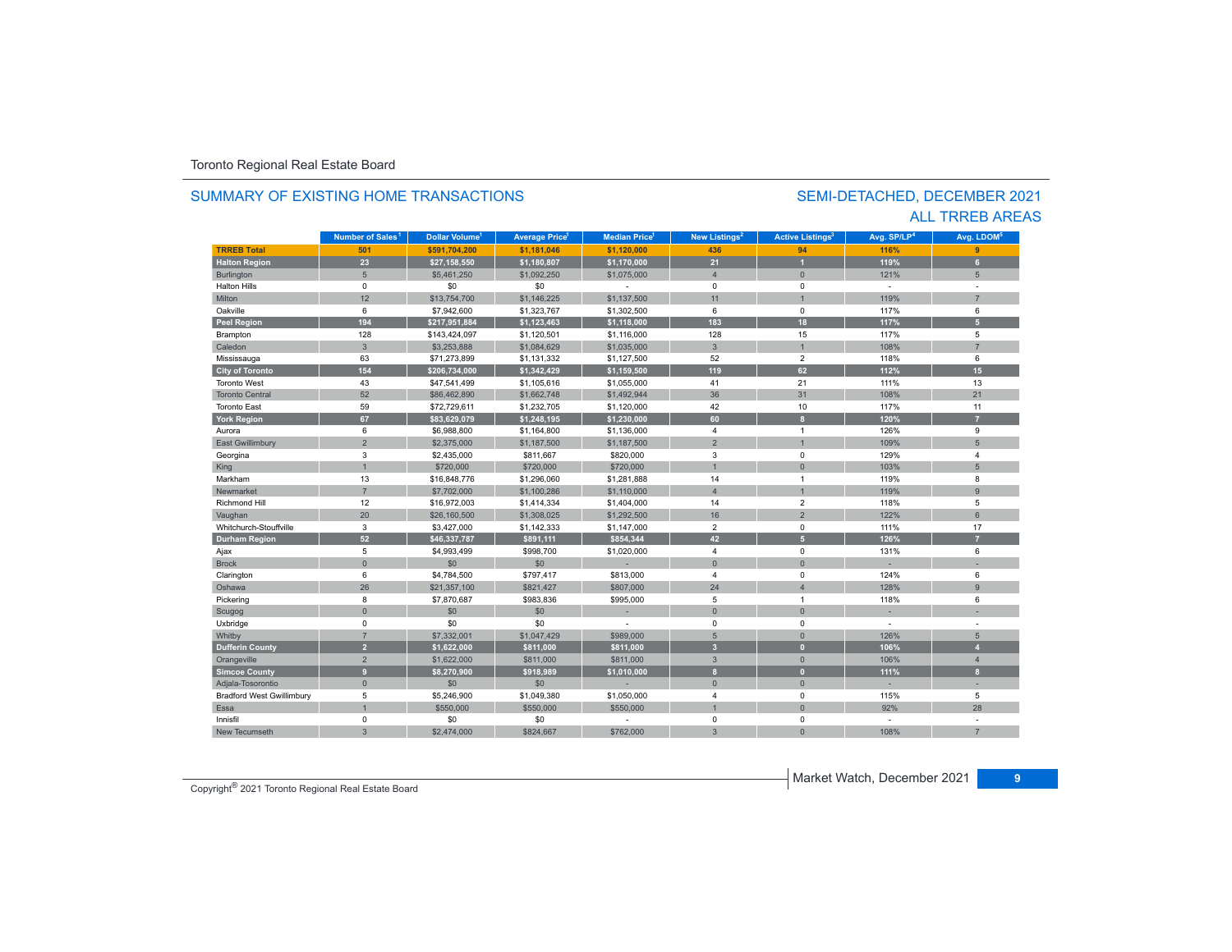#### **TR5EB Total 501 \$591,704,200 \$1,181,046 \$1,120,000 436 94 116% 9 Halton Region 23 \$27,158,550 \$1,180,807 \$1,170,000 21 1 119% 6** Burlington 5 5 | \$5,461,250 | \$1,092,250 | \$1,075,000 | 4 | 0 | 121% | 5 Halton Hills 0 \$0 \$0 - 0 0 - - Miltonn 12 \$13,754,700 \$1,146,225 \$1,137,500 11 1 119% 119% 7 Oakville 6 \$7,942,600 \$1,323,767 \$1,302,500 6 0 117% 6 **Peel Region 194 \$217,951,884 \$1,123,463 \$1,118,000 183 18 117% 5** Brampton 128 \$143,424,097 \$1,120,501 \$1,116,000 128 15 117% 5 Caledonn 3 \$3,253,888 \$1,084,629 \$1,035,000 3 1 1 108% 7 Mississauga 63 \$71,273,899 \$1,131,332 \$1,127,500 52 2 118% 6 **City of Toronto 154 \$206,734,000 \$1,342,429 \$1,159,500 119 62 112% 15** Toronto West 43 \$47,541,499 \$1,105,616 \$1,055,000 41 21 111%111% 13 Toronto Central 52 \$86,462,890 \$1,662,748 \$1,492,944 36 31 108%108% 21 Toronto East 59 \$72,729,611 \$1,232,705 \$1,120,000 42 10 117%% 11 **York Region 67 \$83,629,079 \$1,248,195 \$1,230,000 60 8 120% 7** Auroraa 6 \$6,988,800 \$1,164,800 \$1,136,000 4 1 1 126% 9 East Gwillimbury 2 \$2,375,000 \$1,187,500 5 Georgina 3 \$2,435,000 \$811,667 \$820,000 3 0 129% 4 King 1 \$720,000 \$720,000 \$720,000 \$720,000 \$720,000 \$720,000 \$720,000 \$720,000 \$ Markhamm 13 \$16,848,776 \$1,296,060 \$1,281,888 14 1 119% 8 Newmarket 7 \$7,702,000 \$1,100,286 \$1,110,000 4 1 119%119% 9 Richmond Hill 12 \$16,972,003 \$1,414,334 \$1,404,000 14 2 118% 5 Vaughan 20 \$26,160,500 \$1,308,025 \$1,292,500 16 16 2 16 2 122% 81,22% 6 Whitchurch-Stouffvillee 3 \$3,427,000 \$1,142,333 \$1,147,000 2 111% % 17 **Durham Region 52 \$46,337,787 \$891,111 \$854,344 42 5 126% 7** 4 \, Ajax 5 \$4,993,499 \$998,700 \$1,020,000 4 0 131% 6 Brock 0 \$0 \$0 - 0 0 - - Clarington 6 \$4,784,500 \$797,417 \$813,000 4 0 124% 6 Oshawa 26 \$21,357,100 \$821,427 \$807,000 24 4 128%% 96 Pickering 8 \$7,870,687 \$983,836 \$995,000 5 1 118% 6 Scugog 0 \$0 \$0 - 0 0 - - Uxbridge 0 \$0 \$0 - 0 0 - - Whitby 7 \$7,332,001 \$1,047,429 \$989,000 5 0 126% 5 **Dufferin County 2 \$1,622,000 \$811,000 \$811,000 3 0 106% 4** Orangeville 2 \$1,622,000 \$811,000 \$811,000 3 0 106% 4 **Simcoe County 9 \$8,270,900 \$918,989 \$1,010,000 8 0 111% 8 Municipality Number of Sales Dollar Volume Average Price Median Price New Listings Active Listings Avg. SP/LP Avg. LDOM** SEMI-DETACHED, DECEMBER 2021 SUMMARY OF EXISTING HOME TRANSACTIONS**Number of Sales<sup>1</sup> 1** Dollar Volume<sup>1</sup> | Average Price<sup>1</sup> | Median Price<sup>1</sup> | New Listings<sup>2</sup> | Active Listings<sup>3</sup> | Avg. SP/LP<sup>4</sup> | Avg. LDOM<sup>s</sup>

Adjala-Tosorontio 0 \$0 \$0 - 0 0 - - Bradford West Gwillimbury 5 \$5,246,900 \$1,049,380 \$1,050,000 4 0 115% 5

3 \$2,474,000 \$824,667 \$762,000 3 0 108%

\$0 \$0 - 0 0 - -

1 \$550,000 \$550,000 \$550,000 \$550,000 \$550,000 \$550,000 \$550,000 \$1 \$550,000 \$1 \$

ALL TRREB AREAS

Copyright® 2021 Toronto Regional Real Estate Board

0

Essa

Innisfil

New Tecumseth

92% 28

7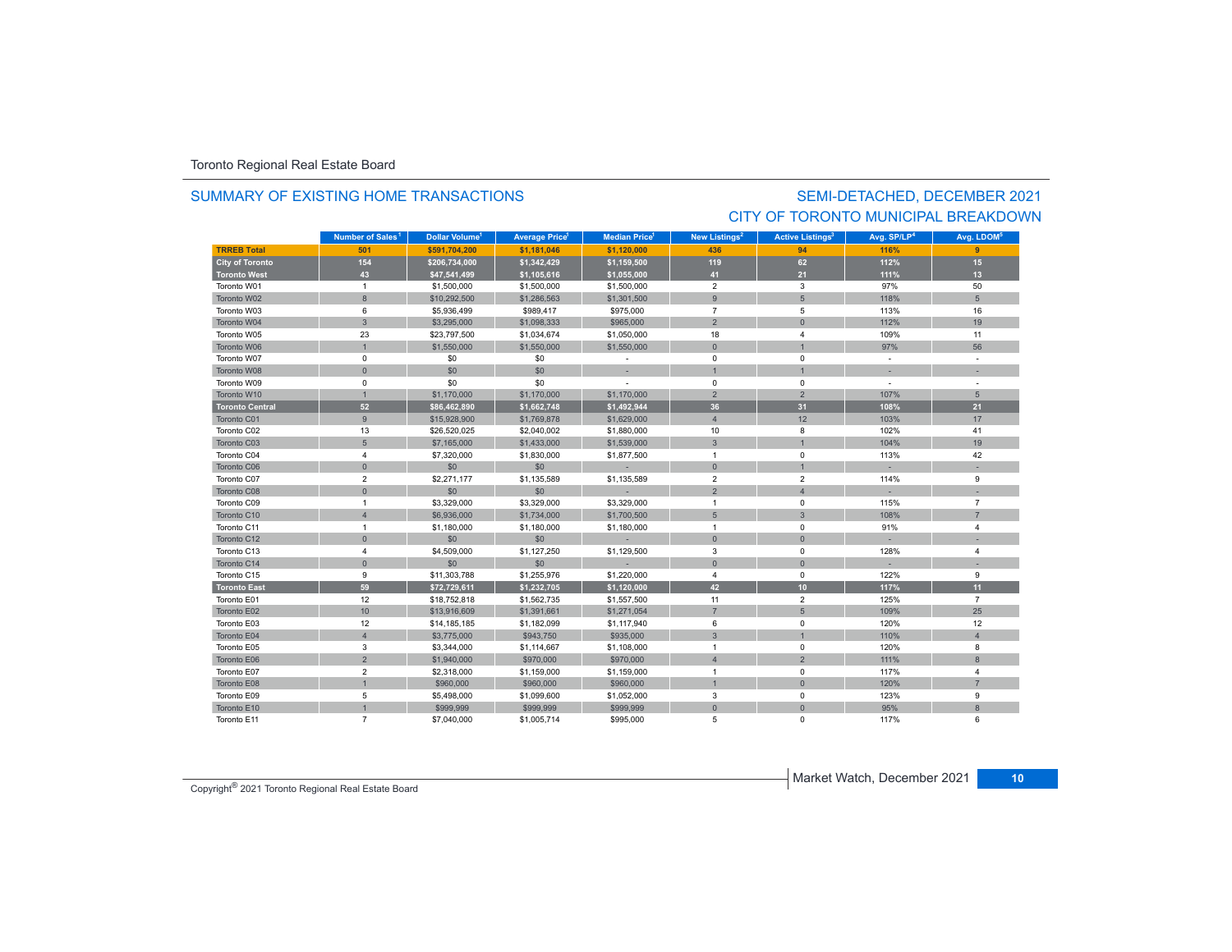### SUMMARY OF EXISTING HOME TRANSACTIONS

## SEMI-DETACHED, DECEMBER 2021 CITY OF TORONTO MUNICIPAL BREAKDOWN

|                        | Number of Sales <sup>1</sup> | Dollar Volume <sup>1</sup> | <b>Average Price</b> | <b>Median Price</b> | <b>New Listings<sup>2</sup></b> | <b>Active Listings<sup>3</sup></b> | Avg. SP/LP <sup>4</sup>  | Avg. LDOM <sup>5</sup> |
|------------------------|------------------------------|----------------------------|----------------------|---------------------|---------------------------------|------------------------------------|--------------------------|------------------------|
| <b>TRREB Total</b>     | 501                          | \$591,704,200              | \$1,181,046          | \$1,120,000         | 436                             | 94                                 | 116%                     | 9                      |
| <b>City of Toronto</b> | 154                          | \$206,734,000              | \$1,342,429          | \$1,159,500         | 119                             | 62                                 | 112%                     | 15                     |
| <b>Toronto West</b>    | 43                           | \$47,541,499               | \$1,105,616          | \$1,055,000         | 41                              | 21                                 | 111%                     | 13                     |
| Toronto W01            | $\mathbf{1}$                 | \$1,500,000                | \$1,500,000          | \$1,500,000         | $\overline{2}$                  | 3                                  | 97%                      | 50                     |
| Toronto W02            | 8                            | \$10,292,500               | \$1,286,563          | \$1,301,500         | 9                               | 5                                  | 118%                     | 5                      |
| Toronto W03            | 6                            | \$5,936,499                | \$989,417            | \$975,000           | $\overline{7}$                  | 5                                  | 113%                     | 16                     |
| Toronto W04            | $\mathbf{3}$                 | \$3,295,000                | \$1,098,333          | \$965,000           | $\overline{2}$                  | $\Omega$                           | 112%                     | 19                     |
| Toronto W05            | 23                           | \$23,797,500               | \$1,034,674          | \$1,050,000         | 18                              | 4                                  | 109%                     | 11                     |
| Toronto W06            | $\overline{1}$               | \$1,550,000                | \$1,550,000          | \$1,550,000         | $\overline{0}$                  |                                    | 97%                      | 56                     |
| Toronto W07            | 0                            | \$0                        | \$0                  |                     | $\mathbf 0$                     | $\mathbf 0$                        |                          |                        |
| Toronto W08            | $\mathbf{0}$                 | \$0                        | \$0                  |                     | $\overline{1}$                  | $\overline{1}$                     |                          |                        |
| Toronto W09            | $\mathbf 0$                  | \$0                        | \$0                  |                     | $\mathbf 0$                     | $\mathbf 0$                        | $\overline{\phantom{a}}$ |                        |
| Toronto W10            | $\mathbf{1}$                 | \$1,170,000                | \$1,170,000          | \$1,170,000         | $\overline{2}$                  | $\overline{2}$                     | 107%                     | 5                      |
| <b>Toronto Central</b> | 52                           | \$86,462,890               | \$1,662,748          | \$1,492,944         | 36                              | 31                                 | 108%                     | 21                     |
| Toronto C01            | 9                            | \$15,928,900               | \$1,769,878          | \$1,629,000         | $\overline{4}$                  | 12                                 | 103%                     | 17                     |
| Toronto C02            | 13                           | \$26,520,025               | \$2,040,002          | \$1,880,000         | 10                              | 8                                  | 102%                     | 41                     |
| Toronto C03            | 5                            | \$7,165,000                | \$1,433,000          | \$1,539,000         | $\mathbf{3}$                    |                                    | 104%                     | 19                     |
| Toronto C04            | 4                            | \$7,320,000                | \$1,830,000          | \$1,877,500         | $\overline{1}$                  | $\mathbf 0$                        | 113%                     | 42                     |
| Toronto C06            | $\mathbf{0}$                 | \$0                        | \$0                  |                     | $\mathbf{0}$                    | $\overline{1}$                     |                          |                        |
| Toronto C07            | $\overline{2}$               | \$2,271,177                | \$1,135,589          | \$1,135,589         | $\overline{2}$                  | $\overline{2}$                     | 114%                     | 9                      |
| Toronto C08            | $\mathbf{0}$                 | \$0                        | \$0                  |                     | $\overline{2}$                  | $\overline{4}$                     |                          |                        |
| Toronto C09            | $\overline{1}$               | \$3,329,000                | \$3,329,000          | \$3,329,000         | $\overline{1}$                  | $\Omega$                           | 115%                     | $\overline{7}$         |
| Toronto C10            | $\overline{4}$               | \$6,936,000                | \$1,734,000          | \$1,700,500         | 5                               | 3                                  | 108%                     | $\overline{7}$         |
| Toronto C11            | $\mathbf{1}$                 | \$1,180,000                | \$1,180,000          | \$1,180,000         | $\overline{1}$                  | $\mathbf 0$                        | 91%                      | 4                      |
| Toronto C12            | $\mathsf{O}\xspace$          | \$0                        | \$0                  |                     | $\mathbf 0$                     | $\mathbf{0}$                       |                          |                        |
| Toronto C13            | $\overline{4}$               | \$4,509,000                | \$1,127,250          | \$1,129,500         | 3                               | 0                                  | 128%                     | $\overline{4}$         |
| Toronto C14            | $\mathbf{0}$                 | \$0                        | \$0                  |                     | $\mathbf{0}$                    | $\mathbf{0}$                       |                          |                        |
| Toronto C15            | 9                            | \$11,303,788               | \$1,255,976          | \$1,220,000         | $\overline{4}$                  | $\mathbf 0$                        | 122%                     | 9                      |
| <b>Toronto East</b>    | 59                           | \$72,729,611               | \$1,232,705          | \$1,120,000         | 42                              | 10 <sub>1</sub>                    | 117%                     | 11                     |
| Toronto E01            | 12                           | \$18,752,818               | \$1,562,735          | \$1,557,500         | 11                              | $\overline{2}$                     | 125%                     | $\overline{7}$         |
| Toronto E02            | 10                           | \$13,916,609               | \$1,391,661          | \$1,271,054         | $\overline{7}$                  | 5                                  | 109%                     | 25                     |
| Toronto E03            | 12                           | \$14,185,185               | \$1,182,099          | \$1,117,940         | 6                               | $\mathbf 0$                        | 120%                     | 12                     |
| Toronto E04            | $\overline{4}$               | \$3,775,000                | \$943,750            | \$935,000           | $\overline{3}$                  | $\overline{1}$                     | 110%                     | $\overline{4}$         |
| Toronto E05            | 3                            | \$3,344,000                | \$1,114,667          | \$1,108,000         | $\overline{1}$                  | $\mathsf 0$                        | 120%                     | 8                      |
| Toronto E06            | $\overline{2}$               | \$1,940,000                | \$970,000            | \$970,000           | $\overline{4}$                  | $\overline{2}$                     | 111%                     | $\mathbf{8}$           |
| Toronto E07            | $\overline{2}$               | \$2,318,000                | \$1,159,000          | \$1,159,000         | $\overline{1}$                  | $\mathbf 0$                        | 117%                     | $\overline{4}$         |
| Toronto E08            | $\mathbf{1}$                 | \$960,000                  | \$960,000            | \$960,000           | $\overline{1}$                  | $\mathbf 0$                        | 120%                     |                        |
| Toronto E09            | 5                            | \$5,498,000                | \$1,099,600          | \$1,052,000         | 3                               | $\mathbf 0$                        | 123%                     | 9                      |
| Toronto E10            | $\overline{1}$               | \$999.999                  | \$999.999            | \$999.999           | $\mathbf{0}$                    | $\Omega$                           | 95%                      | $\mathbf{8}$           |
| Toronto E11            | $\overline{7}$               | \$7,040,000                | \$1,005,714          | \$995,000           | 5                               | $\Omega$                           | 117%                     | 6                      |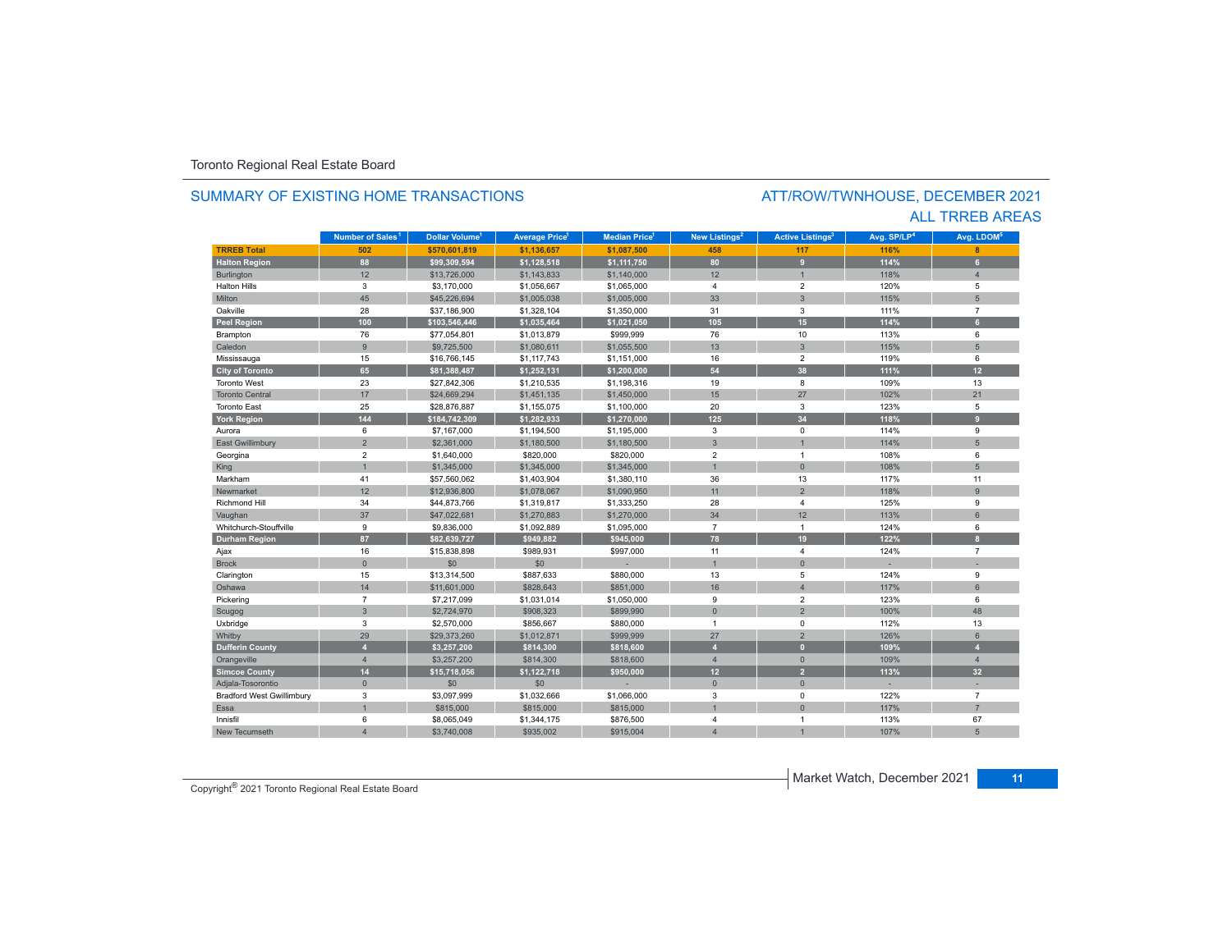### SUMMARY OF EXISTING HOME TRANSACTIONS

### ATT/ROW/TWNHOUSE, DECEMBER 2021 ALL TRREB AREAS

|                                  | Number of Sales <sup>1</sup> | Dollar Volume <sup>1</sup> | <b>Average Price</b> | <b>Median Price</b> | <b>New Listings<sup>2</sup></b> | <b>Active Listings<sup>3</sup></b> | Avg. SP/LP <sup>4</sup> | Avg. LDOM <sup>5</sup> |
|----------------------------------|------------------------------|----------------------------|----------------------|---------------------|---------------------------------|------------------------------------|-------------------------|------------------------|
| <b>TRREB Total</b>               | 502                          | \$570,601,819              | \$1,136,657          | \$1,087,500         | 458                             | 117                                | 116%                    | $\mathbf{R}$           |
| <b>Halton Region</b>             | 88                           | \$99,309,594               | \$1,128,518          | \$1,111,750         | 80                              | 9                                  | 114%                    | 6                      |
| Burlington                       | 12                           | \$13,726,000               | \$1,143,833          | \$1,140,000         | 12                              | $\overline{1}$                     | 118%                    | $\Delta$               |
| <b>Halton Hills</b>              | 3                            | \$3,170,000                | \$1,056,667          | \$1,065,000         | $\overline{4}$                  | $\overline{2}$                     | 120%                    | 5                      |
| Milton                           | 45                           | \$45,226,694               | \$1,005,038          | \$1,005,000         | 33                              | $\overline{3}$                     | 115%                    | 5                      |
| Oakville                         | 28                           | \$37,186,900               | \$1,328,104          | \$1,350,000         | 31                              | 3                                  | 111%                    | $\overline{7}$         |
| Peel Region                      | 100                          | \$103,546,446              | \$1,035,464          | \$1,021,050         | 105                             | 15                                 | 114%                    | $\mathbf{a}$           |
| Brampton                         | 76                           | \$77,054,801               | \$1,013,879          | \$999,999           | 76                              | 10                                 | 113%                    | 6                      |
| Caledon                          | $\overline{9}$               | \$9,725,500                | \$1,080,611          | \$1,055,500         | 13                              | $\overline{3}$                     | 115%                    | 5                      |
| Mississauga                      | 15                           | \$16,766,145               | \$1,117,743          | \$1,151,000         | 16                              | $\overline{2}$                     | 119%                    | 6                      |
| <b>City of Toronto</b>           | 65                           | \$81,388,487               | \$1,252,131          | \$1,200,000         | 54                              | 38                                 | 111%                    | 12                     |
| <b>Toronto West</b>              | 23                           | \$27,842,306               | \$1,210,535          | \$1,198,316         | 19                              | 8                                  | 109%                    | 13                     |
| <b>Toronto Central</b>           | 17                           | \$24,669,294               | \$1,451,135          | \$1,450,000         | 15                              | 27                                 | 102%                    | 21                     |
| <b>Toronto East</b>              | 25                           | \$28,876,887               | \$1,155,075          | \$1,100,000         | 20                              | 3                                  | 123%                    | 5                      |
| <b>York Region</b>               | 144                          | \$184,742,309              | \$1,282,933          | \$1,270,000         | 125                             | 34                                 | 118%                    | 9                      |
| Aurora                           | 6                            | \$7,167,000                | \$1,194,500          | \$1,195,000         | 3                               | $\mathbf 0$                        | 114%                    | 9                      |
| <b>East Gwillimbury</b>          | $\overline{2}$               | \$2,361,000                | \$1,180,500          | \$1,180,500         | 3                               | $\overline{1}$                     | 114%                    | 5                      |
| Georgina                         | $\overline{\mathbf{c}}$      | \$1,640,000                | \$820,000            | \$820,000           | $\overline{2}$                  | $\overline{1}$                     | 108%                    | 6                      |
| King                             | $\overline{1}$               | \$1,345,000                | \$1,345,000          | \$1,345,000         | $\overline{1}$                  | $\overline{0}$                     | 108%                    | 5                      |
| Markham                          | 41                           | \$57,560,062               | \$1,403,904          | \$1,380,110         | 36                              | 13                                 | 117%                    | 11                     |
| Newmarket                        | 12                           | \$12,936,800               | \$1,078,067          | \$1,090,950         | 11                              | $\overline{2}$                     | 118%                    | $\overline{9}$         |
| <b>Richmond Hill</b>             | 34                           | \$44,873,766               | \$1,319,817          | \$1,333,250         | 28                              | $\overline{4}$                     | 125%                    | 9                      |
| Vaughan                          | 37                           | \$47,022,681               | \$1,270,883          | \$1,270,000         | 34                              | 12                                 | 113%                    | 6                      |
| Whitchurch-Stouffville           | 9                            | \$9,836,000                | \$1,092,889          | \$1,095,000         | $\overline{7}$                  | $\overline{1}$                     | 124%                    | 6                      |
| <b>Durham Region</b>             | 87                           | \$82,639,727               | \$949,882            | \$945,000           | 78                              | 19                                 | 122%                    | $\mathbf{a}$           |
| Ajax                             | 16                           | \$15,838,898               | \$989,931            | \$997,000           | 11                              | $\overline{4}$                     | 124%                    | $\overline{7}$         |
| <b>Brock</b>                     | $\mathbf{0}$                 | \$0                        | \$0                  |                     | $\overline{1}$                  | $\overline{0}$                     |                         |                        |
| Clarington                       | 15                           | \$13,314,500               | \$887,633            | \$880,000           | 13                              | 5                                  | 124%                    | 9                      |
| Oshawa                           | 14                           | \$11,601,000               | \$828,643            | \$851,000           | 16                              | $\overline{4}$                     | 117%                    | 6                      |
| Pickering                        | $\overline{7}$               | \$7,217,099                | \$1,031,014          | \$1,050,000         | 9                               | $\overline{2}$                     | 123%                    | 6                      |
| Scugog                           | $\mathbf{3}$                 | \$2,724,970                | \$908,323            | \$899,990           | $\Omega$                        | $\overline{2}$                     | 100%                    | 48                     |
| Uxbridge                         | 3                            | \$2,570,000                | \$856,667            | \$880,000           | $\mathbf{1}$                    | $\mathbf 0$                        | 112%                    | 13                     |
| Whitby                           | 29                           | \$29,373,260               | \$1,012,871          | \$999,999           | 27                              | $\overline{2}$                     | 126%                    | 6                      |
| <b>Dufferin County</b>           | $\overline{4}$               | \$3,257,200                | \$814,300            | \$818,600           | $\overline{A}$                  | $\mathbf{0}$                       | 109%                    | А                      |
| Orangeville                      | $\overline{4}$               | \$3,257,200                | \$814,300            | \$818,600           | $\overline{4}$                  | $\Omega$                           | 109%                    | $\overline{4}$         |
| <b>Simcoe County</b>             | 14                           | \$15,718,056               | \$1,122,718          | \$950,000           | 12                              | $\overline{2}$                     | 113%                    | 32 <sub>2</sub>        |
| Adjala-Tosorontio                | $\mathsf{O}\xspace$          | \$0                        | \$0                  |                     | $\mathbf{0}$                    | $\mathbf 0$                        |                         |                        |
| <b>Bradford West Gwillimbury</b> | 3                            | \$3,097,999                | \$1,032,666          | \$1,066,000         | 3                               | $\mathbf 0$                        | 122%                    | $\overline{7}$         |
| <b>Essa</b>                      | $\overline{1}$               | \$815,000                  | \$815,000            | \$815,000           |                                 | $\mathbf{0}$                       | 117%                    | $\overline{7}$         |
| Innisfil                         | 6                            | \$8,065,049                | \$1,344,175          | \$876,500           | 4                               | $\overline{1}$                     | 113%                    | 67                     |
| New Tecumseth                    |                              | \$3,740,008                | \$935,002            | \$915,004           | 4                               |                                    | 107%                    |                        |

Copyright® 2021 Toronto Regional Real Estate Board

Market Watch, December 2021 **11**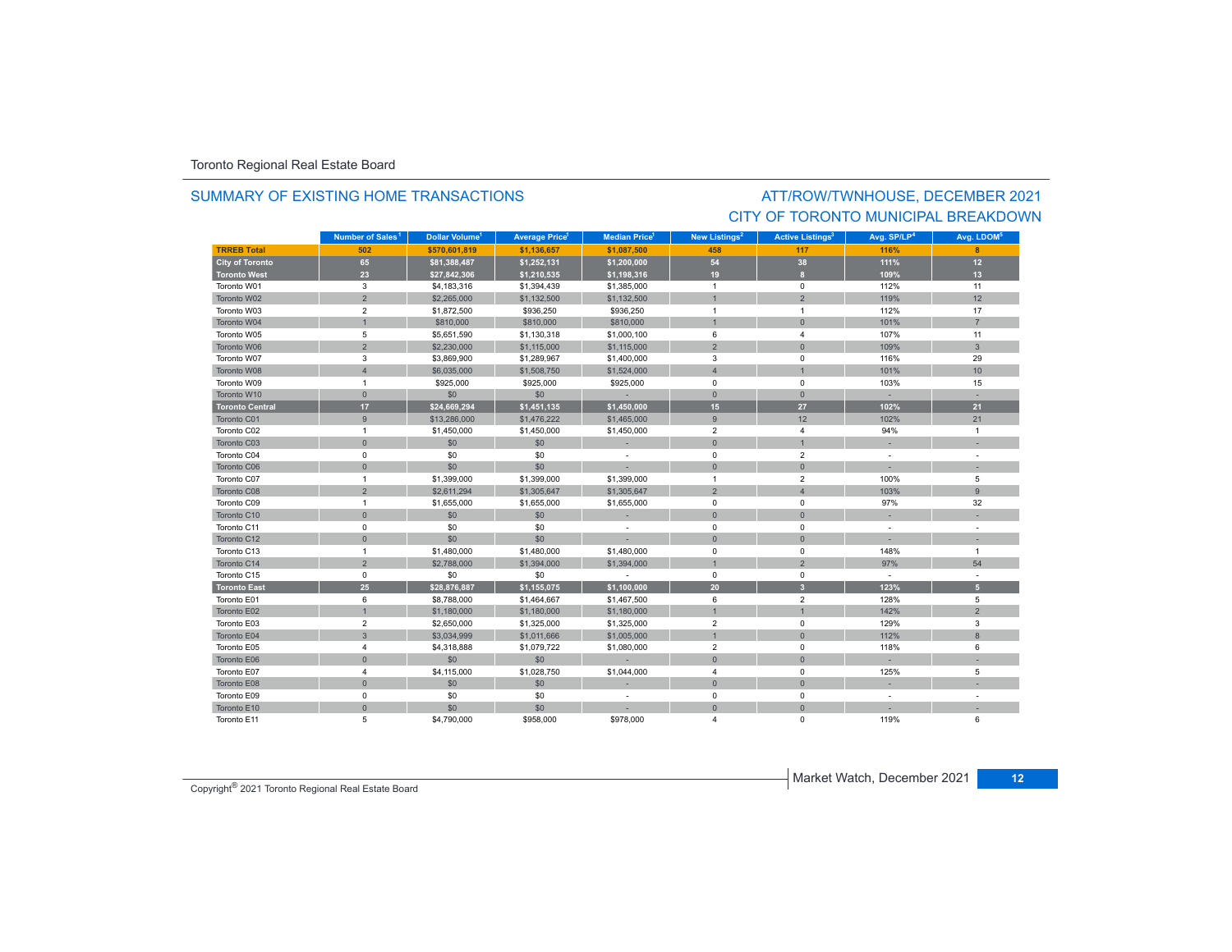### SUMMARY OF EXISTING HOME TRANSACTIONS

### ATT/ROW/TWNHOUSE, DECEMBER 2021 CITY OF TORONTO MUNICIPAL BREAKDOWN

|                        | Number of Sales <sup>1</sup> | Dollar Volume <sup>1</sup> | <b>Average Price<sup>1</sup></b> | <b>Median Price</b> <sup>1</sup> | New Listings <sup>2</sup> | <b>Active Listings<sup>3</sup></b> | Avg. SP/LP <sup>4</sup>  | Avg. LDOM <sup>5</sup> |
|------------------------|------------------------------|----------------------------|----------------------------------|----------------------------------|---------------------------|------------------------------------|--------------------------|------------------------|
| <b>TRREB Total</b>     | 502                          | \$570.601.819              | \$1.136.657                      | \$1.087.500                      | 458                       | 117                                | 116%                     |                        |
| <b>City of Toronto</b> | 65                           | \$81,388,487               | \$1,252,131                      | \$1,200,000                      | 54                        | 38                                 | 111%                     | 12                     |
| <b>Toronto West</b>    | 23                           | \$27,842,306               | \$1,210,535                      | \$1,198,316                      | 19                        | $\mathbf{a}$                       | 109%                     | 13                     |
| Toronto W01            | 3                            | \$4,183,316                | \$1,394,439                      | \$1,385,000                      | $\overline{1}$            | $\mathbf 0$                        | 112%                     | 11                     |
| Toronto W02            | $\overline{2}$               | \$2,265,000                | \$1,132,500                      | \$1,132,500                      |                           | $\overline{2}$                     | 119%                     | 12                     |
| Toronto W03            | $\overline{2}$               | \$1,872,500                | \$936,250                        | \$936,250                        | $\overline{1}$            | $\overline{1}$                     | 112%                     | 17                     |
| Toronto W04            | $\overline{1}$               | \$810,000                  | \$810,000                        | \$810,000                        |                           | $\mathbf{0}$                       | 101%                     | $\overline{7}$         |
| Toronto W05            | 5                            | \$5,651,590                | \$1,130,318                      | \$1,000,100                      | 6                         | $\overline{4}$                     | 107%                     | 11                     |
| Toronto W06            | $\overline{2}$               | \$2,230,000                | \$1,115,000                      | \$1,115,000                      | $\overline{2}$            | $\mathbf{0}$                       | 109%                     | $\overline{3}$         |
| Toronto W07            | 3                            | \$3,869,900                | \$1,289,967                      | \$1,400,000                      | 3                         | $\Omega$                           | 116%                     | 29                     |
| Toronto W08            | $\overline{4}$               | \$6,035,000                | \$1,508,750                      | \$1,524,000                      | $\overline{4}$            | $\overline{1}$                     | 101%                     | 10                     |
| Toronto W09            | $\mathbf{1}$                 | \$925,000                  | \$925,000                        | \$925,000                        | $\mathbf 0$               | $^{\circ}$                         | 103%                     | 15                     |
| Toronto W10            | $\mathbf{0}$                 | \$0                        | \$0                              | $\sim$                           | $\mathbf{0}$              | $\overline{0}$                     |                          |                        |
| <b>Toronto Central</b> | 17                           | \$24,669,294               | \$1,451,135                      | \$1,450,000                      | 15                        | 27                                 | 102%                     | 21                     |
| Toronto C01            | 9                            | \$13,286,000               | \$1,476,222                      | \$1,465,000                      | 9                         | 12                                 | 102%                     | 21                     |
| Toronto C02            | $\overline{1}$               | \$1,450,000                | \$1,450,000                      | \$1,450,000                      | $\overline{2}$            | $\overline{4}$                     | 94%                      | $\mathbf{1}$           |
| Toronto C03            | $\mathbf 0$                  | \$0                        | \$0                              |                                  | $\mathbf 0$               | $\overline{1}$                     |                          |                        |
| Toronto C04            | $^{\circ}$                   | \$0                        | \$0                              | $\overline{\phantom{a}}$         | $\mathbf 0$               | $\overline{2}$                     | $\overline{\phantom{a}}$ |                        |
| Toronto C06            | $\mathbf{0}$                 | \$0                        | \$0                              |                                  | $\mathbf{0}$              | $\mathbf{0}$                       |                          |                        |
| Toronto C07            | $\mathbf{1}$                 | \$1,399,000                | \$1,399,000                      | \$1,399,000                      | $\overline{1}$            | $\overline{2}$                     | 100%                     | 5                      |
| Toronto C08            | $\overline{2}$               | \$2,611,294                | \$1,305,647                      | \$1,305,647                      | $\overline{2}$            | $\overline{4}$                     | 103%                     | $\overline{9}$         |
| Toronto C09            | $\overline{1}$               | \$1,655,000                | \$1,655,000                      | \$1,655,000                      | $\mathbf 0$               | $^{\circ}$                         | 97%                      | 32                     |
| Toronto C10            | $\mathbf{0}$                 | \$0                        | \$0                              | ×,                               | $\mathbf{0}$              | $\overline{0}$                     |                          |                        |
| Toronto C11            | $\mathsf 0$                  | \$0                        | \$0                              | $\sim$                           | $\mathsf 0$               | $^{\circ}$                         | $\sim$                   |                        |
| Toronto C12            | $\mathbf 0$                  | \$0                        | \$0                              |                                  | $\mathbf{0}$              | $\mathbf{0}$                       |                          |                        |
| Toronto C13            | $\mathbf{1}$                 | \$1,480,000                | \$1,480,000                      | \$1,480,000                      | $\pmb{0}$                 | $\mathbf 0$                        | 148%                     | $\mathbf{1}$           |
| Toronto C14            | $\overline{2}$               | \$2,788,000                | \$1,394,000                      | \$1,394,000                      |                           | $\overline{2}$                     | 97%                      | 54                     |
| Toronto C15            | $\mathsf 0$                  | \$0                        | \$0                              | $\sim$                           | $\mathsf 0$               | $^{\circ}$                         | $\sim$                   |                        |
| <b>Toronto East</b>    | 25                           | \$28,876,887               | \$1,155,075                      | \$1,100,000                      | 20 <sup>2</sup>           | 3                                  | 123%                     | 5 <sup>1</sup>         |
| Toronto E01            | 6                            | \$8,788,000                | \$1,464,667                      | \$1,467,500                      | 6                         | $\overline{2}$                     | 128%                     | 5                      |
| Toronto E02            | $\mathbf{1}$                 | \$1,180,000                | \$1,180,000                      | \$1,180,000                      |                           | $\overline{1}$                     | 142%                     | $\overline{2}$         |
| Toronto E03            | $\overline{2}$               | \$2,650,000                | \$1,325,000                      | \$1,325,000                      | $\overline{2}$            | $^{\circ}$                         | 129%                     | 3                      |
| Toronto E04            | $\mathbf{3}$                 | \$3,034,999                | \$1,011,666                      | \$1,005,000                      |                           | $\Omega$                           | 112%                     | 8                      |
| Toronto E05            | 4                            | \$4,318,888                | \$1,079,722                      | \$1,080,000                      | $\overline{2}$            | $^{\circ}$                         | 118%                     | 6                      |
| Toronto E06            | $\mathbf{0}$                 | \$0                        | \$0                              |                                  | $\mathbf{0}$              | $\overline{0}$                     |                          |                        |
| Toronto E07            | $\overline{4}$               | \$4,115,000                | \$1,028,750                      | \$1,044,000                      | $\overline{4}$            | $\mathbf 0$                        | 125%                     | 5                      |
| Toronto E08            | $\mathbf{0}$                 | \$0                        | \$0                              |                                  | $\mathbf 0$               | $\mathbf 0$                        |                          |                        |
| Toronto E09            | $\mathbf 0$                  | \$0                        | \$0                              | $\sim$                           | $\mathbf 0$               | $\mathbf 0$                        | ÷                        |                        |
| Toronto E10            | $\mathbf{0}$                 | \$0                        | \$0                              |                                  | $\mathbf{0}$              | $\Omega$                           |                          |                        |
| Toronto E11            | 5                            | \$4,790,000                | \$958,000                        | \$978,000                        | $\boldsymbol{\Lambda}$    | 0                                  | 119%                     | 6                      |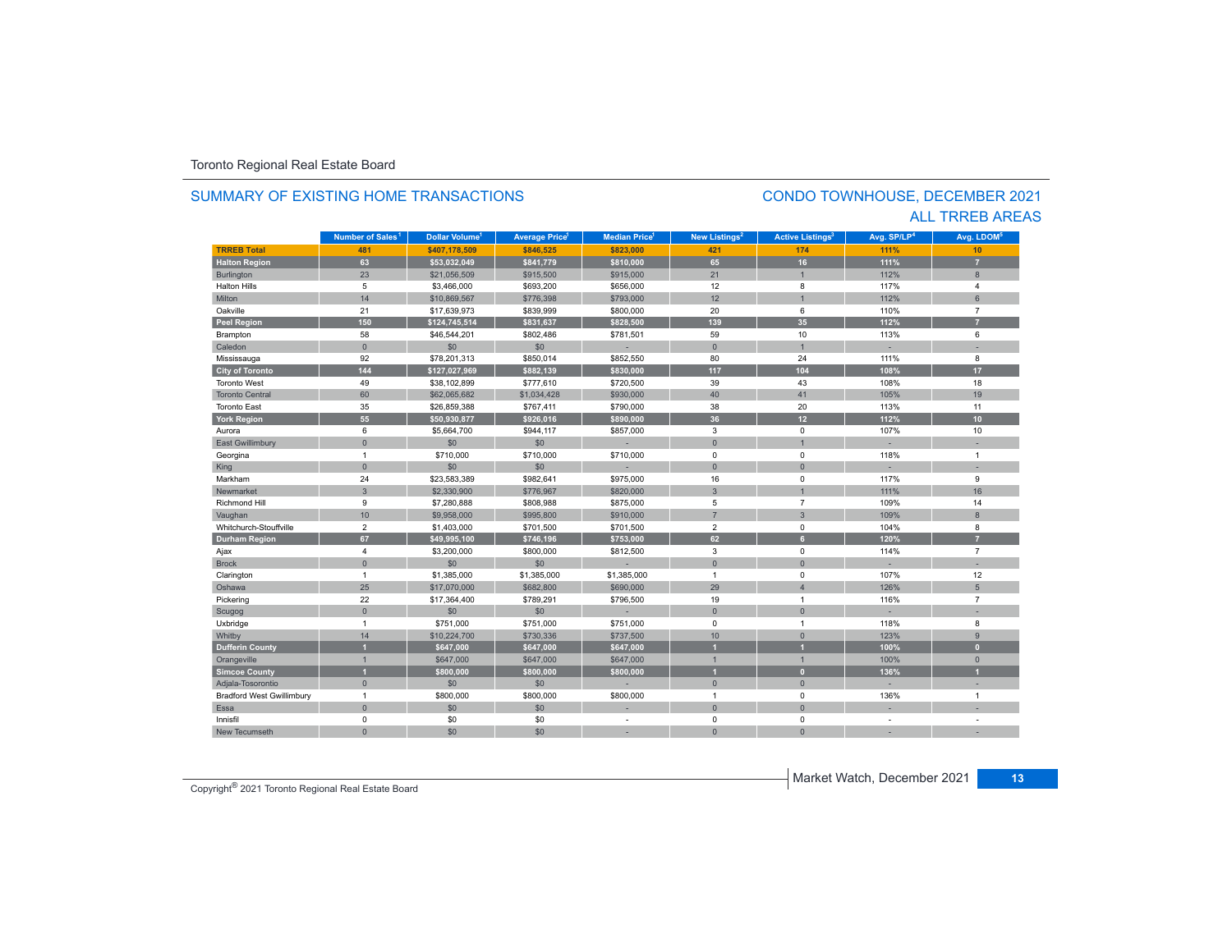#### **TRREB Total 481 \$407,178,509 \$846,525 \$823,000 421 174 111%111%** 10 **Halton Region 63 \$53,032,049 \$841,779 \$810,000 65 16 111% 7** Burlington 23 \$21,056,509 \$915,500 \$915,000 21 1 112% 8 Halton Hills $s \hspace{2.5cm} 5$  \$3,466,000 \$693,200 \$656,000 12 8 117% $%$  4 Miltonn 14 \$10,869,567 \$776,398 \$793,000 12 1 112% 6 Oakvillee 21 \$17,639,973 \$839,999 \$800,000 20 6 110% 7 **Peel Region 150 \$124,745,514 \$831,637 \$828,500 139 35 112% 7** Brampton 58 \$46,544,201 \$802,486 \$781,501 59 10 113% 6 Caledonn 1 - 0 - 1 - 50 - 1 - 50 - 1 - 1 - 1 - 1 - 1 - 1 Mississauga 92 \$78,201,313 \$850,014 \$852,550 80 24 111% 8 **City of Toronto 144 \$127,027,969 \$882,139 \$830,000 117 104 108% 17** Toronto West 49 \$38,102,899 \$777,610 \$720,500 39 43 108%108% 18 Toronto Central 60 \$62,065,682 \$1,034,428 \$930,000 40 41 105%105% 19 Toronto Eastt 35 \$26,859,388 \$767,411 \$790,000 38 20 113%% 11 **York Region 55 \$50,930,877 \$926,016 \$890,000 36 12 112% 10** Auroraa 6 \$5,664,700 \$944,117 \$857,000 3 0 107% 107% 10 East Gwillimbury 0 \$0 \$0 - 0 1 - - Georgina 1 \$710,000 \$710,000 \$710,000 0 0 118% 1 King the second term of the second term of the second term of the second term of the second term of the second Markhamm 24 \$23,583,389 \$982,641 \$975,000 16 0 117% 9 Newmarket 3 \$2,330,900 \$776,967 \$820,000 3 1 111%111% 16 Richmond Hill 9 \$7,280,888 \$808,988 \$875,000 5 7 109%% 14 Vaughan 10 10 \$9,958,000 \$995,800 \$995,800 \$910,000 7 7 3 3 109% 80% 8 Whitchurch-Stouffville 2 \$1,403,000 \$701,500 \$701,500 2 0 104% 8 **Durham Region 67 \$49,995,100 \$746,196 \$753,000 62 6 120% 7** Ajax 4 \$3,200,000 \$800,000 \$812,500 3 7 Brock 0 \$0 \$0 - 0 0 - - Clarington 1 \$1,385,000 \$1,385,000 1 107% 12 Oshawa 25 \$17,070,000 \$682,800 \$690,000 29 4 126% 5 Pickering 22 \$17,364,400 \$789,291 \$796,500 19 1 116% 7 Scugog 0 \$0 \$0 - 0 0 - - Uxbridge 1 \$751,000 \$751,000 \$751,000 0 1 118% 8 Whitby 14 14 \$10,224,700 \$730,336 \$737,500 10 10 0 123% 123% 9 **Dufferin County 1 \$647,000 \$647,000 \$647,000 1 1 100% 0** Orangeville 1 \$647,000 \$647,000 \$647,000 1 1 100% 0 **Simcoe County 1 \$800,000 \$800,000 \$800,000 1 0 136% 1** Adjala-Tosorontio 0 \$0 \$0 - 0 0 - - Bradford West Gwillimbury 1 \$800,000 \$800,000 \$800,000 1 0 136% 1 Essaa dia 1980 - Aniso ao amin'ny faritr'i Nouvelle-Aquitaine, ao amin'ny faritr'i Nouvelle-Aquitaine, ao amin'ny Innisfil 0 \$0 \$0 - 0 0 - - New Tecumseth**Municipality Number of Sales Dollar Volume Average Price Median Price New Listings Active Listings Avg. SP/LP Avg. LDOM** SUMMARY OF EXISTING HOME TRANSACTIONS**Number of Sales<sup>1</sup> 1** Dollar Volume<sup>1</sup> | Average Price<sup>1</sup> | Median Price<sup>1</sup> | New Listings<sup>2</sup> | Active Listings<sup>3</sup> | Avg. SP/LP<sup>4</sup> | Avg. LDOM<sup>s</sup>

0 \$0 \$0 - 0 0 - -

### CONDO TOWNHOUSE, DECEMBER 2021 ALL TRREB AREAS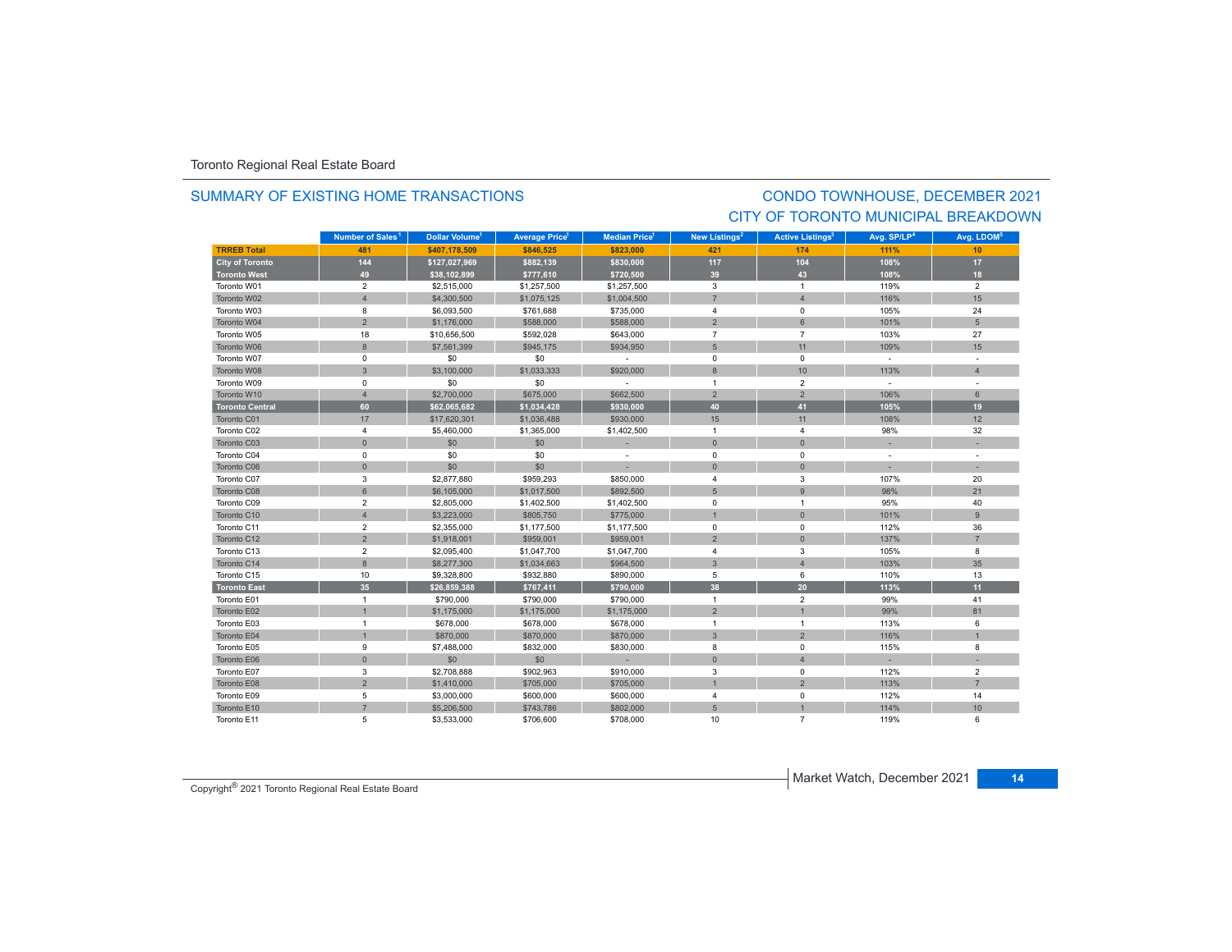### SUMMARY OF EXISTING HOME TRANSACTIONS

### CONDO TOWNHOUSE, DECEMBER 2021 CITY OF TORONTO MUNICIPAL BREAKDOWN

|                        | Number of Sales <sup>1</sup> | Dollar Volume <sup>1</sup> | <b>Average Price<sup>1</sup></b> | <b>Median Price</b> <sup>1</sup> | New Listings <sup>2</sup> | <b>Active Listings<sup>3</sup></b> | Avg. SP/LP <sup>4</sup> | Avg. LDOM <sup>5</sup> |
|------------------------|------------------------------|----------------------------|----------------------------------|----------------------------------|---------------------------|------------------------------------|-------------------------|------------------------|
| <b>TRREB Total</b>     | 481                          | \$407.178.509              | \$846.525                        | \$823,000                        | 421                       | 174                                | 111%                    | 10                     |
| <b>City of Toronto</b> | 144                          | \$127,027,969              | \$882,139                        | \$830,000                        | 117                       | 104                                | 108%                    | $17$                   |
| <b>Toronto West</b>    | 49                           | \$38,102,899               | \$777,610                        | \$720,500                        | 39                        | 43                                 | 108%                    | 18                     |
| Toronto W01            | $\overline{2}$               | \$2,515,000                | \$1,257,500                      | \$1,257,500                      | $\mathbf{3}$              | $\mathbf{1}$                       | 119%                    | $\overline{2}$         |
| Toronto W02            | $\overline{4}$               | \$4,300,500                | \$1,075,125                      | \$1,004,500                      | $\overline{7}$            | $\overline{4}$                     | 116%                    | 15                     |
| Toronto W03            | 8                            | \$6,093,500                | \$761,688                        | \$735,000                        | 4                         | 0                                  | 105%                    | 24                     |
| Toronto W04            | $\overline{2}$               | \$1,176,000                | \$588,000                        | \$588,000                        | $\overline{2}$            | 6                                  | 101%                    | 5 <sup>5</sup>         |
| Toronto W05            | 18                           | \$10,656,500               | \$592,028                        | \$643,000                        | $\overline{7}$            | $\overline{7}$                     | 103%                    | 27                     |
| Toronto W06            | 8                            | \$7,561,399                | \$945,175                        | \$934.950                        | $5\phantom{.0}$           | 11                                 | 109%                    | 15                     |
| Toronto W07            | $\mathbf 0$                  | \$0                        | \$0                              | $\sim$                           | $\mathbf 0$               | $\mathbf 0$                        | $\mathbf{r}$            |                        |
| Toronto W08            | 3                            | \$3,100,000                | \$1,033,333                      | \$920,000                        | 8                         | 10                                 | 113%                    | $\overline{4}$         |
| Toronto W09            | 0                            | \$0                        | \$0                              |                                  | $\overline{1}$            | $\overline{2}$                     | $\sim$                  |                        |
| Toronto W10            | $\overline{4}$               | \$2,700,000                | \$675,000                        | \$662,500                        | 2                         | $\overline{2}$                     | 106%                    | 6                      |
| <b>Toronto Central</b> | 60                           | \$62,065,682               | \$1,034,428                      | \$930.000                        | 40                        | 41                                 | 105%                    | 19                     |
| Toronto C01            | 17                           | \$17,620,301               | \$1,036,488                      | \$930,000                        | 15                        | 11                                 | 108%                    | 12                     |
| Toronto C02            | $\overline{4}$               | \$5,460,000                | \$1,365,000                      | \$1,402,500                      | $\overline{1}$            | $\overline{4}$                     | 98%                     | 32                     |
| Toronto C03            | $\mathsf{O}\xspace$          | \$0                        | \$0                              |                                  | $\mathbf 0$               | $\overline{0}$                     |                         |                        |
| Toronto C04            | $\mathbf 0$                  | \$0                        | \$0                              | $\overline{\phantom{a}}$         | $^{\circ}$                | $\mathbf 0$                        | $\sim$                  |                        |
| Toronto C06            | $\mathbf{0}$                 | \$0                        | \$0                              |                                  | $\mathbf{0}$              | $\mathbf{0}$                       |                         |                        |
| Toronto C07            | 3                            | \$2,877,880                | \$959,293                        | \$850,000                        | $\overline{4}$            | 3                                  | 107%                    | 20                     |
| Toronto C08            | $6\phantom{1}$               | \$6,105,000                | \$1,017,500                      | \$892,500                        | 5                         | $\overline{9}$                     | 98%                     | 21                     |
| Toronto C09            | $\overline{2}$               | \$2,805,000                | \$1,402,500                      | \$1,402,500                      | $^{\circ}$                | $\overline{1}$                     | 95%                     | 40                     |
| Toronto C10            | $\overline{4}$               | \$3,223,000                | \$805,750                        | \$775,000                        | $\mathbf{1}$              | $\mathbf{0}$                       | 101%                    | 9                      |
| Toronto C11            | $\overline{2}$               | \$2,355,000                | \$1,177,500                      | \$1,177,500                      | $^{\circ}$                | $\mathbf 0$                        | 112%                    | 36                     |
| Toronto C12            | $\overline{2}$               | \$1,918,001                | \$959,001                        | \$959,001                        | $\overline{2}$            | $\mathbf{0}$                       | 137%                    | $\overline{7}$         |
| Toronto C13            | $\overline{2}$               | \$2,095,400                | \$1,047,700                      | \$1,047,700                      | $\overline{4}$            | 3                                  | 105%                    | 8                      |
| Toronto C14            | 8                            | \$8,277,300                | \$1,034,663                      | \$964,500                        | $\overline{3}$            | $\overline{4}$                     | 103%                    | 35                     |
| Toronto C15            | 10                           | \$9,328,800                | \$932,880                        | \$890,000                        | 5                         | 6                                  | 110%                    | 13                     |
| <b>Toronto East</b>    | 35                           | \$26,859,388               | \$767,411                        | \$790,000                        | 38                        | 20                                 | 113%                    | 11                     |
| Toronto E01            | $\mathbf{1}$                 | \$790,000                  | \$790,000                        | \$790,000                        | $\overline{1}$            | $\overline{2}$                     | 99%                     | 41                     |
| Toronto E02            | $\mathbf{1}$                 | \$1,175,000                | \$1,175,000                      | \$1,175,000                      | $\overline{2}$            |                                    | 99%                     | 81                     |
| Toronto E03            | $\overline{1}$               | \$678,000                  | \$678,000                        | \$678,000                        | $\overline{1}$            | 1                                  | 113%                    | 6                      |
| Toronto E04            | $\overline{1}$               | \$870,000                  | \$870,000                        | \$870,000                        | $\overline{3}$            | $\overline{2}$                     | 116%                    | $\overline{1}$         |
| Toronto E05            | 9                            | \$7,488,000                | \$832,000                        | \$830,000                        | 8                         | 0                                  | 115%                    | 8                      |
| Toronto E06            | $\mathbf{0}$                 | \$0                        | \$0                              |                                  | $\mathbf{0}$              | $\overline{4}$                     |                         |                        |
| Toronto E07            | 3                            | \$2,708,888                | \$902,963                        | \$910,000                        | $\mathbf{3}$              | $\mathbf 0$                        | 112%                    | $\overline{2}$         |
| Toronto E08            | $\overline{2}$               | \$1,410,000                | \$705,000                        | \$705,000                        |                           | $\overline{2}$                     | 113%                    | $\overline{7}$         |
| Toronto E09            | 5                            | \$3,000,000                | \$600,000                        | \$600,000                        | $\overline{4}$            | $\Omega$                           | 112%                    | 14                     |
| Toronto E10            | $\overline{7}$               | \$5,206,500                | \$743,786                        | \$802,000                        | 5                         |                                    | 114%                    | 10                     |
| Toronto E11            | 5                            | \$3,533,000                | \$706,600                        | \$708,000                        | 10                        | $\overline{7}$                     | 119%                    | 6                      |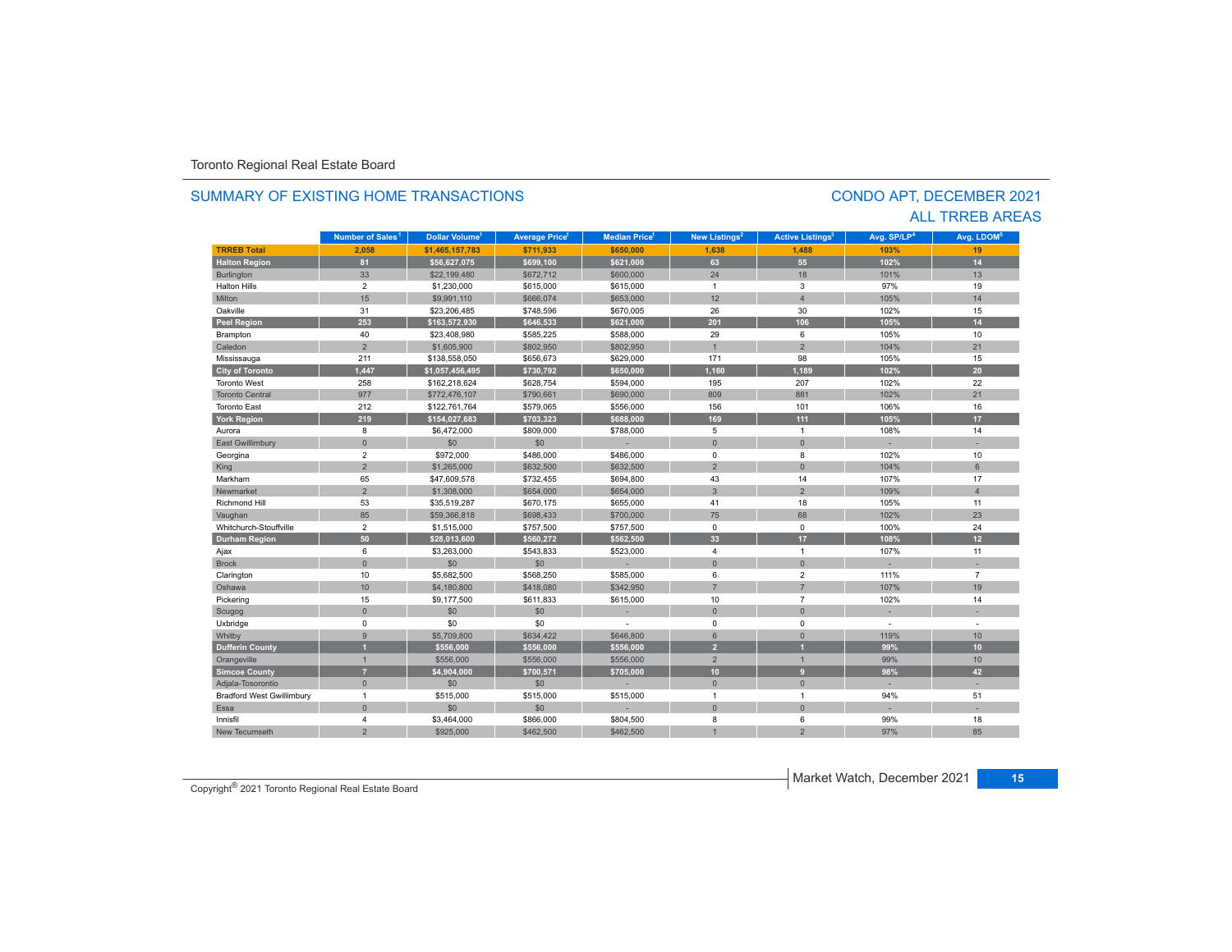#### **TRREB Total 2,058 \$1,465,157,783 \$711,933 \$650,000 1,638 1,488 103%103%** 19 **Halton Region 81 \$56,627,075 \$699,100 \$621,000 63 55 102% 14** Burlington 33 \$22,199,480 \$672,712 \$600,000 24 18 101% 13 Halton Hills $\sim$  2 \$1,230,000 \$615,000 \$615,000 1 3 97%% 19 Miltonn 15 \$9,991,110 \$666,074 \$653,000 12 105% 105% 14 Oakvillee 31 \$23,206,485 \$748,596 \$670,005 26 30 102% 102% 15 **Peel Region 253 \$163,572,930 \$646,533 \$621,000 201 106 105% 14** Brampton 40 \$23,408,980 \$585,225 \$588,000 29 6 105% 10 Caledonn 2 \$1,605,900 \$802,950 \$802,950 1 1 2 104% 104% 21 Mississauga 211 \$138,558,050 \$656,673 \$629,000 171 98 105% 15 **City of Toronto 1,447 \$1,057,456,495 \$730,792 \$650,000 1,160 1,189 102% 20** Toronto West 258 $$162,218,624$   $$628,754$   $$594,000$   $195$  207 207 102% 22 Toronto Central 977 $$772,476,107$   $$790,661$   $$690,000$  809 881 881 102% 21 Toronto East 212 \$122,761,764 \$579,065 \$556,000 156 101 106%% 16 **York Region 219 \$154,027,683 \$703,323 \$688,000 169 111 105% 17** Aurora8 \$6,472,000 \$809,000 \$788,000 \$788,000 5 1 108% 108% 108% 14 East Gwillimbury 0 \$0 \$0 - 0 0 - - Georgina 2 \$972,000 \$486,000 \$486,000 0 8 102% 10 King 2 \$1,265,000 \$632,500 \$632,500 \$632,500 \$632,500 \$ Markhamm 65 \$47,609,578 \$732,455 \$694,800 43 14 107% 107% 17 Newmarket 2 \$1,308,000 \$654,000 \$654,000 3 2 109%109% 4 Richmond Hill 53 \$35,519,287 \$670,175 \$655,000 41 18 105%% 11 Vaughan 85 85 \$59,366,818 \$698,433 \$700,000 75 68 102% 102% 23 Whitchurch-Stouffville 2 \$1,515,000 \$757,500 \$757,500 0 0 100%100% 24 **Durham Region 50 \$28,013,600 \$560,272 \$562,500 33 17 108% 12** Ajax 6 \$3,263,000 \$543,833 \$523,000 4 1 1 107% 11 Brock 0 \$0 \$0 - 0 0 - - Clarington 10 \$5,682,500 \$568,250 \$585,000 6 2 111% 7 Oshawa 10 \$4,180,800 \$418,080 \$342,950 7 7 107%107% 19 Pickering 15 \$9,177,500 \$611,833 \$615,000 10 7 102% 14 Scugog 0 \$0 \$0 - 0 0 - - Uxbridge 0 \$0 \$0 - 0 0 - - Whitby 9 \$5,709,800 \$634,422 \$646,800 6 0 119% 10 **Dufferin County 1 \$556,000 \$556,000 \$556,000 2 1 99% 10** Orangeville 1 \$556,000 \$556,000 \$556,000 2 1 99% 10 **Simcoe County 7 \$4,904,000 \$700,571 \$705,000 10 9 98% 42** Adjala-Tosorontio 0 \$0 \$0 - 0 0 - - Bradford West Gwillimbury 1 \$515,000 \$515,000 1 1 51 Essaa dia 1980 - Aniso ao amin'ny faritr'i Nouvelle-Aquitaine, ao amin'ny faritr'i Nouvelle-Aquitaine, ao amin'ny Innisfil 4 $\texttt{4} \quad \texttt{\$3,464,000} \quad \texttt{\$866,000} \quad \texttt{\$804,500} \quad \texttt{8} \quad \texttt{8} \quad \texttt{6} \quad \texttt{99\%}$  18 New Tecumseth97% 85 **Municipality Number of Sales Dollar Volume Average Price Median Price New Listings Active Listings Avg. SP/LP Avg. LDOM** CONDO APT, DECEMBER 2021 **Number of Sales<sup>1</sup> 1 1 1 2 3 4 5**

2 \$925,000 \$462,500 \$462,500 1 2 97%

### SUMMARY OF EXISTING HOME TRANSACTIONS

ALL TRREB AREAS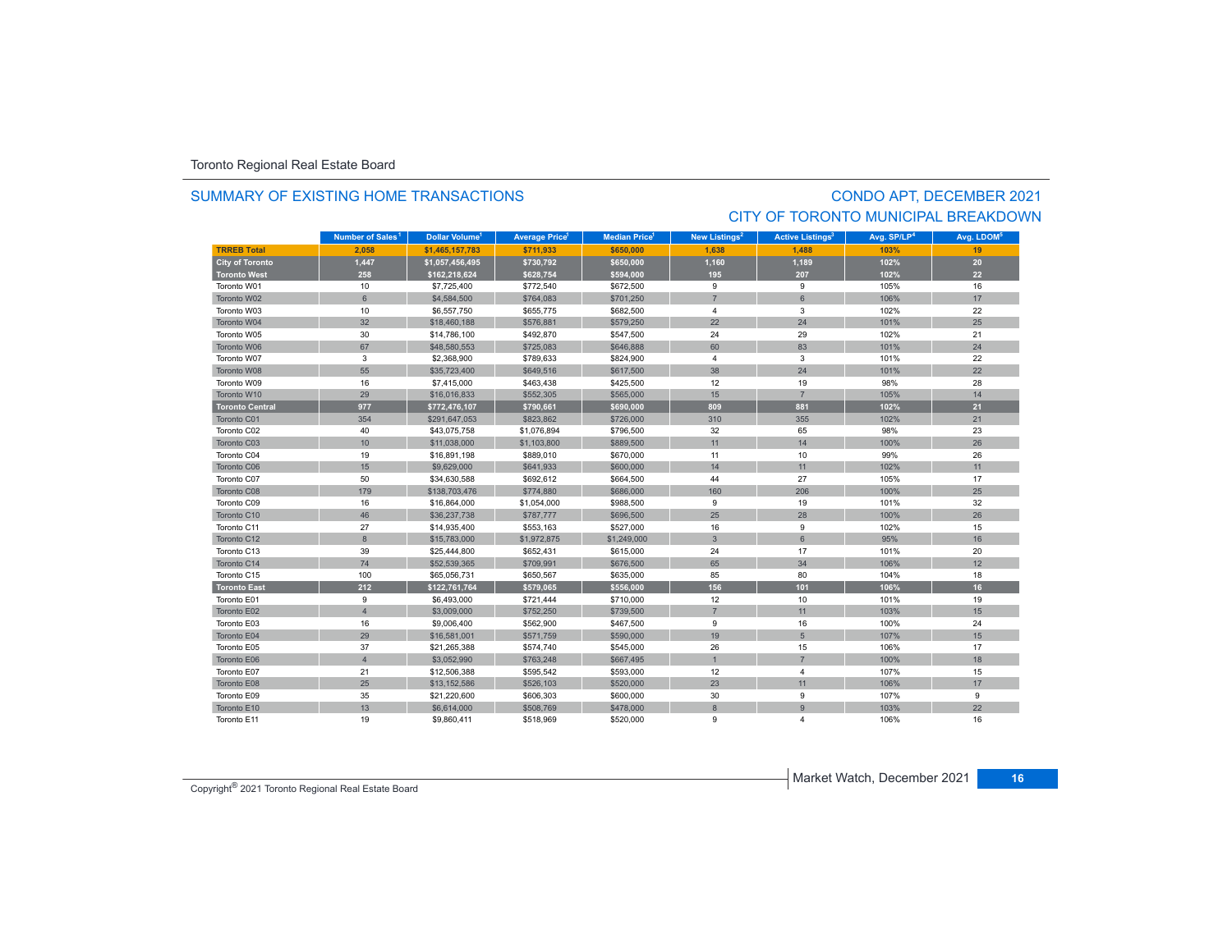### SUMMARY OF EXISTING HOME TRANSACTIONS

# CONDO APT, DECEMBER 2021 CITY OF TORONTO MUNICIPAL BREAKDOWN

|                        | Number of Sales <sup>1</sup> | Dollar Volume <sup>1</sup> | Average Price <sup>1</sup> | <b>Median Price</b> | New Listings <sup>2</sup> | <b>Active Listings<sup>3</sup></b> | Avg. SP/LP <sup>4</sup> | Avg. LDOM <sup>5</sup> |
|------------------------|------------------------------|----------------------------|----------------------------|---------------------|---------------------------|------------------------------------|-------------------------|------------------------|
| <b>TRREB Total</b>     | 2.058                        | \$1.465.157.783            | \$711.933                  | \$650,000           | 1.638                     | 1.488                              | 103%                    | 19                     |
| <b>City of Toronto</b> | 1,447                        | \$1,057,456,495            | \$730,792                  | \$650,000           | 1,160                     | 1,189                              | 102%                    | 20                     |
| <b>Toronto West</b>    | 258                          | \$162,218,624              | \$628,754                  | \$594,000           | 195                       | 207                                | 102%                    | 22                     |
| Toronto W01            | 10                           | \$7,725,400                | \$772,540                  | \$672,500           | 9                         | 9                                  | 105%                    | 16                     |
| Toronto W02            | 6                            | \$4,584,500                | \$764,083                  | \$701,250           | $\overline{7}$            | 6                                  | 106%                    | 17                     |
| Toronto W03            | 10                           | \$6,557,750                | \$655,775                  | \$682,500           | $\overline{4}$            | 3                                  | 102%                    | 22                     |
| Toronto W04            | 32                           | \$18,460,188               | \$576,881                  | \$579,250           | 22                        | 24                                 | 101%                    | 25                     |
| Toronto W05            | 30                           | \$14,786,100               | \$492,870                  | \$547,500           | 24                        | 29                                 | 102%                    | 21                     |
| Toronto W06            | 67                           | \$48,580,553               | \$725,083                  | \$646,888           | 60                        | 83                                 | 101%                    | 24                     |
| Toronto W07            | 3                            | \$2,368,900                | \$789,633                  | \$824,900           | $\overline{4}$            | 3                                  | 101%                    | 22                     |
| Toronto W08            | 55                           | \$35,723,400               | \$649,516                  | \$617,500           | 38                        | 24                                 | 101%                    | 22                     |
| Toronto W09            | 16                           | \$7,415,000                | \$463,438                  | \$425,500           | 12                        | 19                                 | 98%                     | 28                     |
| Toronto W10            | 29                           | \$16,016,833               | \$552,305                  | \$565,000           | 15                        | $\overline{7}$                     | 105%                    | 14                     |
| <b>Toronto Central</b> | 977                          | \$772,476,107              | \$790,661                  | \$690,000           | 809                       | 881                                | 102%                    | 21                     |
| Toronto C01            | 354                          | \$291,647,053              | \$823,862                  | \$726,000           | 310                       | 355                                | 102%                    | 21                     |
| Toronto C02            | 40                           | \$43,075,758               | \$1,076,894                | \$796,500           | 32                        | 65                                 | 98%                     | 23                     |
| Toronto C03            | 10                           | \$11,038,000               | \$1,103,800                | \$889,500           | 11                        | 14                                 | 100%                    | 26                     |
| Toronto C04            | 19                           | \$16,891,198               | \$889,010                  | \$670,000           | 11                        | 10                                 | 99%                     | 26                     |
| Toronto C06            | 15                           | \$9,629,000                | \$641,933                  | \$600,000           | 14                        | 11                                 | 102%                    | 11                     |
| Toronto C07            | 50                           | \$34,630,588               | \$692,612                  | \$664,500           | 44                        | 27                                 | 105%                    | 17                     |
| Toronto C08            | 179                          | \$138,703,476              | \$774,880                  | \$686,000           | 160                       | 206                                | 100%                    | 25                     |
| Toronto C09            | 16                           | \$16,864,000               | \$1,054,000                | \$988,500           | 9                         | 19                                 | 101%                    | 32                     |
| Toronto C10            | 46                           | \$36,237,738               | \$787,777                  | \$696,500           | 25                        | 28                                 | 100%                    | 26                     |
| Toronto C11            | 27                           | \$14,935,400               | \$553,163                  | \$527,000           | 16                        | 9                                  | 102%                    | 15                     |
| Toronto C12            | 8                            | \$15,783,000               | \$1,972,875                | \$1,249,000         | $\mathbf{3}$              | 6                                  | 95%                     | 16                     |
| Toronto C13            | 39                           | \$25,444,800               | \$652,431                  | \$615,000           | 24                        | 17                                 | 101%                    | 20                     |
| Toronto C14            | 74                           | \$52,539,365               | \$709,991                  | \$676,500           | 65                        | 34                                 | 106%                    | 12                     |
| Toronto C15            | 100                          | \$65,056,731               | \$650,567                  | \$635,000           | 85                        | 80                                 | 104%                    | 18                     |
| <b>Toronto East</b>    | 212                          | \$122,761,764              | \$579,065                  | \$556,000           | 156                       | 101                                | 106%                    | 16                     |
| Toronto E01            | 9                            | \$6,493,000                | \$721,444                  | \$710,000           | 12                        | 10                                 | 101%                    | 19                     |
| Toronto E02            | $\overline{4}$               | \$3,009,000                | \$752,250                  | \$739,500           | $\overline{7}$            | 11                                 | 103%                    | 15                     |
| Toronto E03            | 16                           | \$9,006,400                | \$562,900                  | \$467,500           | 9                         | 16                                 | 100%                    | 24                     |
| Toronto E04            | 29                           | \$16,581,001               | \$571,759                  | \$590,000           | 19                        | 5                                  | 107%                    | 15                     |
| Toronto E05            | 37                           | \$21,265,388               | \$574,740                  | \$545,000           | 26                        | 15                                 | 106%                    | 17                     |
| Toronto E06            | $\overline{4}$               | \$3,052,990                | \$763,248                  | \$667,495           |                           | $\overline{7}$                     | 100%                    | 18                     |
| Toronto E07            | 21                           | \$12,506,388               | \$595,542                  | \$593,000           | 12                        | $\overline{4}$                     | 107%                    | 15                     |
| Toronto E08            | 25                           | \$13,152,586               | \$526,103                  | \$520,000           | 23                        | 11                                 | 106%                    | 17                     |
| Toronto E09            | 35                           | \$21,220,600               | \$606,303                  | \$600,000           | 30                        | 9                                  | 107%                    | 9                      |
| Toronto E10            | 13                           | \$6,614,000                | \$508,769                  | \$478,000           | 8                         | 9                                  | 103%                    | 22                     |
| Toronto E11            | 19                           | \$9,860,411                | \$518,969                  | \$520,000           | 9                         | 4                                  | 106%                    | 16                     |

Copyright® 2021 Toronto Regional Real Estate Board

Market Watch, December 2021 **16**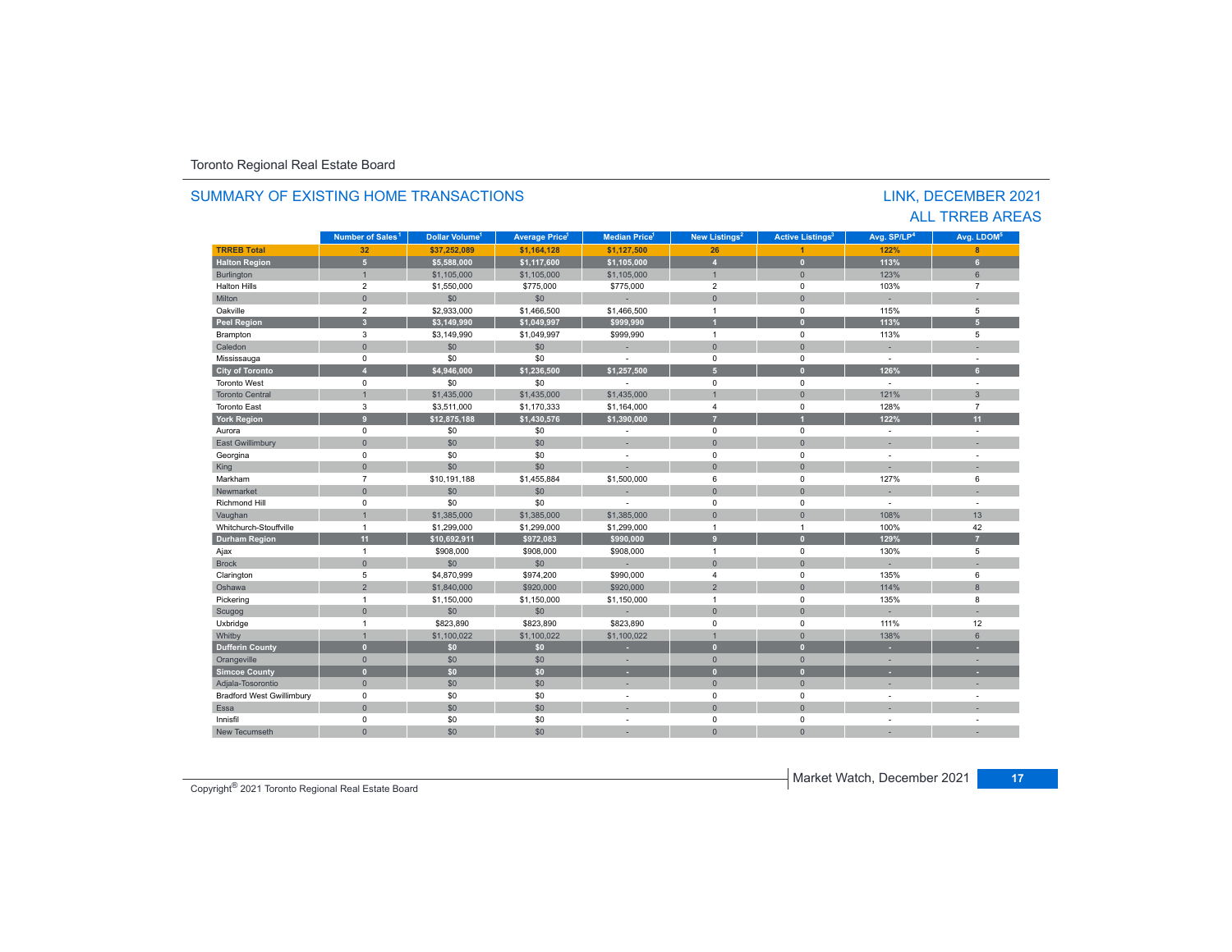| SUMMARY OF EXISTING HOME TRANSACTIONS<br>LINK, DECEMBER 2021<br><b>ALL TRREB AREAS</b> |                              |                                  |                                   |                                  |                           |                                    |                         |                          |  |  |
|----------------------------------------------------------------------------------------|------------------------------|----------------------------------|-----------------------------------|----------------------------------|---------------------------|------------------------------------|-------------------------|--------------------------|--|--|
|                                                                                        | Number of Sales <sup>1</sup> | <b>Dollar Volume<sup>1</sup></b> | <b>Average Price</b> <sup>1</sup> | <b>Median Price</b> <sup>1</sup> | New Listings <sup>2</sup> | <b>Active Listings<sup>3</sup></b> | Avg. SP/LP <sup>4</sup> | Avg. LDOM <sup>5</sup>   |  |  |
| <b>TRREB Total</b>                                                                     | 32                           | \$37.252.089                     | \$1.164.128                       | \$1,127,500                      | 26                        | $\overline{1}$                     | 122%                    | 8                        |  |  |
| <b>Halton Region</b>                                                                   | 5 <sup>1</sup>               | \$5.588.000                      | \$1,117,600                       | \$1,105,000                      | $\overline{4}$            | $\mathbf{0}$                       | 113%                    | 6 <sup>1</sup>           |  |  |
| <b>Burlington</b>                                                                      | $\mathbf{1}$                 | \$1,105,000                      | \$1,105,000                       | \$1,105,000                      | $\mathbf{1}$              | $\mathbf{0}$                       | 123%                    | 6                        |  |  |
| <b>Halton Hills</b>                                                                    | $\overline{2}$               | \$1,550,000                      | \$775,000                         | \$775,000                        | $\overline{2}$            | $\Omega$                           | 103%                    | $\overline{7}$           |  |  |
| Milton                                                                                 | $\mathbf{0}$                 | \$0                              | \$0                               |                                  | $\mathbf{0}$              | $\overline{0}$                     | a.                      |                          |  |  |
| Oakville                                                                               | $\overline{2}$               | \$2,933,000                      | \$1,466,500                       | \$1,466,500                      | $\mathbf{1}$              | $\Omega$                           | 115%                    | 5                        |  |  |
| <b>Peel Region</b>                                                                     | $\overline{\mathbf{3}}$      | \$3,149,990                      | \$1,049,997                       | \$999,990                        | $\mathbf{1}$              | $\overline{0}$                     | 113%                    | 5 <sup>1</sup>           |  |  |
| Brampton                                                                               | $\mathsf 3$                  | \$3,149,990                      | \$1,049,997                       | \$999,990                        | $\mathbf{1}$              | $\mathbf 0$                        | 113%                    | 5                        |  |  |
| Caledon                                                                                | $\Omega$                     | \$0                              | \$0                               | ×,                               | $\Omega$                  | $\Omega$                           | ×.                      |                          |  |  |
| Mississauga                                                                            | 0                            | \$0                              | \$0                               |                                  | $\mathbf 0$               | $\Omega$                           | $\overline{a}$          |                          |  |  |
| <b>City of Toronto</b>                                                                 | $\overline{\mathbf{A}}$      | \$4.946.000                      | \$1.236.500                       | \$1,257,500                      | 5 <sup>1</sup>            | $\overline{0}$                     | 126%                    | 6 <sup>1</sup>           |  |  |
| <b>Toronto West</b>                                                                    | $\mathbf 0$                  | \$0                              | \$0                               | $\overline{a}$                   | $\mathbf 0$               | $\mathbf 0$                        | $\sim$                  | $\sim$                   |  |  |
| <b>Toronto Central</b>                                                                 | $\overline{1}$               | \$1,435,000                      | \$1,435,000                       | \$1,435,000                      | $\overline{1}$            | $\overline{0}$                     | 121%                    | $\overline{3}$           |  |  |
| <b>Toronto East</b>                                                                    | $\mathbf{3}$                 | \$3,511,000                      | \$1,170,333                       | \$1,164,000                      | $\overline{4}$            | $\mathbf 0$                        | 128%                    | $\overline{7}$           |  |  |
| <b>York Region</b>                                                                     | 9                            | \$12,875,188                     | \$1,430,576                       | \$1,390,000                      | $\overline{7}$            |                                    | 122%                    | 11                       |  |  |
| Aurora                                                                                 | $\mathbf 0$                  | \$0                              | \$0                               |                                  | $\mathbf 0$               | $\mathbf 0$                        |                         |                          |  |  |
| East Gwillimbury                                                                       | $\mathbf{0}$                 | \$0                              | \$0                               | ÷                                | $\mathbf{0}$              | $\Omega$                           | ٠                       |                          |  |  |
| Georgina                                                                               | 0                            | \$0                              | \$0                               | ÷,                               | $\mathbf 0$               | $\Omega$                           | ÷,                      | $\sim$                   |  |  |
| King                                                                                   | $\mathbf{0}$                 | \$0                              | \$0                               |                                  | $\Omega$                  | $\Omega$                           | ٠                       | $\sim$                   |  |  |
| Markham                                                                                | $\overline{7}$               | \$10.191.188                     | \$1,455,884                       | \$1,500,000                      | 6                         | $\mathbf 0$                        | 127%                    | 6                        |  |  |
| Newmarket                                                                              | $\mathbf{0}$                 | \$0                              | \$0                               | ٠                                | $\Omega$                  | $\Omega$                           | ٠                       | ÷.                       |  |  |
| <b>Richmond Hill</b>                                                                   | 0                            | \$0                              | \$0                               |                                  | $\mathbf 0$               | $\Omega$                           | $\sim$                  | $\sim$                   |  |  |
| Vaughan                                                                                | $\overline{1}$               | \$1,385,000                      | \$1,385,000                       | \$1,385,000                      | $\overline{0}$            | $\mathbf{0}$                       | 108%                    | 13                       |  |  |
| Whitchurch-Stouffville                                                                 | $\overline{1}$               | \$1,299,000                      | \$1,299,000                       | \$1,299,000                      | $\mathbf{1}$              | $\mathbf{1}$                       | 100%                    | 42                       |  |  |
| <b>Durham Region</b>                                                                   | 11                           | \$10,692,911                     | \$972,083                         | \$990.000                        | $\overline{9}$            | $\mathbf{0}$                       | 129%                    | $\overline{7}$           |  |  |
| Ajax                                                                                   | $\overline{1}$               | \$908,000                        | \$908,000                         | \$908,000                        | $\mathbf{1}$              | $\mathbf 0$                        | 130%                    | 5                        |  |  |
| <b>Brock</b>                                                                           | $\mathbf{0}$                 | \$0                              | \$0                               |                                  | $\mathbf{0}$              | $\Omega$                           | ÷                       | ÷                        |  |  |
| Clarington                                                                             | 5                            | \$4,870,999                      | \$974,200                         | \$990,000                        | $\overline{4}$            | $\Omega$                           | 135%                    | 6                        |  |  |
| Oshawa                                                                                 | $\overline{2}$               | \$1,840,000                      | \$920,000                         | \$920,000                        | $\overline{2}$            | $\Omega$                           | 114%                    | 8                        |  |  |
| Pickering                                                                              | $\overline{1}$               | \$1,150,000                      | \$1,150,000                       | \$1,150,000                      | $\mathbf{1}$              | $\mathbf 0$                        | 135%                    | 8                        |  |  |
| Scugog                                                                                 | $\mathbf{0}$                 | \$0                              | \$0                               |                                  | $\mathbf{0}$              | $\Omega$                           | ÷                       | ÷                        |  |  |
| Uxbridge                                                                               | $\overline{1}$               | \$823,890                        | \$823,890                         | \$823,890                        | $\Omega$                  | $\Omega$                           | 111%                    | 12                       |  |  |
| Whitby                                                                                 | $\mathbf{1}$                 | \$1,100,022                      | \$1,100,022                       | \$1,100,022                      | $\overline{1}$            | $\Omega$                           | 138%                    | 6                        |  |  |
| <b>Dufferin County</b>                                                                 | $\bullet$                    | \$0\$                            | \$0                               | ٠                                | $\mathbf{0}$              | $\mathbf{0}$                       | ٠                       | ×.                       |  |  |
| Orangeville                                                                            | $\Omega$                     | \$0                              | \$0                               | ×.                               | $\Omega$                  | $\Omega$                           | ÷                       | ×.                       |  |  |
| <b>Simcoe County</b>                                                                   | $\mathbf{0}$                 | \$0                              | \$0                               | ٠                                | $\mathbf{0}$              | $\overline{0}$                     | ٠                       |                          |  |  |
| Adjala-Tosorontio                                                                      | $\mathbf{0}$                 | \$0                              | \$0                               | ×,                               | $\mathbf{0}$              | $\overline{0}$                     | ٠                       | $\overline{\phantom{a}}$ |  |  |
| <b>Bradford West Gwillimbury</b>                                                       | $\mathbf 0$                  | \$0                              | \$0                               | ٠                                | $\mathbf 0$               | $\mathbf 0$                        | $\overline{a}$          | $\sim$                   |  |  |
| Essa                                                                                   | $\Omega$                     | \$0                              | \$0                               |                                  | $\Omega$                  | $\Omega$                           |                         |                          |  |  |
| Innisfil                                                                               | $\mathbf 0$                  | \$0                              | \$0                               | ÷,                               | $\Omega$                  | $\mathbf 0$                        | ÷,                      | $\sim$                   |  |  |
| <b>New Tecumseth</b>                                                                   | $\Omega$                     | \$0                              | \$0                               |                                  | $\Omega$                  | $\Omega$                           |                         |                          |  |  |
|                                                                                        |                              |                                  |                                   |                                  |                           |                                    |                         |                          |  |  |

Copyright® 2021 Toronto Regional Real Estate Board

Market Watch, December 2021 **17**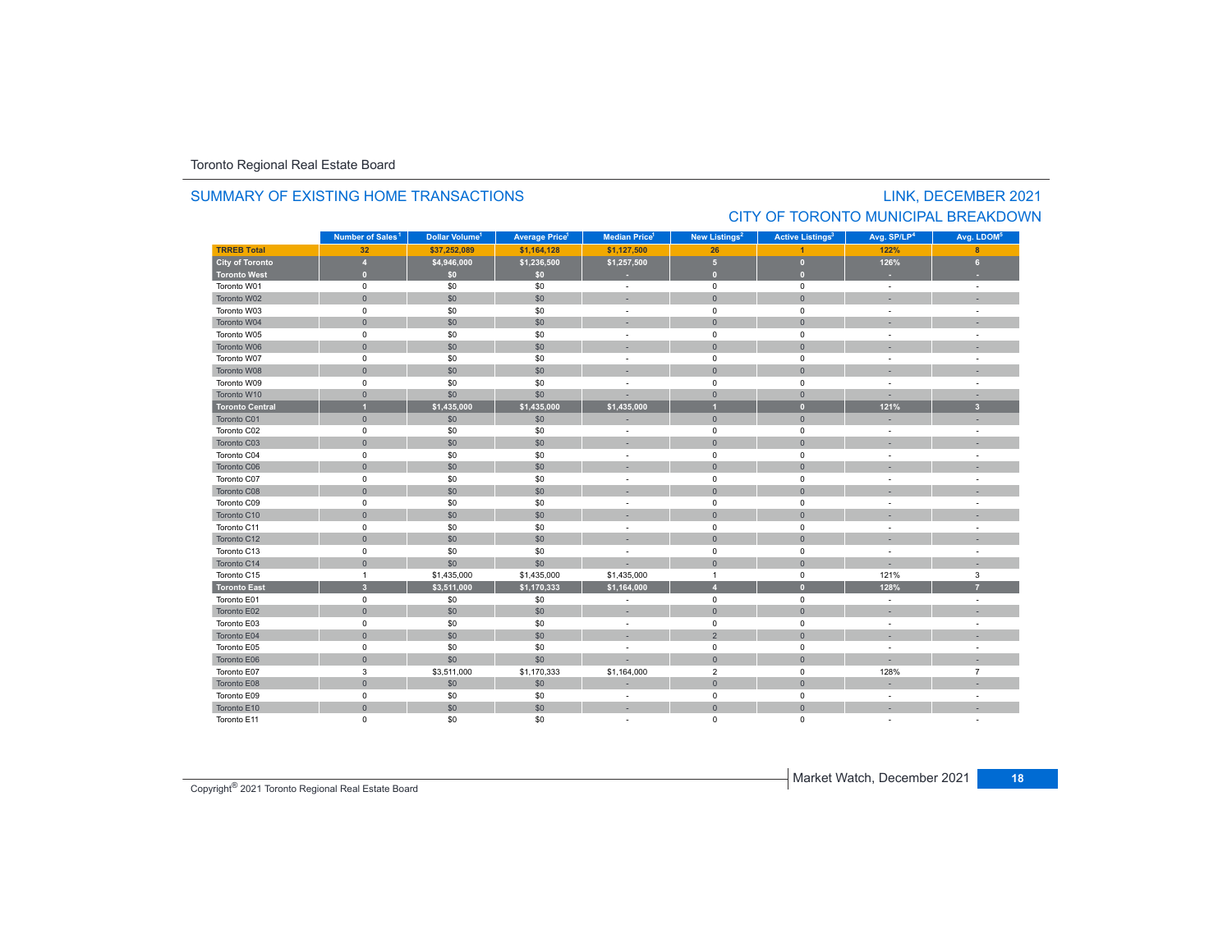### SUMMARY OF EXISTING HOME TRANSACTIONS

# LINK, DECEMBER 2021 CITY OF TORONTO MUNICIPAL BREAKDOWN

|                        | Number of Sales <sup>1</sup> | Dollar Volume <sup>1</sup> | <b>Average Price<sup>1</sup></b> | Median Price <sup>1</sup> | New Listings <sup>2</sup> | <b>Active Listings<sup>3</sup></b> | Avg. SP/LP <sup>4</sup>  | Avg. LDOM <sup>5</sup> |
|------------------------|------------------------------|----------------------------|----------------------------------|---------------------------|---------------------------|------------------------------------|--------------------------|------------------------|
| <b>TRREB Total</b>     | 32                           | \$37,252,089               | \$1,164,128                      | \$1,127,500               | 26                        |                                    | 122%                     | 8                      |
| <b>City of Toronto</b> | $\overline{4}$               | \$4,946,000                | \$1,236,500                      | \$1,257,500               | $\sqrt{5}$                | $\overline{0}$                     | 126%                     | 6                      |
| <b>Toronto West</b>    | $\bullet$                    | \$0                        | \$0                              |                           | $\overline{0}$            | $\mathbf{0}$                       |                          |                        |
| Toronto W01            | $\mathsf 0$                  | \$0                        | \$0                              | $\sim$                    | $\pmb{0}$                 | $\pmb{0}$                          | $\sim$                   |                        |
| Toronto W02            | $\mathbf{0}$                 | \$0                        | \$0                              |                           | $\mathbf{0}$              | $\mathbf{0}$                       |                          |                        |
| Toronto W03            | $\mathbf 0$                  | \$0                        | \$0                              | $\overline{\phantom{a}}$  | $\mathbf 0$               | $\mathbf 0$                        | $\sim$                   | ÷                      |
| Toronto W04            | $\mathbf{0}$                 | \$0                        | \$0                              |                           | $\mathbf{0}$              | $\mathbf{0}$                       |                          |                        |
| Toronto W05            | $\mathsf 0$                  | \$0                        | \$0                              | ÷                         | $\mathsf 0$               | $\mathbf 0$                        |                          |                        |
| Toronto W06            | $\mathbf{0}$                 | \$0                        | \$0                              |                           | $\overline{0}$            | $\mathbf{0}$                       |                          |                        |
| Toronto W07            | $\mathbf 0$                  | \$0                        | \$0                              | ÷                         | $\mathbf 0$               | 0                                  |                          |                        |
| Toronto W08            | $\mathbf{0}$                 | \$0                        | \$0                              |                           | $\mathbf{0}$              | $\Omega$                           |                          |                        |
| Toronto W09            | $\mathsf 0$                  | \$0                        | \$0                              | ÷,                        | $\pmb{0}$                 | $\mathbf 0$                        |                          | ÷,                     |
| Toronto W10            | $\mathbf{0}$                 | \$0                        | \$0                              |                           | $\mathbf{0}$              | $\mathbf{0}$                       |                          |                        |
| <b>Toronto Central</b> | $\overline{1}$               | \$1,435,000                | \$1,435,000                      | \$1,435,000               |                           | $\bullet$                          | 121%                     | 3 <sup>2</sup>         |
| Toronto C01            | $\mathbf{0}$                 | \$0                        | \$0                              |                           | $\mathbf{0}$              | $\mathbf{0}$                       |                          |                        |
| Toronto C02            | $\mathbf 0$                  | \$0                        | \$0                              | $\sim$                    | $\mathbf 0$               | $\mathbf 0$                        | $\sim$                   | $\sim$                 |
| Toronto C03            | $\mathbf{0}$                 | \$0                        | \$0                              |                           | $\mathbf{0}$              | $\mathbf{0}$                       |                          |                        |
| Toronto C04            | $\mathsf 0$                  | \$0                        | \$0                              | $\overline{\phantom{a}}$  | $\mathsf 0$               | $\mathbf 0$                        |                          |                        |
| Toronto C06            | $\mathbf{0}$                 | \$0                        | \$0                              |                           | $\mathbf{0}$              | $\overline{0}$                     |                          |                        |
| Toronto C07            | $\mathbf 0$                  | \$0                        | \$0                              |                           | $\mathbf 0$               | 0                                  |                          |                        |
| Toronto C08            | $\mathbf{0}$                 | \$0                        | \$0                              |                           | $\Omega$                  | $\Omega$                           |                          |                        |
| Toronto C09            | 0                            | \$0                        | \$0                              |                           | 0                         | 0                                  |                          |                        |
| Toronto C10            | $\mathsf{O}\xspace$          | \$0                        | \$0                              |                           | $\mathbf 0$               | $\mathbf{0}$                       |                          |                        |
| Toronto C11            | $\mathbf 0$                  | \$0                        | \$0                              | ÷                         | $\mathbf 0$               | $\mathbf 0$                        |                          |                        |
| Toronto C12            | $\mathbf{0}$                 | \$0                        | \$0                              |                           | $\mathbf{0}$              | $\mathbf{0}$                       |                          |                        |
| Toronto C13            | $\mathbf 0$                  | \$0                        | \$0                              | $\overline{\phantom{a}}$  | $\mathbf 0$               | $\mathbf 0$                        | $\sim$                   | ÷                      |
| Toronto C14            | $\mathbf{0}$                 | \$0                        | \$0                              |                           | $\mathbf 0$               | $\mathbf{0}$                       |                          |                        |
| Toronto C15            | $\overline{1}$               | \$1,435,000                | \$1,435,000                      | \$1,435,000               | $\overline{1}$            | $\mathbf 0$                        | 121%                     | 3                      |
| <b>Toronto East</b>    | $\overline{\mathbf{3}}$      | \$3,511,000                | \$1,170,333                      | \$1,164,000               | $\overline{4}$            | $\mathbf{0}$                       | 128%                     | $\overline{7}$         |
| Toronto E01            | $\mathbf 0$                  | \$0                        | \$0                              |                           | $\mathbf 0$               | 0                                  |                          |                        |
| Toronto E02            | $\mathbf{0}$                 | \$0                        | \$0                              | ÷                         | $\mathbf{0}$              | $\overline{0}$                     |                          |                        |
| Toronto E03            | $\mathsf 0$                  | \$0                        | \$0                              | $\overline{\phantom{a}}$  | 0                         | $\mathbf 0$                        | $\overline{\phantom{a}}$ | ÷.                     |
| Toronto E04            | $\mathsf{O}\xspace$          | \$0                        | \$0                              |                           | $\overline{2}$            | $\mathbf{0}$                       |                          |                        |
| Toronto E05            | $\mathsf 0$                  | \$0                        | \$0                              | ÷                         | $\mathsf 0$               | $\mathsf 0$                        |                          |                        |
| Toronto E06            | $\mathsf{O}\xspace$          | \$0                        | \$0                              |                           | $\mathbf{0}$              | $\mathbf{0}$                       |                          |                        |
| Toronto E07            | 3                            | \$3,511,000                | \$1,170,333                      | \$1,164,000               | $\overline{2}$            | $\mathbf 0$                        | 128%                     | $\overline{7}$         |
| Toronto E08            | $\mathbf{0}$                 | \$0                        | \$0                              | ×,                        | $\mathbf 0$               | $\mathbf{0}$                       |                          |                        |
| Toronto E09            | $\mathsf 0$                  | \$0                        | \$0                              | $\sim$                    | $\mathsf 0$               | $\mathbf 0$                        | $\sim$                   |                        |
| Toronto E10            | $\mathsf{O}\xspace$          | \$0                        | \$0                              | ×.                        | $\overline{0}$            | $\overline{0}$                     |                          |                        |
| Toronto E11            | $\mathbf 0$                  | \$0                        | \$0                              |                           | $\mathbf 0$               | 0                                  |                          |                        |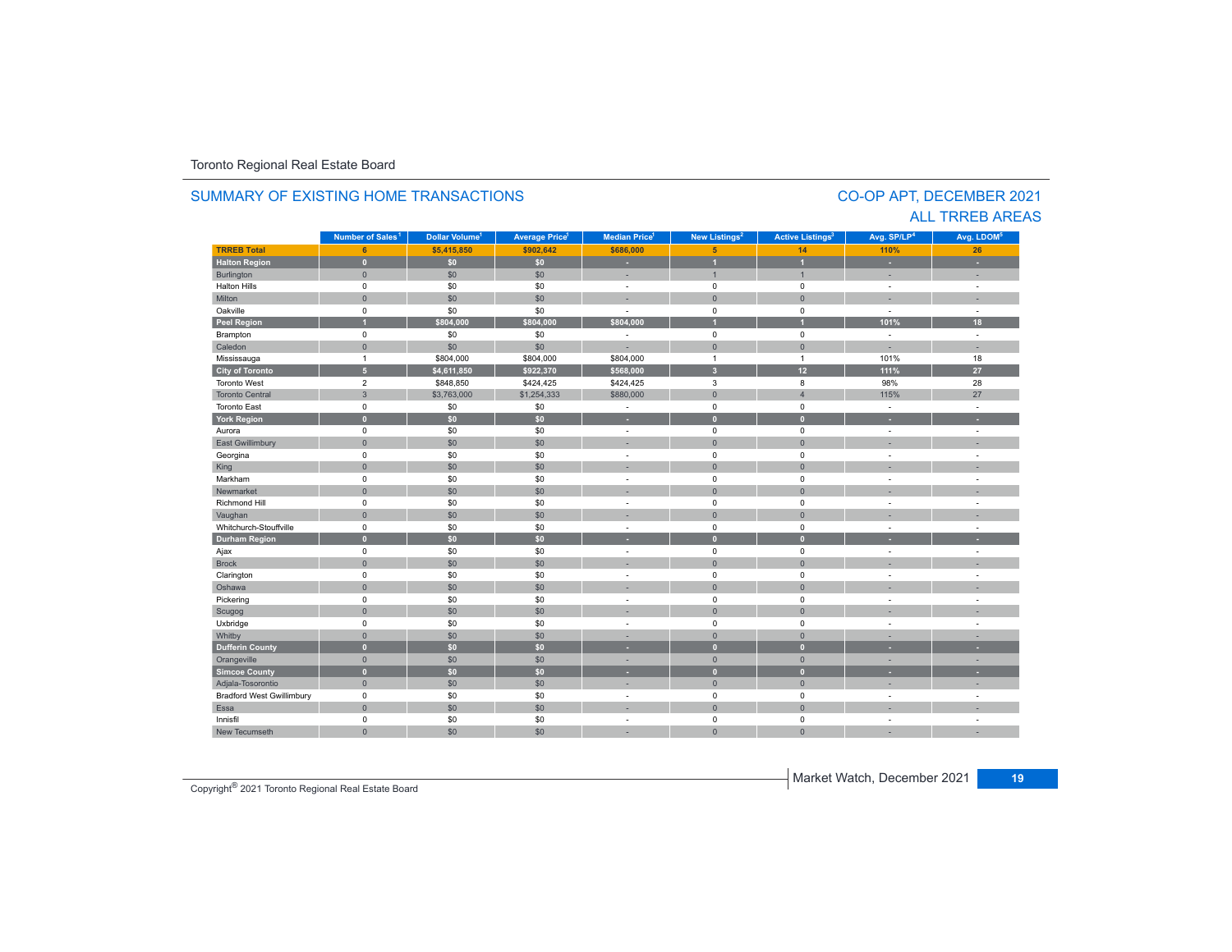#### **TRREB Total 6 \$5,415,850 \$902,642 \$686,000 5 14 110% 26 Halton Region 0 \$0 \$0 - 1 1 - -** Burlington 0 \$0 \$0 | = 1 | = | = Halton Hills 0 \$0 \$0 - 0 0 - - Miltonn 1980 - 1990 - 1991 - 1991 - 1991 - 1992 - 1993 - 1994 - 1994 - 1994 - 1994 - 1994 - 1994 - 1994 - 1994 - 199 Oakville<br>Peel Region e 0 \$0 \$0 - 0 0 - -**Peel Region 1 \$804,000 \$804,000 \$804,000 1 1 101% 18** Brampton 0 \$0 \$0 - 0 0 - - Caledonn 1980 - 1980 - 1980 - 1981 - 1981 - 1982 - 1983 - 1984 - 1986 - 1987 - 1988 - 1988 - 1988 - 1988 - 1988 - 198 Mississauga 1 \$804,000 \$804,000 \$804,000 1 1 101% 18 **City of Toronto 5 \$4,611,850 \$922,370 \$568,000 3 12 111% 27** Toronto West 2 \$848,850 \$424,425 \$424,425 3 8 98%28 98% 28<br>115% 27 Toronto Central 3 $\begin{array}{|c|c|c|c|c|c|}\hline \text{33,763,000} & \text{51,254,333} & \text{5880,000} & \text{5880,000} & \text{6880,000} & \text{6880,000} & \text{6880,000} & \text{6880,000} & \text{6880,000} & \text{6880,000} & \text{6880,000} & \text{6880,000} & \text{6880,000} & \text{6880,000} & \text{6880,000} &$  27 Toronto East 0 \$0 \$0 - 0 0 - - **York Region 0 \$0 \$0 - 0 0 - -** Aurora 0 \$0 \$0 - 0 0 - - East Gwillimbury 0 \$0 \$0 - 0 0 - - Georgina 0 \$0 \$0 - 0 0 - - King the second term of the second term of the second term of the second term of the second term of the second Markham 0 \$0 \$0 - 0 0 - - Newmarket 0 \$0 \$0 - 0 0 - - Richmond Hill 0 \$0 \$0 - 0 0 - - Vaughan 1980 (1980) (1980) (1980) (1980) (1980) (1980) (1980) (1980) (1980) (1980) (1980) (1980) (1980) (1980) Whitchurch-Stouffvillee 0 \$0 \$0 - 0 0 - -**Durham Region 0 \$0 \$0 - 0 0 - -** Ajax 0 \$0 \$0 - 0 0 - - Brock 0 \$0 \$0 - 0 0 - - Clarington 0 \$0 \$0 - 0 0 - - Oshawaa dia 1980 - Aniso ao amin'ny faritr'i Nouvelle-Aquitaine, ao amin'ny faritr'i Nouvelle-Aquitaine, ao amin'ny المال المسابق التي يقوم المسابق التي يقوم التي يقوم التي يقوم التي يقوم التي تعالى التي يقوم التي تعالى التي ي<br>التي يقوم التي يقوم التي يقوم التي يقوم التي يقوم التي يقوم التي يقوم التي يقوم التي يقوم التي يقوم التي يقوم Scugog 0 \$0 \$0 - 0 0 - - Uxbridge 0 \$0 \$0 - 0 0 - - Whitby 0 \$0 \$0 - 0 0 - - **Dufferin County 0 \$0 \$0 - 0 0 - -** Orangeville 0 \$0 \$0 - 0 0 - - **Simcoe County 0 \$0 \$0 - 0 0 - -** Adjala-Tosorontio 0 \$0 \$0 - 0 0 - - Bradford West Gwillimbury 0 \$0 \$0 - 0 0 - - Essaa dia 1980 - Aniso ao amin'ny faritr'i Nouvelle-Aquitaine, ao amin'ny faritr'i Nouvelle-Aquitaine, ao amin'ny **Municipality Number of Sales Dollar Volume Average Price Median Price New Listings Active Listings Avg. SP/LP Avg. LDOM** CO-OP APT, DECEMBER 2021 SUMMARY OF EXISTING HOME TRANSACTIONS**Number of Sales<sup>1</sup> 1** Dollar Volume<sup>1</sup> | Average Price<sup>1</sup> | Median Price<sup>1</sup> | New Listings<sup>2</sup> | Active Listings<sup>3</sup> | Avg. SP/LP<sup>4</sup> | Avg. LDOM<sup>5</sup>

\$0 \$0 - 0 0 - -

0 \$0 \$0 - 0 0 - -

# ALL TRREB AREAS

Copyright® 2021 Toronto Regional Real Estate Board

0

Innisfil

New Tecumseth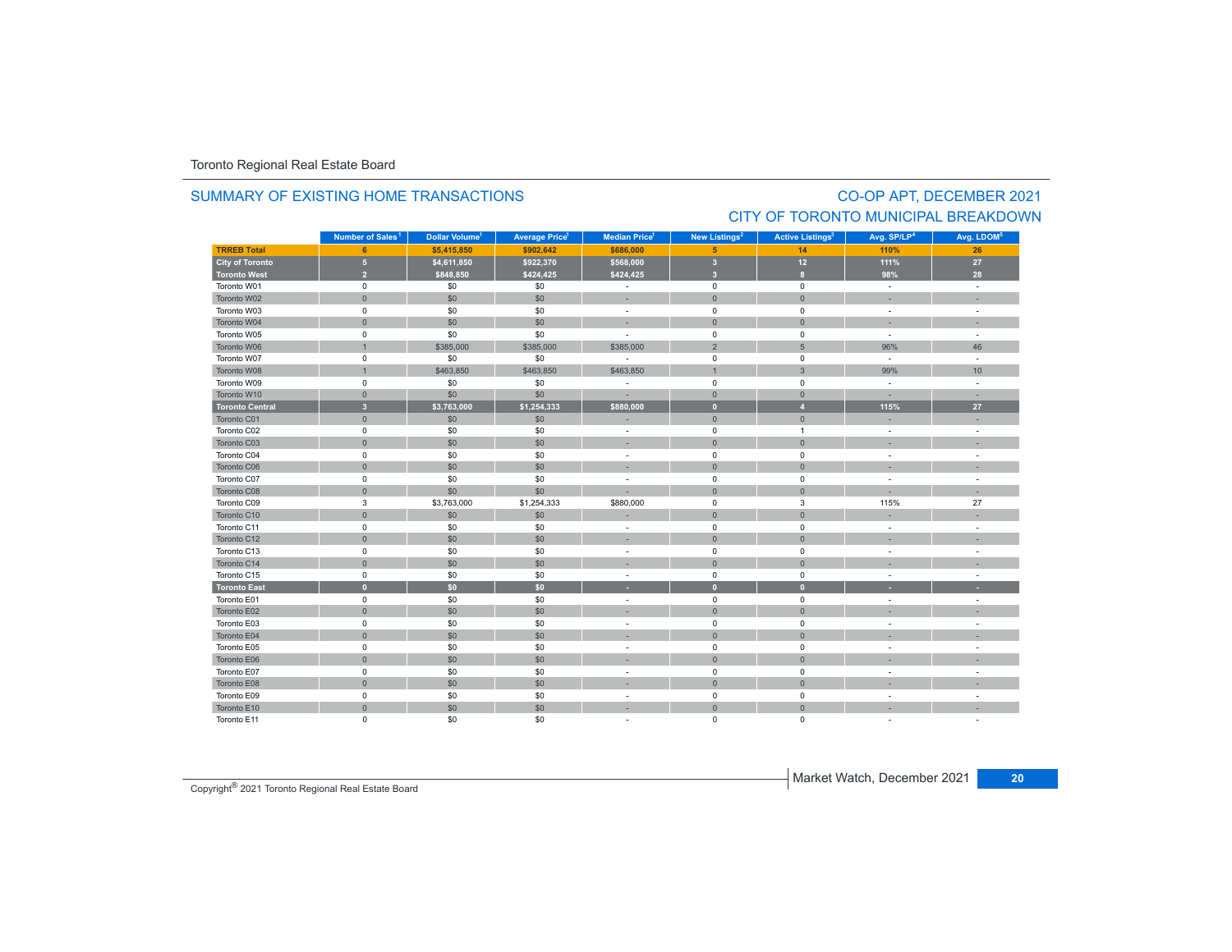### SUMMARY OF EXISTING HOME TRANSACTIONS

# CO-OP APT, DECEMBER 2021 CITY OF TORONTO MUNICIPAL BREAKDOWN

|                        | Number of Sales <sup>1</sup> | Dollar Volume <sup>1</sup> | <b>Average Price<sup>1</sup></b> | Median Price <sup>1</sup>   | New Listings <sup>2</sup> | <b>Active Listings<sup>3</sup></b> | Avg. SP/LP <sup>4</sup> | Avg. LDOM <sup>5</sup> |
|------------------------|------------------------------|----------------------------|----------------------------------|-----------------------------|---------------------------|------------------------------------|-------------------------|------------------------|
| <b>TRREB Total</b>     | 6                            | \$5,415,850                | \$902,642                        | \$686,000                   | 5                         | 14                                 | 110%                    | 26                     |
| <b>City of Toronto</b> | $\overline{5}$               | \$4,611,850                | \$922,370                        | \$568,000                   | $\overline{\mathbf{3}}$   | 12                                 | 111%                    | $27\,$                 |
| <b>Toronto West</b>    | $\overline{2}$               | \$848,850                  | \$424,425                        | \$424,425                   | $\overline{\mathbf{3}}$   | 8 <sup>2</sup>                     | 98%                     | 28                     |
| Toronto W01            | $\mathbf 0$                  | \$0                        | \$0                              | $\mathcal{L}_{\mathcal{A}}$ | $\mathsf 0$               | $\mathbf 0$                        | $\sim$                  | $\sim$                 |
| Toronto W02            | $\mathbf 0$                  | \$0                        | \$0                              | ×,                          | $\mathbf{0}$              | $\overline{0}$                     |                         |                        |
| Toronto W03            | $\mathbf 0$                  | \$0                        | \$0                              | $\sim$                      | $^{\circ}$                | $\mathbf 0$                        | $\sim$                  | $\sim$                 |
| Toronto W04            | $\mathbf{0}$                 | \$0                        | \$0                              | ٠                           | $\Omega$                  | $\Omega$                           |                         |                        |
| Toronto W05            | $\mathsf 0$                  | \$0                        | \$0                              |                             | $\mathsf 0$               | $\pmb{0}$                          | $\sim$                  |                        |
| Toronto W06            | $\mathbf{1}$                 | \$385,000                  | \$385,000                        | \$385,000                   | $\overline{2}$            | $5\phantom{.}$                     | 96%                     | 46                     |
| Toronto W07            | $\mathbf 0$                  | \$0                        | \$0                              | ÷                           | $^{\circ}$                | $\mathbf 0$                        | $\sim$                  | $\sim$                 |
| Toronto W08            | $\mathbf{1}$                 | \$463,850                  | \$463,850                        | \$463,850                   | $\overline{1}$            | $\mathbf{3}$                       | 99%                     | 10                     |
| Toronto W09            | $\mathsf 0$                  | \$0                        | \$0                              | ÷.                          | $\mathsf 0$               | $\mathsf 0$                        | $\sim$                  | $\sim$                 |
| Toronto W10            | $\mathbf 0$                  | \$0                        | \$0                              | ×.                          | $\mathbf{0}$              | $\mathbf 0$                        | $\sim$                  | $\sim$                 |
| <b>Toronto Central</b> | $\overline{3}$               | \$3,763,000                | \$1,254,333                      | \$880,000                   | $\overline{0}$            | $\overline{4}$                     | 115%                    | 27                     |
| Toronto C01            | $\mathbf{0}$                 | \$0                        | \$0                              |                             | $\overline{0}$            | $\mathbf{0}$                       |                         |                        |
| Toronto C02            | $\mathsf 0$                  | \$0                        | \$0                              | $\overline{\phantom{a}}$    | $\mathsf 0$               | $\mathbf{1}$                       | $\sim$                  | $\sim$                 |
| Toronto C03            | $\mathbf 0$                  | \$0                        | \$0                              |                             | $\overline{0}$            | $\mathbf{0}$                       |                         |                        |
| Toronto C04            | $\mathsf 0$                  | \$0                        | \$0                              | $\sim$                      | $\mathsf 0$               | $\mathsf 0$                        |                         |                        |
| Toronto C06            | $\mathbf 0$                  | \$0                        | \$0                              | ×,                          | $\mathbf{0}$              | $\mathsf{O}\xspace$                |                         |                        |
| Toronto C07            | $\mathbf 0$                  | \$0                        | \$0                              | ٠                           | $\mathbf 0$               | $\mathbf 0$                        | $\sim$                  | $\overline{a}$         |
| Toronto C08            | $\mathbf 0$                  | \$0                        | \$0                              |                             | $\overline{0}$            | $\mathbf{0}$                       |                         |                        |
| Toronto C09            | 3                            | \$3,763,000                | \$1,254,333                      | \$880,000                   | $\mathsf 0$               | 3                                  | 115%                    | 27                     |
| Toronto C10            | $\mathbf{0}$                 | \$0                        | \$0                              | ۰                           | $\overline{0}$            | $\overline{0}$                     |                         |                        |
| Toronto C11            | $\mathsf 0$                  | \$0                        | \$0                              | $\overline{\phantom{a}}$    | $\mathsf 0$               | $\mathsf 0$                        |                         |                        |
| Toronto C12            | $\mathbf{0}$                 | \$0                        | \$0                              |                             | $\mathbf{0}$              | $\mathbf{0}$                       |                         |                        |
| Toronto C13            | $\mathbf 0$                  | \$0                        | \$0                              | ÷.                          | $\mathbf 0$               | $\mathbf 0$                        | $\sim$                  | ۰                      |
| Toronto C14            | $\mathsf{O}\xspace$          | \$0                        | \$0                              |                             | $\mathbf{0}$              | $\overline{0}$                     |                         |                        |
| Toronto C15            | 0                            | \$0                        | \$0                              | $\sim$                      | $^{\circ}$                | 0                                  | $\sim$                  | $\sim$                 |
| <b>Toronto East</b>    | $\bullet$                    | \$0                        | \$0                              |                             | $\overline{0}$            | $\mathbf{0}$                       |                         |                        |
| Toronto E01            | $\mathbf 0$                  | \$0                        | \$0                              | ä,                          | $\mathbf 0$               | $\mathbf 0$                        |                         |                        |
| Toronto E02            | $\mathbf{0}$                 | \$0                        | \$0                              | ۰                           | $\overline{0}$            | $\overline{0}$                     |                         |                        |
| Toronto E03            | $\mathsf 0$                  | \$0                        | \$0                              | ÷,                          | $\mathsf 0$               | $\mathsf 0$                        |                         | ÷.                     |
| Toronto E04            | $\mathbf 0$                  | \$0                        | \$0                              |                             | $\mathbf 0$               | $\mathbf 0$                        |                         |                        |
| Toronto E05            | $\mathsf 0$                  | \$0                        | \$0                              | ٠                           | $\mathsf 0$               | $\mathsf 0$                        |                         |                        |
| Toronto E06            | $\mathsf{O}\xspace$          | \$0                        | \$0                              |                             | $\mathbf{0}$              | $\overline{0}$                     |                         |                        |
| Toronto E07            | $\mathsf 0$                  | \$0                        | \$0                              | ÷.                          | $\mathsf 0$               | $\mathbf 0$                        | $\sim$                  | ÷                      |
| Toronto E08            | $\mathbf 0$                  | \$0                        | \$0                              |                             | $\mathbf 0$               | $\mathsf{O}\xspace$                |                         |                        |
| Toronto E09            | $\mathsf 0$                  | \$0                        | \$0                              | $\overline{\phantom{a}}$    | $\mathsf 0$               | $\mathbf 0$                        |                         |                        |
| Toronto E10            | $\mathbf 0$                  | \$0                        | \$0                              | ×                           | $\mathsf{O}\xspace$       | $\overline{0}$                     |                         |                        |
| Toronto E11            | $\mathbf 0$                  | \$0                        | \$0                              |                             | $\mathbf 0$               | 0                                  |                         |                        |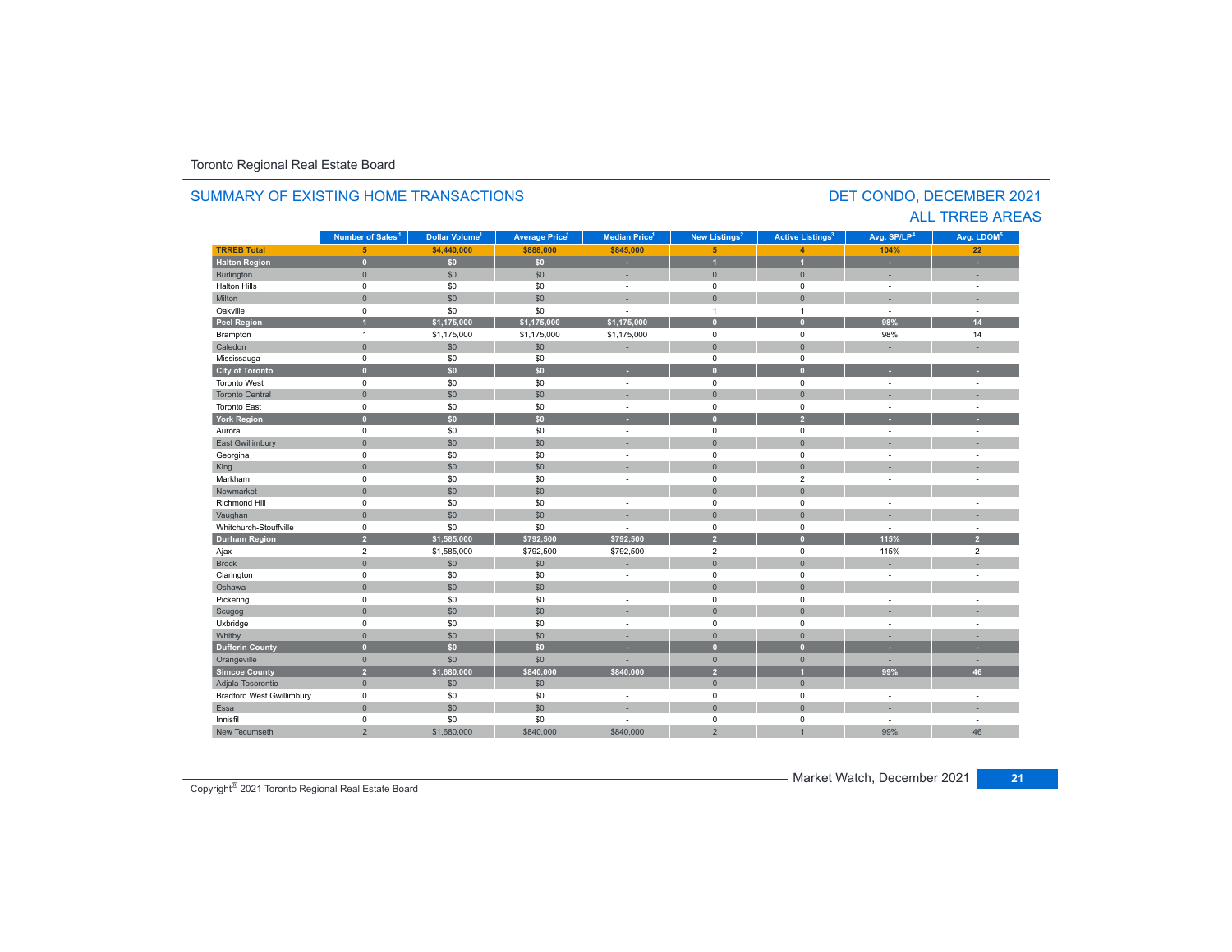#### **TR5EB Total 5 \$4,440,000 \$888,000 \$845,000 5 4 104% 22 Halton Region 0 \$0 \$0 - 1 1 - -** Burlington 0 \$0 \$0 | = 0 | = | = Halton Hills 0 \$0 \$0 - 0 0 - - Miltonn 1980 - 1990 - 1991 - 1991 - 1991 - 1992 - 1993 - 1994 - 1994 - 1994 - 1994 - 1994 - 1994 - 1994 - 1994 - 199 Oakville<br>Peel Region e 0 \$0 \$0 - 1 1 - -**Peel Region 1 \$1,175,000 \$1,175,000 \$1,175,000 0 0 98% 14** Brampton 1 \$1,175,000 \$1,175,000 \$1,175,000 0 0 98% 14 Caledonn 1980 - 1980 - 1980 - 1981 - 1981 - 1982 - 1983 - 1984 - 1986 - 1987 - 1988 - 1988 - 1988 - 1988 - 1988 - 198 Mississauga 0 \$0 \$0 - 0 0 - - **City of Toronto 0 \$0 \$0 - 0 0 - -** Toronto West 0 \$0 \$0 - 0 0 - - Toronto Central 0 \$0 \$0 - 0 0 - - Toronto East 0 \$0 \$0 - 0 0 - - **York Region 0 \$0 \$0 - 0 2 - -** Aurora 0 \$0 \$0 - 0 0 - - East Gwillimbury 0 \$0 \$0 - 0 0 - - Georgina 0 \$0 \$0 - 0 0 - - King the second term of the second term of the second term of the second term of the second term of the second Markham 0 \$0 \$0 - 0 2 - - Newmarket 0 \$0 \$0 - 0 0 - - Richmond Hill 0 \$0 \$0 - 0 0 - - Vaughan 1980 (1980) (1980) (1980) (1980) (1980) (1980) (1980) (1980) (1980) (1980) (1980) (1980) (1980) (1980) Whitchurch-Stouffvillee 0 \$0 \$0 - 0 0 - -**Durham Region 2 \$1,585,000 \$792,500 \$792,500 2 0 115% 2** Ajax 2 \$1,585,000 \$792,500 2 2 Brock 0 \$0 \$0 - 0 0 - - Clarington 0 \$0 \$0 - 0 0 - - Oshawaa dia 1980 - Aniso ao amin'ny faritr'i Nouvelle-Aquitaine, ao amin'ny faritr'i Nouvelle-Aquitaine, ao amin'ny المال المسابق التي يقوم المسابق التي يقوم التي يقوم التي يقوم التي يقوم التي تعالى التي يقوم التي تعالى التي ي<br>التي يقوم التي يقوم التي يقوم التي يقوم التي يقوم التي يقوم التي يقوم التي يقوم التي يقوم التي يقوم التي يقوم Scugog 0 \$0 \$0 - 0 0 - - Uxbridge 0 \$0 \$0 - 0 0 - - Whitby 0 \$0 \$0 - 0 0 - - **Dufferin County 0 \$0 \$0 - 0 0 - -** Orangeville 0 \$0 \$0 - 0 0 - - **Simcoe County 2 \$1,680,000 \$840,000 \$840,000 2 1 99% 46** Adjala-Tosorontio 0 \$0 \$0 - 0 0 - - Bradford West Gwillimbury 0 \$0 \$0 - 0 0 - - Essaa dia 1980 - Aniso ao amin'ny faritr'i Nouvelle-Aquitaine, ao amin'ny faritr'i Nouvelle-Aquitaine, ao amin'ny Innisfil 0 \$0 \$0 - 0 0 - - New Tecumseth99% 46 **Municipality Number of Sales Dollar Volume Average Price Median Price New Listings Active Listings Avg. SP/LP Avg. LDOM Number of Sales<sup>1</sup> 1** Dollar Volume<sup>1</sup> | Average Price<sup>1</sup> | Median Price<sup>1</sup> | New Listings<sup>2</sup> | Active Listings<sup>3</sup> | Avg. SP/LP<sup>4</sup> | Avg. LDOM<sup>5</sup>

2 \$1,680,000 \$840,000 \$840,000 2 1 99%

### SUMMARY OF EXISTING HOME TRANSACTIONS

### DET CONDO, DECEMBER 2021 ALL TRREB AREAS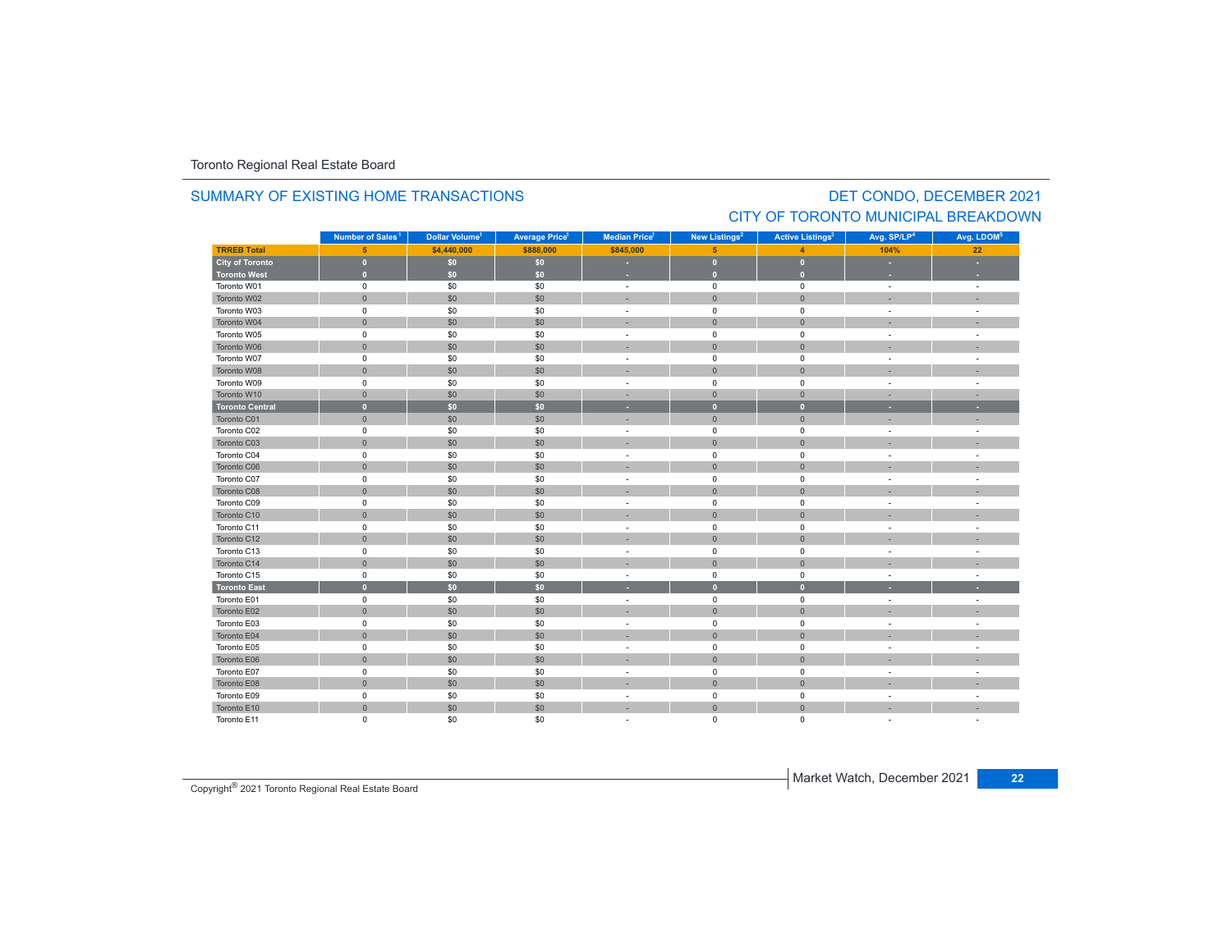#### **TRREB Total 5 \$4,440,000 \$888,000 \$845,000 5 4 104% 22 City of Toronto 0 \$0 \$0 - 0 0 - - Toronto West 0 \$0 \$0 - 0 0 - -** Toronto W01 $1$  and the contract of the contract of the contract of the contract of the contract of the contract of the contract of the contract of the contract of the contract of the contract of the contract of the contract of the c Toronto W022 - 1 0 - 1 - 50 - 50 - 50 - 1 - 0 - 1 - 0 - 1 - - 1 - -Toronto W03 $\begin{matrix} 3 \end{matrix}$  and the  $\begin{matrix} 0 \end{matrix}$  of  $\begin{matrix} 60 \end{matrix}$  ,  $\begin{matrix} 50 \end{matrix}$  ,  $\begin{matrix} 50 \end{matrix}$  , and  $\begin{matrix} 0 \end{matrix}$  , and  $\begin{matrix} 0 \end{matrix}$  , and  $\begin{matrix} 0 \end{matrix}$  , and  $\begin{matrix} 0 \end{matrix}$  , and  $\begin{matrix} 0 \end{matrix}$  , and  $\begin{matrix} 0 \end{matrix}$  , Toronto W044 0 0 0 \$0 \$0 \$0 0 - 0 0 0 0 - 1 Toronto W055 0 0 - 50 50 50 - 0 0 0 - 1 Toronto W066 - 1 0 - 1 - 50 - 50 - 50 - 50 - 0 - 0 - 0 - 1 - - 1 - -Toronto W07 $\begin{matrix}7\end{matrix}$  , the contract of the contract of the contract of the contract of the contract of the contract of the contract of the contract of the contract of the contract of the contract of the contract of the contract Toronto W088 - 1 0 | \$0 | \$0 | - - | 0 | 0 | - - | -Toronto W09 $\begin{matrix} 9 & 0 & 0 \end{matrix}$  , and  $\begin{matrix} 60 & 50 \end{matrix}$  , and  $\begin{matrix} 50 & 0 \end{matrix}$  , and  $\begin{matrix} 0 & 0 \end{matrix}$  , and  $\begin{matrix} 0 & 0 \end{matrix}$  , and  $\begin{matrix} 0 & 0 \end{matrix}$  , and  $\begin{matrix} 0 & 0 \end{matrix}$  , and  $\begin{matrix} 0 & 0 \end{matrix}$  , and  $\begin{matrix} 0 & 0 \end{matrix}$  , and Toronto W10 0 \$0 \$0 - 0 0 - - **Toronto Central 0 \$0 \$0 - 0 0 - -** Toronto C01 0 \$0 \$0 - 0 0 - - Toronto C02 0 \$0 \$0 - 0 0 - - Toronto C03 0 \$0 \$0 - 0 0 - - Toronto C04 0 \$0 \$0 - 0 0 - - Toronto C06 0 \$0 \$0 - 0 0 - - Toronto C07 0 \$0 \$0 - 0 0 - - Toronto C08 0 \$0 \$0 - 0 0 - - Toronto C09 0 \$0 \$0 - 0 0 - - Toronto C10 0 \$0 \$0 - 0 0 - - Toronto C11 $\begin{matrix}0\end{matrix} \hspace{1.5cm} \begin{matrix}0\end{matrix} \hspace{1.5cm} \begin{matrix}0\end{matrix} \hspace{1.5cm} \begin{matrix}0\end{matrix} \hspace{1.5cm} \begin{matrix}0\end{matrix} \hspace{1.5cm} \begin{matrix}0\end{matrix} \hspace{1.5cm} \begin{matrix}0\end{matrix} \hspace{1.5cm} \begin{matrix}0\end{matrix} \hspace{1.5cm} \begin{matrix}0\end{matrix} \hspace{1.5cm} \begin{matrix}0\end{matrix} \hspace{1.5cm} \begin{matrix}0\end{matrix} \hspace{1.5cm}$ Toronto C12 0 \$0 \$0 - 0 0 - - Toronto C13 $\begin{matrix}3\end{matrix}$  and the  $\begin{matrix}0\end{matrix}$  of  $\begin{matrix}0\end{matrix}$  ,  $\begin{matrix}0\end{matrix}$  ,  $\begin{matrix}0\end{matrix}$  ,  $\begin{matrix}0\end{matrix}$  ,  $\begin{matrix}0\end{matrix}$  ,  $\begin{matrix}0\end{matrix}$  ,  $\begin{matrix}0\end{matrix}$  ,  $\begin{matrix}0\end{matrix}$  ,  $\begin{matrix}0\end{matrix}$  ,  $\begin{matrix}0\end{matrix}$  ,  $\begin{matrix}0\end{matrix}$  ,  $\begin{matrix}$ Toronto C14 0 \$0 \$0 - 0 0 - - Toronto C155 5 0 50 50 50 - 0 0 0 - 1 **Toronto East 0 \$0 \$0 - 0 0 - -** Toronto E01 $\begin{matrix}0\end{matrix}$  , and  $\begin{matrix}0\end{matrix}$  , and  $\begin{matrix}0\end{matrix}$  , and  $\begin{matrix}0\end{matrix}$  , and  $\begin{matrix}0\end{matrix}$  , and  $\begin{matrix}0\end{matrix}$  , and  $\begin{matrix}0\end{matrix}$  , and  $\begin{matrix}0\end{matrix}$  , and  $\begin{matrix}0\end{matrix}$  , and  $\begin{matrix}0\end{matrix}$  , and  $\begin{matrix}0\end{matrix}$  , and Toronto E02 0 \$0 \$0 - 0 0 - - Toronto E03 $\begin{matrix} 3 \end{matrix}$  and  $\begin{matrix} 0 \end{matrix}$  and  $\begin{matrix} 50 \end{matrix}$  and  $\begin{matrix} 50 \end{matrix}$  and  $\begin{matrix} 0 \end{matrix}$  and  $\begin{matrix} 0 \end{matrix}$  and  $\begin{matrix} 0 \end{matrix}$  and  $\begin{matrix} 0 \end{matrix}$  and  $\begin{matrix} 0 \end{matrix}$  and  $\begin{matrix} 0 \end{matrix}$  and  $\begin{matrix} 0 \end{matrix}$  and  $\begin{matrix} 0 \end$ Toronto E04 0 \$0 \$0 - 0 0 - - Toronto E05 0 \$0 \$0 - 0 0 - - Toronto E066 - 1 0 - 1 30 30 30 - 1 0 0 0 0 - 1 - 1 Toronto E07 0 \$0 \$0 - 0 0 - - Toronto E088 - 0 - 1 - 50 - 50 - 50 - - 1 - 0 - 1 - 0 - 1 - - 1 - -Toronto E09 $0$  50 50 50 - 0 0 -  $1$ Toronto E10**Municipality Number of Sales Dollar Volume Average Price Median Price New Listings Active Listings Avg. SP/LP Avg. LDOM** CITY OF TORONTO MUNICIPAL BREAKDOWN**Number of Sales<sup>1</sup> 1 1 1 2 3 4 5**

0 \$0 \$0 - 0 0 - -

0 \$0 \$0 - 0 0 - -

### SUMMARY OF EXISTING HOME TRANSACTIONS

# DET CONDO, DECEMBER 2021

Copyright® 2021 Toronto Regional Real Estate Board

Toronto E11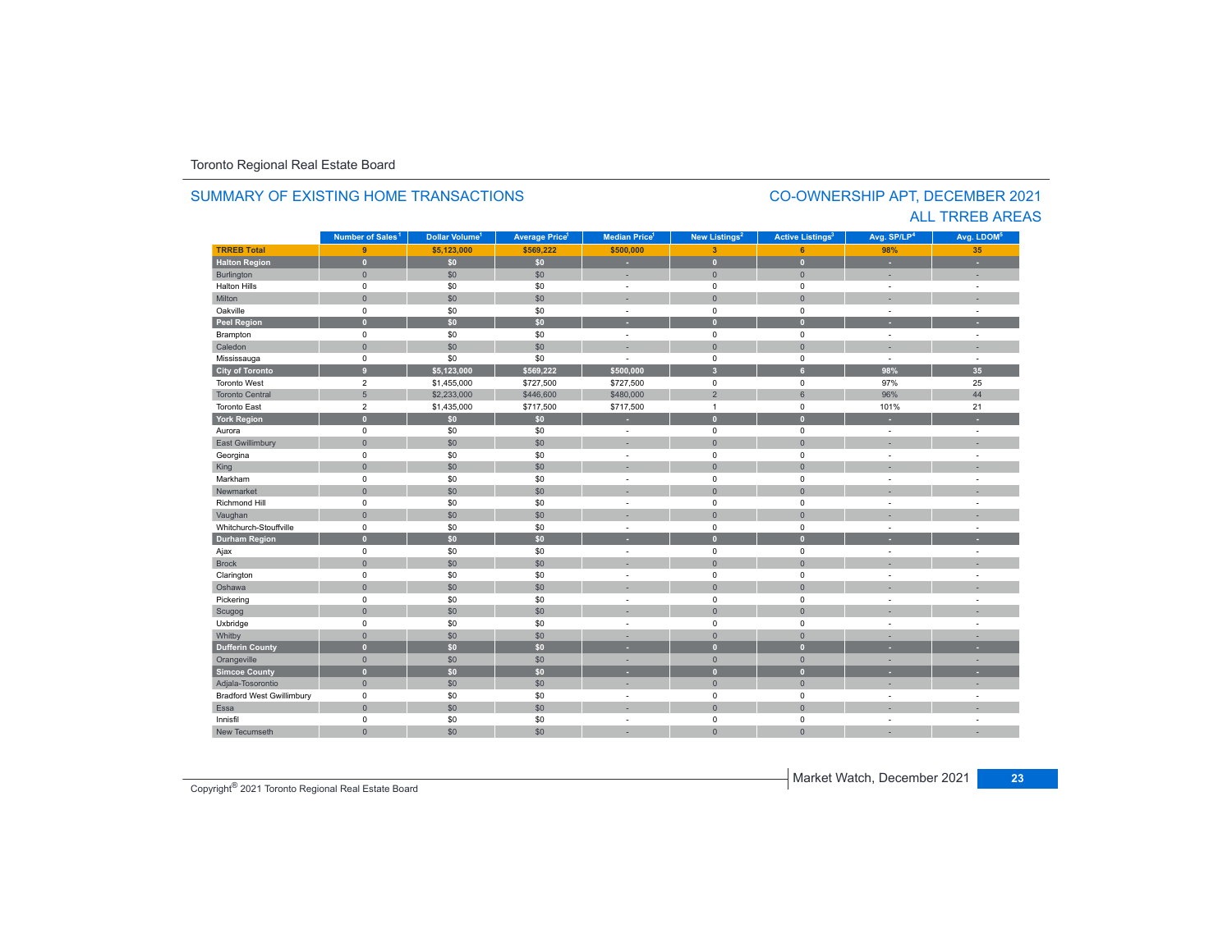#### **TRREB Total 9 \$5,123,000 \$569,222 \$500,000 3 6 98%35 Halton Region 0 \$0 \$0 - 0 0 - -** Burlington 0 \$0 \$0 | = 0 | = | = Halton Hills 0 \$0 \$0 - 0 0 - - Miltonn 1980 - 1990 - 1991 - 1991 - 1991 - 1992 - 1993 - 1994 - 1994 - 1994 - 1994 - 1994 - 1994 - 1994 - 1994 - 199 Oakville<br>Peel Region e 0 \$0 \$0 - 0 0 - -**Peel Region 0 \$0 \$0 - 0 0 - -** Brampton 0 \$0 \$0 - 0 0 - - Caledonn 1980 - 1980 - 1980 - 1981 - 1981 - 1982 - 1983 - 1984 - 1986 - 1987 - 1988 - 1988 - 1988 - 1988 - 1988 - 198 Mississauga 0 \$0 \$0 - 0 0 - - **City of Toronto 9 \$5,123,000 \$569,222 \$500,000 3 6 98% 35** Toronto West 2 \$1,455,000 \$727,500 \$727,500 0 0 97%97% 25<br>96% 44 Toronto Central 5 \$2,233,000 \$446,600 \$480,000 2 6 96% 44 Toronto East 2 \$1,435,000 \$717,500 \$717,500 1 0 101%101% 21 **York Region 0 \$0 \$0 - 0 0 - -** Aurora 0 \$0 \$0 - 0 0 - - East Gwillimbury 0 \$0 \$0 - 0 0 - - Georgina 0 \$0 \$0 - 0 0 - - King the second term of the second term of the second term of the second term of the second term of the second Markham 0 \$0 \$0 - 0 0 - - Newmarket 0 \$0 \$0 - 0 0 - - Richmond Hill 0 \$0 \$0 - 0 0 - - Vaughan 1980 (1980) (1980) (1980) (1980) (1980) (1980) (1980) (1980) (1980) (1980) (1980) (1980) (1980) (1980) Whitchurch-Stouffvillee 0 \$0 \$0 - 0 0 - -**Durham Region 0 \$0 \$0 - 0 0 - -** Ajax 0 \$0 \$0 - 0 0 - - Brock 0 \$0 \$0 - 0 0 - - Clarington 0 \$0 \$0 - 0 0 - - Oshawaa dia 1980 - Aniso ao amin'ny faritr'i Nouvelle-Aquitaine, ao amin'ny faritr'i Nouvelle-Aquitaine, ao amin'ny المال المسابق التي يقوم المسابق التي يقوم التي يقوم التي يقوم التي يقوم التي تعالى التي يقوم التي تعالى التي ي<br>التي يقوم التي يقوم التي يقوم التي يقوم التي يقوم التي يقوم التي يقوم التي يقوم التي يقوم التي يقوم التي يقوم Scugog 0 \$0 \$0 - 0 0 - - Uxbridge 0 \$0 \$0 - 0 0 - - Whitby 0 \$0 \$0 - 0 0 - - **Dufferin County 0 \$0 \$0 - 0 0 - -** Orangeville 0 \$0 \$0 - 0 0 - - **Simcoe County 0 \$0 \$0 - 0 0 - -** Adjala-Tosorontio 0 \$0 \$0 - 0 0 - - **Municipality Number of Sales Dollar Volume Average Price Median Price New Listings Active Listings Avg. SP/LP Avg. LDOM** SUMMARY OF EXISTING HOME TRANSACTIONS**Number of Sales<sup>1</sup> 1** Dollar Volume<sup>1</sup> | Average Price<sup>1</sup> | Median Price<sup>1</sup> | New Listings<sup>2</sup> | Active Listings<sup>2</sup> | Avg. SP/LP<sup>4</sup> | Avg. LDOM<sup>5</sup>

Bradford West Gwillimbury 0 \$0 \$0 - 0 0 - -

a dia 1980 - Aniso ao amin'ny faritr'i Nouvelle-Aquitaine, ao amin'ny faritr'i Nouvelle-Aquitaine, ao amin'ny

0 \$0 \$0 - 0 0 - -

\$0 \$0 - 0 0 - -

### CO-OWNERSHIP APT, DECEMBER 2021 ALL TRREB AREAS

Copyright® 2021 Toronto Regional Real Estate Board

0

Essa

Innisfil

New Tecumseth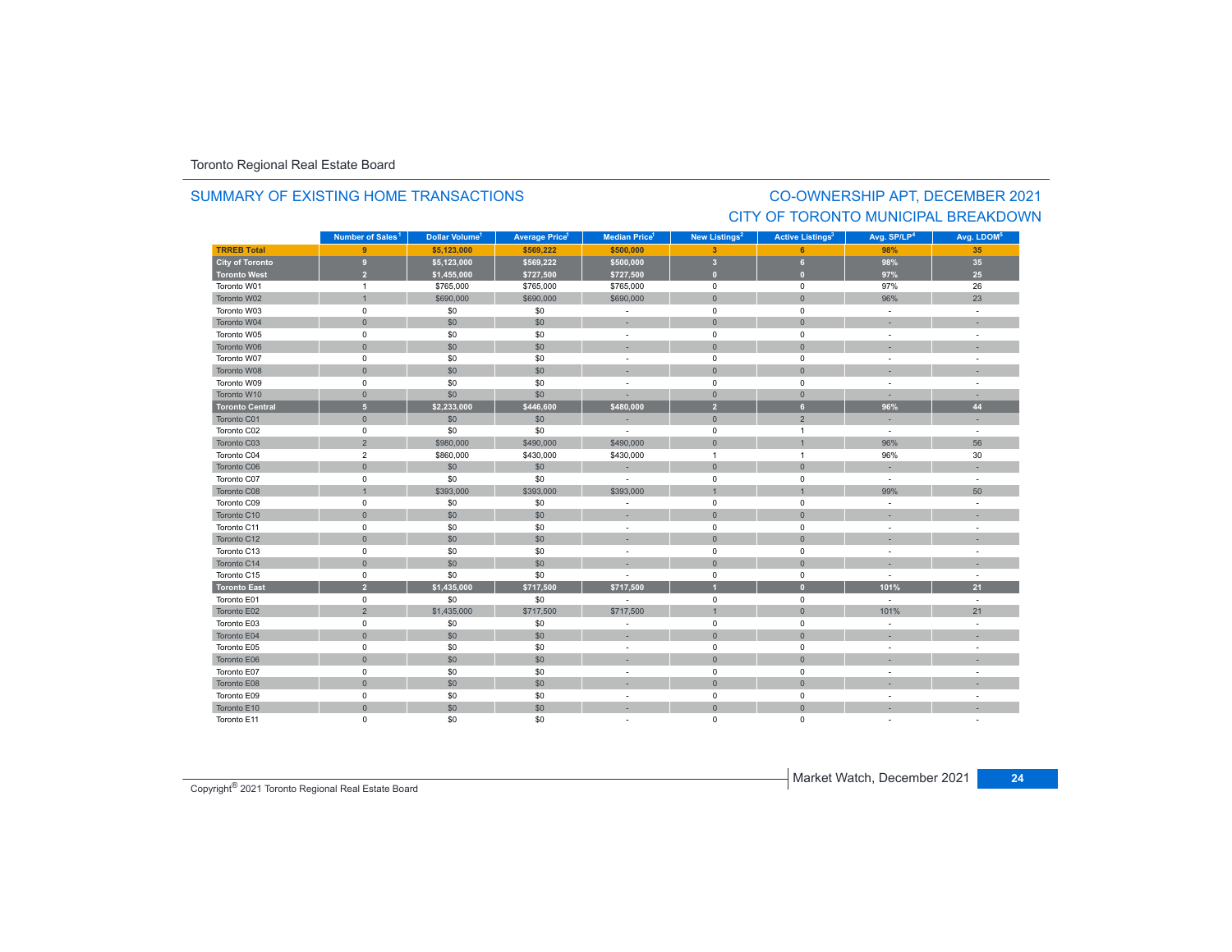# SUMMARY OF EXISTING HOME TRANSACTIONS

## CO-OWNERSHIP APT, DECEMBER 2021 CITY OF TORONTO MUNICIPAL BREAKDOWN

|                        | Number of Sales <sup>1</sup> | Dollar Volume <sup>1</sup> | <b>Average Price<sup>1</sup></b> | Median Price <sup>1</sup> | New Listings <sup>2</sup> | <b>Active Listings<sup>3</sup></b> | Avg. SP/LP <sup>4</sup>  | Avg. LDOM <sup>5</sup> |
|------------------------|------------------------------|----------------------------|----------------------------------|---------------------------|---------------------------|------------------------------------|--------------------------|------------------------|
| <b>TRREB Total</b>     | 9                            | \$5,123,000                | \$569,222                        | \$500,000                 | $\overline{\mathbf{3}}$   | 6                                  | 98%                      | 35                     |
| <b>City of Toronto</b> | $\overline{9}$               | \$5,123,000                | \$569,222                        | \$500,000                 | $\overline{\mathbf{3}}$   | 6                                  | 98%                      | 35                     |
| <b>Toronto West</b>    | $\overline{2}$               | \$1,455,000                | \$727,500                        | \$727,500                 | $\mathbf{0}$              | $\overline{0}$                     | 97%                      | 25                     |
| Toronto W01            | $\mathbf{1}$                 | \$765,000                  | \$765,000                        | \$765,000                 | $\mathbf 0$               | $\mathsf 0$                        | 97%                      | 26                     |
| Toronto W02            | $\overline{1}$               | \$690,000                  | \$690,000                        | \$690,000                 | $\mathbf{0}$              | $\mathbf{0}$                       | 96%                      | 23                     |
| Toronto W03            | $\mathsf 0$                  | \$0                        | \$0                              | $\sim$                    | $\mathbf 0$               | $\mathbf 0$                        | $\sim$                   |                        |
| Toronto W04            | $\mathsf{O}\xspace$          | \$0                        | \$0                              |                           | $\mathbf{0}$              | $\mathbf{0}$                       |                          |                        |
| Toronto W05            | $\mathsf 0$                  | \$0                        | \$0                              | $\sim$                    | $\mathbf 0$               | $\mathbf 0$                        | ÷,                       |                        |
| Toronto W06            | $\mathsf{O}\xspace$          | \$0                        | \$0                              |                           | $\mathbf{0}$              | $\mathbf{0}$                       |                          |                        |
| Toronto W07            | $\mathsf 0$                  | \$0                        | \$0                              |                           | $\mathbf 0$               | $\mathbf 0$                        | $\sim$                   |                        |
| Toronto W08            | $\mathbf{0}$                 | \$0                        | \$0                              |                           | $\mathbf{0}$              | $\mathbf{0}$                       |                          |                        |
| Toronto W09            | $\mathsf 0$                  | \$0                        | \$0                              |                           | $\mathbf 0$               | $\mathbf 0$                        | $\ddot{\phantom{1}}$     |                        |
| Toronto W10            | $\mathbf{0}$                 | \$0                        | \$0                              |                           | $\mathbf{0}$              | $\overline{0}$                     |                          |                        |
| <b>Toronto Central</b> | $\sqrt{5}$                   | \$2,233,000                | \$446,600                        | \$480.000                 | $\overline{2}$            | 6                                  | 96%                      | 44                     |
| Toronto C01            | $\mathbf{0}$                 | \$0                        | \$0                              |                           | $\mathbf{0}$              | $\overline{2}$                     |                          |                        |
| Toronto C02            | $\mathbf 0$                  | \$0                        | \$0                              | ÷                         | $\mathbf 0$               | $\overline{1}$                     | $\blacksquare$           | $\sim$                 |
| Toronto C03            | $\overline{2}$               | \$980,000                  | \$490,000                        | \$490,000                 | $\mathbf{0}$              | $\overline{1}$                     | 96%                      | 56                     |
| Toronto C04            | $\overline{2}$               | \$860,000                  | \$430,000                        | \$430,000                 | $\overline{1}$            | $\overline{1}$                     | 96%                      | 30                     |
| Toronto C06            | $\mathsf{O}\xspace$          | \$0                        | \$0                              | ×.                        | $\mathbf{0}$              | $\mathsf{O}\xspace$                |                          |                        |
| Toronto C07            | $\mathbf 0$                  | \$0                        | \$0                              |                           | $\mathbf 0$               | $\mathbf 0$                        | ÷,                       |                        |
| Toronto C08            | $\overline{1}$               | \$393,000                  | \$393,000                        | \$393,000                 |                           | $\overline{1}$                     | 99%                      | 50                     |
| Toronto C09            | 0                            | \$0                        | \$0                              |                           | 0                         | 0                                  | $\sim$                   |                        |
| Toronto C10            | $\mathsf{O}\xspace$          | \$0                        | \$0                              |                           | $\mathbf 0$               | $\mathbf{0}$                       |                          |                        |
| Toronto C11            | $\mathbf 0$                  | \$0                        | \$0                              | $\sim$                    | $\mathbf 0$               | $\mathbf 0$                        | ÷                        |                        |
| Toronto C12            | $\mathsf{O}\xspace$          | \$0                        | \$0                              |                           | $\mathbf 0$               | $\overline{0}$                     |                          |                        |
| Toronto C13            | $\mathsf 0$                  | \$0                        | \$0                              | $\overline{\phantom{a}}$  | $\mathbf 0$               | $\mathbf 0$                        | $\overline{\phantom{a}}$ | $\sim$                 |
| Toronto C14            | $\mathsf{O}\xspace$          | \$0                        | \$0                              |                           | $\mathbf{0}$              | $\mathsf{O}\xspace$                |                          |                        |
| Toronto C15            | $\mathsf 0$                  | \$0                        | \$0                              |                           | $\mathbf 0$               | $\mathsf 0$                        | ÷,                       |                        |
| <b>Toronto East</b>    | $\overline{2}$               | \$1.435.000                | \$717,500                        | \$717,500                 |                           | $\overline{0}$                     | 101%                     | 21                     |
| Toronto E01            | $\mathbf 0$                  | \$0                        | \$0                              |                           | $\mathbf 0$               | $\mathbf 0$                        | $\sim$                   |                        |
| Toronto E02            | $\overline{2}$               | \$1,435,000                | \$717,500                        | \$717,500                 | $\overline{1}$            | $\mathbf{0}$                       | 101%                     | 21                     |
| Toronto E03            | 0                            | \$0                        | \$0                              |                           | $\mathbf 0$               | 0                                  | $\ddot{\phantom{1}}$     |                        |
| Toronto E04            | $\mathsf{O}\xspace$          | \$0                        | \$0                              |                           | $\mathbf 0$               | $\mathbf{0}$                       |                          |                        |
| Toronto E05            | $\mathsf 0$                  | \$0                        | \$0                              | $\sim$                    | $\mathbf 0$               | $\mathsf 0$                        | ÷,                       |                        |
| Toronto E06            | $\mathbf{0}$                 | \$0                        | \$0                              |                           | $\mathbf 0$               | $\mathbf{0}$                       |                          |                        |
| Toronto E07            | $\mathbf 0$                  | \$0                        | \$0                              | $\sim$                    | $\mathbf 0$               | $\mathbf 0$                        | $\overline{\phantom{a}}$ |                        |
| Toronto E08            | $\mathsf{O}\xspace$          | \$0                        | \$0                              |                           | $\mathbf{0}$              | $\mathbf{0}$                       |                          |                        |
| Toronto E09            | $\mathsf 0$                  | \$0                        | \$0                              | $\sim$                    | $\mathbf 0$               | $\mathsf 0$                        | $\sim$                   |                        |
| Toronto E10            | $\mathsf{O}\xspace$          | \$0                        | \$0                              |                           | $\mathbf{0}$              | $\mathbf{0}$                       |                          |                        |
| Toronto E11            | $\mathbf 0$                  | \$0                        | \$0                              |                           | $\mathbf 0$               | 0                                  |                          |                        |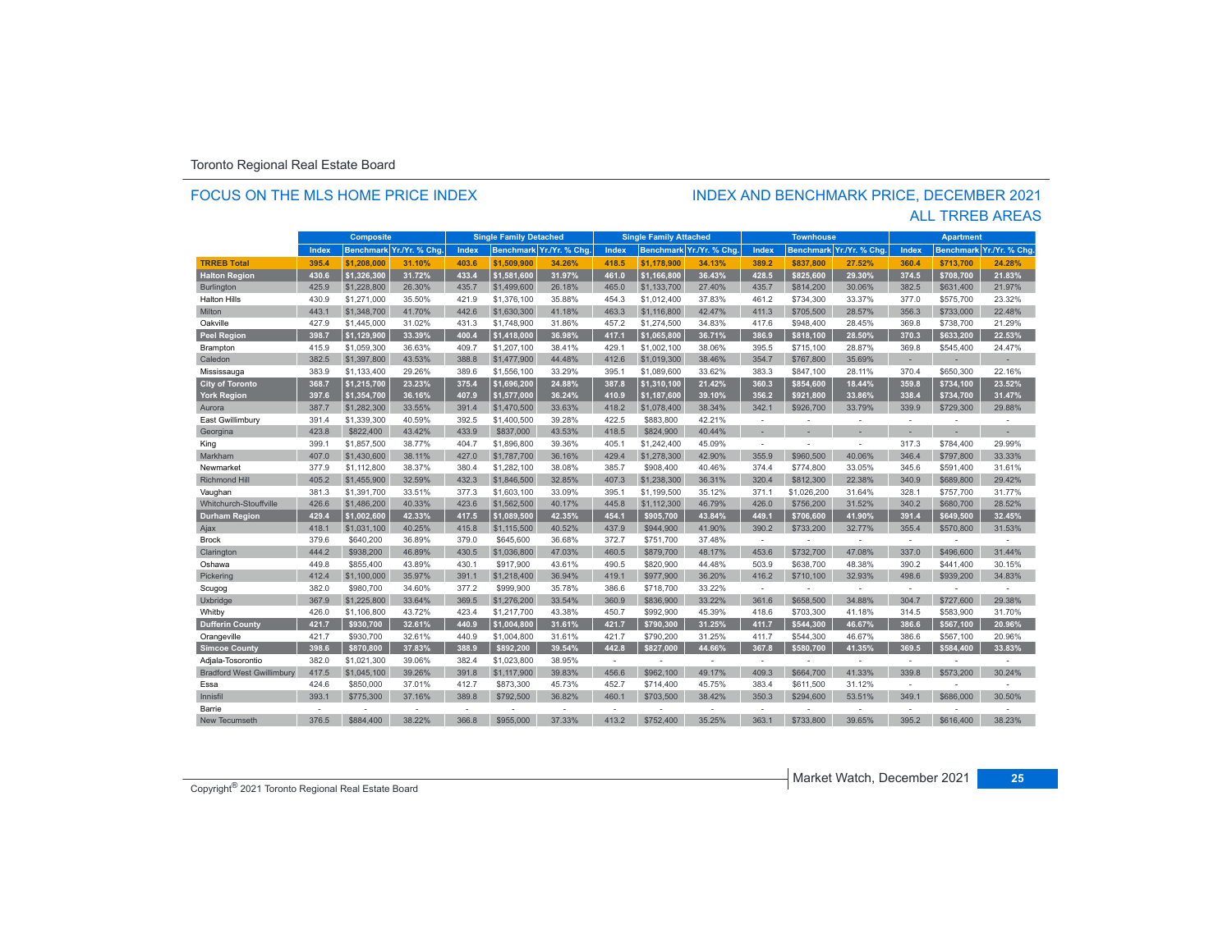### FOCUS ON THE MLS HOME PRICE INDEX

# INDEX AND BENCHMARK PRICE, DECEMBER 2021

### ALL TRREB AREAS

| <b>Composite</b>                 |                          | <b>Single Family Detached</b> |                          | <b>Single Family Attached</b> |             | <b>Townhouse</b>         |              | <b>Apartment</b> |                          |        |                          |                          |                |                  |               |
|----------------------------------|--------------------------|-------------------------------|--------------------------|-------------------------------|-------------|--------------------------|--------------|------------------|--------------------------|--------|--------------------------|--------------------------|----------------|------------------|---------------|
|                                  | Index                    |                               | Benchmark Yr./Yr. % Chg. | Index                         |             | Benchmark Yr./Yr. % Chg. | <b>Index</b> |                  | Benchmark Yr./Yr. % Chg. | Index  |                          | Benchmark Yr./Yr. % Chg. | Index          | <b>Benchmark</b> | Yr./Yr. % Chg |
| <b>TRREB Total</b>               | 395.4                    | \$1,208,000                   | 31.10%                   | 403.6                         | \$1.509.900 | 34.26%                   | 418.5        | \$1.178.900      | 34.13%                   | 389.2  | \$837.800                | 27.52%                   | 360.4          | \$713.700        | 24.28%        |
| <b>Halton Region</b>             | 430.6                    | \$1.326.300                   | 31.72%                   | 433.4                         | \$1.581.600 | 31.97%                   | 461.0        | \$1.166.800      | 36.43%                   | 428.5  | \$825.600                | 29.30%                   | 374.5          | \$708.700        | 21.83%        |
| Burlington                       | 425.9                    | \$1,228,800                   | 26.30%                   | 435.7                         | \$1,499,600 | 26.18%                   | 465.0        | \$1,133,700      | 27.40%                   | 435.7  | \$814,200                | 30.06%                   | 382.5          | \$631,400        | 21.97%        |
| <b>Halton Hills</b>              | 430.9                    | \$1,271,000                   | 35.50%                   | 421.9                         | \$1,376,100 | 35.88%                   | 454.3        | \$1,012,400      | 37.83%                   | 461.2  | \$734,300                | 33.37%                   | 377.0          | \$575,700        | 23.32%        |
| Milton                           | 443.1                    | \$1,348,700                   | 41.70%                   | 442.6                         | \$1,630,300 | 41.18%                   | 463.3        | \$1,116,800      | 42.47%                   | 411.3  | \$705,500                | 28.57%                   | 356.3          | \$733,000        | 22.48%        |
| Oakville                         | 427.9                    | \$1,445,000                   | 31.02%                   | 431.3                         | \$1,748,900 | 31.86%                   | 457.2        | \$1,274,500      | 34.83%                   | 417.6  | \$948,400                | 28.45%                   | 369.8          | \$738,700        | 21.29%        |
| <b>Peel Region</b>               | 398.7                    | \$1.129.900                   | 33.39%                   | 400.4                         | \$1,418,000 | 36.98%                   | 417.1        | \$1.065.800      | 36.71%                   | 386.9  | \$818.100                | 28.50%                   | 370.3          | \$633,200        | 22.53%        |
| Brampton                         | 415.9                    | \$1,059,300                   | 36.63%                   | 409.7                         | \$1,207,100 | 38.41%                   | 429.1        | \$1,002,100      | 38.06%                   | 395.5  | \$715,100                | 28.87%                   | 369.8          | \$545,400        | 24.47%        |
| Caledon                          | 382.5                    | \$1,397,800                   | 43.53%                   | 388.8                         | \$1,477,900 | 44.48%                   | 412.6        | \$1,019,300      | 38.46%                   | 354.7  | \$767,800                | 35.69%                   | ×.             |                  |               |
| Mississauga                      | 383.9                    | \$1,133,400                   | 29.26%                   | 389.6                         | \$1,556,100 | 33.29%                   | 395.1        | \$1,089,600      | 33.62%                   | 383.3  | \$847,100                | 28.11%                   | 370.4          | \$650,300        | 22.16%        |
| <b>City of Toronto</b>           | 368.7                    | \$1,215,700                   | 23.23%                   | 375.4                         | \$1,696,200 | 24.88%                   | 387.8        | \$1,310,100      | 21.42%                   | 360.3  | \$854,600                | 18.44%                   | 359.8          | \$734,100        | 23.52%        |
| <b>York Region</b>               | 397.6                    | \$1,354,700                   | 36.16%                   | 407.9                         | \$1.577.000 | 36.24%                   | 410.9        | \$1,187,600      | 39.10%                   | 356.2  | \$921.800                | 33.86%                   | 338.4          | \$734.700        | 31.47%        |
| Aurora                           | 387.7                    | \$1,282,300                   | 33.55%                   | 391.4                         | \$1,470,500 | 33.63%                   | 418.2        | \$1,078,400      | 38.34%                   | 342.1  | \$926,700                | 33.79%                   | 339.9          | \$729,300        | 29.88%        |
| East Gwillimbury                 | 391.4                    | \$1,339,300                   | 40.59%                   | 392.5                         | \$1,400,500 | 39.28%                   | 422.5        | \$883,800        | 42.21%                   | ÷      | $\overline{\phantom{a}}$ | ÷                        | $\overline{a}$ | ÷                | ÷             |
| Georgina                         | 423.8                    | \$822,400                     | 43.42%                   | 433.9                         | \$837,000   | 43.53%                   | 418.5        | \$824,900        | 40.44%                   |        |                          |                          |                |                  |               |
| King                             | 399.1                    | \$1,857,500                   | 38.77%                   | 404.7                         | \$1,896,800 | 39.36%                   | 405.1        | \$1,242,400      | 45.09%                   | $\sim$ |                          | ÷.                       | 317.3          | \$784,400        | 29.99%        |
| Markham                          | 407.0                    | \$1,430,600                   | 38.11%                   | 427.0                         | \$1,787,700 | 36.16%                   | 429.4        | \$1,278,300      | 42.90%                   | 355.9  | \$960,500                | 40.06%                   | 346.4          | \$797,800        | 33.33%        |
| Newmarket                        | 377.9                    | \$1,112,800                   | 38.37%                   | 380.4                         | \$1,282,100 | 38.08%                   | 385.7        | \$908,400        | 40.46%                   | 374.4  | \$774,800                | 33.05%                   | 345.6          | \$591,400        | 31.61%        |
| <b>Richmond Hill</b>             | 405.2                    | \$1,455,900                   | 32.59%                   | 432.3                         | \$1,846,500 | 32.85%                   | 407.3        | \$1,238,300      | 36.31%                   | 320.4  | \$812,300                | 22.38%                   | 340.9          | \$689,800        | 29.42%        |
| Vaughan                          | 381.3                    | \$1,391,700                   | 33.51%                   | 377.3                         | \$1,603,100 | 33.09%                   | 395.1        | \$1,199,500      | 35.12%                   | 371.1  | \$1,026,200              | 31.64%                   | 328.1          | \$757,700        | 31.77%        |
| Whitchurch-Stouffville           | 426.6                    | \$1,486,200                   | 40.33%                   | 423.6                         | \$1,562,500 | 40.17%                   | 445.8        | \$1,112,300      | 46.79%                   | 426.0  | \$756,200                | 31.52%                   | 340.2          | \$680,700        | 28.52%        |
| <b>Durham Region</b>             | 429.4                    | \$1.002.600                   | 42.33%                   | 417.5                         | \$1.089.500 | 42.35%                   | 454.1        | \$905.700        | 43.84%                   | 449.1  | \$706.600                | 41.90%                   | 391.4          | \$649.500        | 32.45%        |
| Ajax                             | 418.1                    | \$1,031,100                   | 40.25%                   | 415.8                         | \$1,115,500 | 40.52%                   | 437.9        | \$944,900        | 41.90%                   | 390.2  | \$733,200                | 32.77%                   | 355.4          | \$570,800        | 31.53%        |
| <b>Brock</b>                     | 379.6                    | \$640,200                     | 36.89%                   | 379.0                         | \$645,600   | 36.68%                   | 372.7        | \$751,700        | 37.48%                   | $\sim$ |                          | $\sim$                   | $\sim$         |                  | ÷,            |
| Clarington                       | 444.2                    | \$938,200                     | 46.89%                   | 430.5                         | \$1,036,800 | 47.03%                   | 460.5        | \$879,700        | 48.17%                   | 453.6  | \$732,700                | 47.08%                   | 337.0          | \$496,600        | 31.44%        |
| Oshawa                           | 449.8                    | \$855.400                     | 43.89%                   | 430.1                         | \$917,900   | 43.61%                   | 490.5        | \$820,900        | 44.48%                   | 503.9  | \$638,700                | 48.38%                   | 390.2          | \$441,400        | 30.15%        |
| Pickering                        | 412.4                    | \$1,100,000                   | 35.97%                   | 391.1                         | \$1,218,400 | 36.94%                   | 419.1        | \$977,900        | 36.20%                   | 416.2  | \$710,100                | 32.93%                   | 498.6          | \$939,200        | 34.83%        |
| Scugog                           | 382.0                    | \$980.700                     | 34.60%                   | 377.2                         | \$999.900   | 35.78%                   | 386.6        | \$718.700        | 33.22%                   | $\sim$ |                          | $\sim$                   | $\sim$         |                  |               |
| Uxbridge                         | 367.9                    | \$1,225,800                   | 33.64%                   | 369.5                         | \$1,276,200 | 33.54%                   | 360.9        | \$836,900        | 33.22%                   | 361.6  | \$658,500                | 34.88%                   | 304.7          | \$727,600        | 29.38%        |
| Whitby                           | 426.0                    | \$1,106,800                   | 43.72%                   | 423.4                         | \$1,217,700 | 43.38%                   | 450.7        | \$992,900        | 45.39%                   | 418.6  | \$703,300                | 41.18%                   | 314.5          | \$583,900        | 31.70%        |
| <b>Dufferin County</b>           | 421.7                    | \$930,700                     | 32.61%                   | 440.9                         | \$1,004,800 | 31.61%                   | 421.7        | \$790,300        | 31.25%                   | 411.7  | \$544,300                | 46.67%                   | 386.6          | \$567,100        | 20.96%        |
| Orangeville                      | 421.7                    | \$930.700                     | 32.61%                   | 440.9                         | \$1,004,800 | 31.61%                   | 421.7        | \$790.200        | 31.25%                   | 411.7  | \$544,300                | 46.67%                   | 386.6          | \$567,100        | 20.96%        |
| <b>Simcoe County</b>             | 398.6                    | \$870.800                     | 37.83%                   | 388.9                         | \$892.200   | 39.54%                   | 442.8        | \$827,000        | 44.66%                   | 367.8  | \$580,700                | 41.35%                   | 369.5          | \$584,400        | 33.83%        |
| Adjala-Tosorontio                | 382.0                    | \$1,021,300                   | 39.06%                   | 382.4                         | \$1,023,800 | 38.95%                   | ×.           |                  | $\sim$                   | $\sim$ |                          | $\sim$                   | $\sim$         |                  |               |
| <b>Bradford West Gwillimbury</b> | 417.5                    | \$1,045,100                   | 39.26%                   | 391.8                         | \$1,117,900 | 39.83%                   | 456.6        | \$962,100        | 49.17%                   | 409.3  | \$664,700                | 41.33%                   | 339.8          | \$573,200        | 30.24%        |
| Essa                             | 424.6                    | \$850,000                     | 37.01%                   | 412.7                         | \$873,300   | 45.73%                   | 452.7        | \$714,400        | 45.75%                   | 383.4  | \$611,500                | 31.12%                   | $\sim$         |                  |               |
| Innisfil                         | 393.1                    | \$775,300                     | 37.16%                   | 389.8                         | \$792,500   | 36.82%                   | 460.1        | \$703,500        | 38.42%                   | 350.3  | \$294,600                | 53.51%                   | 349.1          | \$686,000        | 30.50%        |
| Barrie                           | $\overline{\phantom{a}}$ |                               | $\overline{\phantom{a}}$ | ÷                             |             |                          | ×.           |                  |                          | $\sim$ |                          |                          |                |                  |               |
| New Tecumseth                    | 376.5                    | \$884,400                     | 38.22%                   | 366.8                         | \$955,000   | 37.33%                   | 413.2        | \$752,400        | 35.25%                   | 363.1  | \$733,800                | 39.65%                   | 395.2          | \$616,400        | 38.23%        |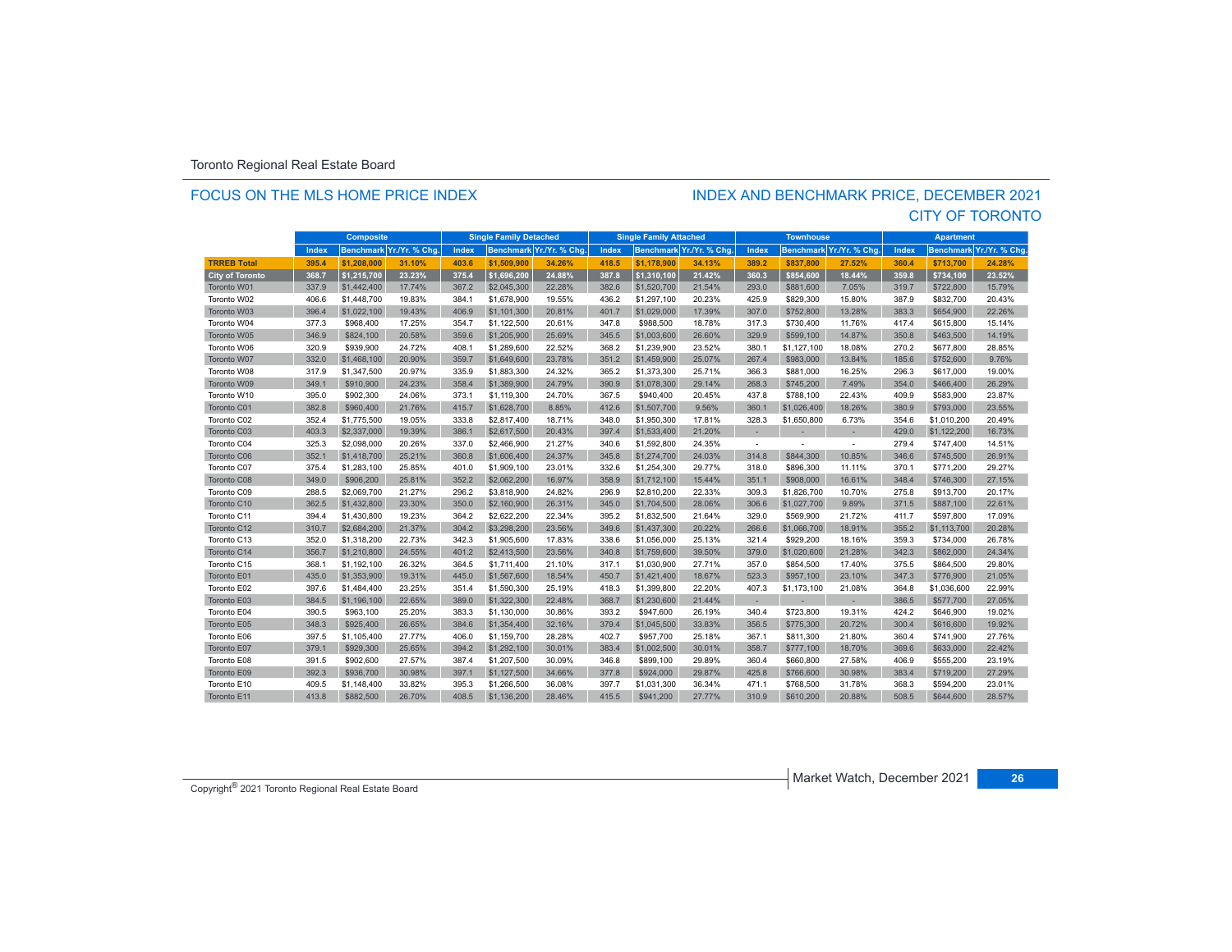### FOCUS ON THE MLS HOME PRICE INDEX

### CITY OF TORONTO INDEX AND BENCHMARK PRICE, DECEMBER 2021

|                        | <b>Composite</b> |             | <b>Single Family Detached</b> |       | <b>Single Family Attached</b> |                          | <b>Townhouse</b> |             | <b>Apartment</b>         |        |             |                          |       |                  |                |
|------------------------|------------------|-------------|-------------------------------|-------|-------------------------------|--------------------------|------------------|-------------|--------------------------|--------|-------------|--------------------------|-------|------------------|----------------|
|                        | Index            |             | Benchmark Yr./Yr. % Chg.      | Index |                               | Benchmark Yr./Yr. % Chg. | Index            |             | Benchmark Yr./Yr. % Chq. | Index  |             | Benchmark Yr./Yr. % Chg  | Index | <b>Benchmark</b> | Yr./Yr. % Chg. |
| <b>TRREB Total</b>     | 395.4            | \$1.208.000 | 31.10%                        | 403.6 | \$1,509,900                   | 34.26%                   | 418.5            | \$1.178.900 | 34.13%                   | 389.2  | \$837.800   | 27.52%                   | 360.4 | \$713,700        | 24.28%         |
| <b>City of Toronto</b> | 368.7            | \$1,215,700 | 23.23%                        | 375.4 | \$1.696.200                   | 24.88%                   | 387.8            | \$1,310,100 | 21.42%                   | 360.3  | \$854.600   | 18.44%                   | 359.8 | \$734.100        | 23.52%         |
| Toronto W01            | 337.9            | \$1,442,400 | 17.74%                        | 367.2 | \$2,045,300                   | 22.28%                   | 382.6            | \$1,520,700 | 21.54%                   | 293.0  | \$881,600   | 7.05%                    | 319.7 | \$722,800        | 15.79%         |
| Toronto W02            | 406.6            | \$1,448,700 | 19.83%                        | 384.1 | \$1,678,900                   | 19.55%                   | 436.2            | \$1,297,100 | 20.23%                   | 425.9  | \$829,300   | 15.80%                   | 387.9 | \$832,700        | 20.43%         |
| Toronto W03            | 396.4            | \$1,022,100 | 19.43%                        | 406.9 | \$1,101,300                   | 20.81%                   | 401.7            | \$1,029,000 | 17.39%                   | 307.0  | \$752,800   | 13.28%                   | 383.3 | \$654,900        | 22.26%         |
| Toronto W04            | 377.3            | \$968,400   | 17.25%                        | 354.7 | \$1,122,500                   | 20.61%                   | 347.8            | \$988,500   | 18.78%                   | 317.3  | \$730,400   | 11.76%                   | 417.4 | \$615,800        | 15.14%         |
| Toronto W05            | 346.9            | \$824,100   | 20.58%                        | 359.6 | \$1,205,900                   | 25.69%                   | 345.5            | \$1,003,600 | 26.60%                   | 329.9  | \$599,100   | 14.87%                   | 350.8 | \$463,500        | 14.19%         |
| Toronto W06            | 320.9            | \$939,900   | 24.72%                        | 408.1 | \$1,289,600                   | 22.52%                   | 368.2            | \$1,239,900 | 23.52%                   | 380.1  | \$1,127,100 | 18.08%                   | 270.2 | \$677,800        | 28.85%         |
| Toronto W07            | 332.0            | \$1,468,100 | 20.90%                        | 359.7 | \$1,649,600                   | 23.78%                   | 351.2            | \$1,459,900 | 25.07%                   | 267.4  | \$983,000   | 13.84%                   | 185.6 | \$752,600        | 9.76%          |
| Toronto W08            | 317.9            | \$1,347,500 | 20.97%                        | 335.9 | \$1,883,300                   | 24.32%                   | 365.2            | \$1,373,300 | 25.71%                   | 366.3  | \$881,000   | 16.25%                   | 296.3 | \$617,000        | 19.00%         |
| Toronto W09            | 349.1            | \$910,900   | 24.23%                        | 358.4 | \$1,389,900                   | 24.79%                   | 390.9            | \$1,078,300 | 29.14%                   | 268.3  | \$745,200   | 7.49%                    | 354.0 | \$466,400        | 26.29%         |
| Toronto W10            | 395.0            | \$902,300   | 24.06%                        | 373.1 | \$1,119,300                   | 24.70%                   | 367.5            | \$940,400   | 20.45%                   | 437.8  | \$788,100   | 22.43%                   | 409.9 | \$583,900        | 23.87%         |
| Toronto C01            | 382.8            | \$960,400   | 21.76%                        | 415.7 | \$1,628,700                   | 8.85%                    | 412.6            | \$1,507,700 | 9.56%                    | 360.1  | \$1,026,400 | 18.26%                   | 380.9 | \$793,000        | 23.55%         |
| Toronto C02            | 352.4            | \$1,775,500 | 19.05%                        | 333.8 | \$2,817,400                   | 18.71%                   | 348.0            | \$1,950,300 | 17.81%                   | 328.3  | \$1,650,800 | 6.73%                    | 354.6 | \$1,010,200      | 20.49%         |
| Toronto C03            | 403.3            | \$2,337,000 | 19.39%                        | 386.1 | \$2,617,500                   | 20.43%                   | 397.4            | \$1,533,400 | 21.20%                   |        |             |                          | 429.0 | \$1,122,200      | 16.73%         |
| Toronto C04            | 325.3            | \$2,098,000 | 20.26%                        | 337.0 | \$2,466,900                   | 21.27%                   | 340.6            | \$1,592,800 | 24.35%                   | $\sim$ |             |                          | 279.4 | \$747,400        | 14.51%         |
| Toronto C06            | 352.1            | \$1,418,700 | 25.21%                        | 360.8 | \$1,606,400                   | 24.37%                   | 345.8            | \$1,274,700 | 24.03%                   | 314.8  | \$844,300   | 10.85%                   | 346.6 | \$745,500        | 26.91%         |
| Toronto C07            | 375.4            | \$1,283,100 | 25.85%                        | 401.0 | \$1,909,100                   | 23.01%                   | 332.6            | \$1,254,300 | 29.77%                   | 318.0  | \$896,300   | 11.11%                   | 370.1 | \$771,200        | 29.27%         |
| Toronto C08            | 349.0            | \$906,200   | 25.81%                        | 352.2 | \$2,062,200                   | 16.97%                   | 358.9            | \$1,712,100 | 15.44%                   | 351.1  | \$908,000   | 16.61%                   | 348.4 | \$746,300        | 27.15%         |
| Toronto C09            | 288.5            | \$2,069.700 | 21.27%                        | 296.2 | \$3,818,900                   | 24.82%                   | 296.9            | \$2,810,200 | 22.33%                   | 309.3  | \$1,826,700 | 10.70%                   | 275.8 | \$913,700        | 20.17%         |
| Toronto C10            | 362.5            | \$1,432,800 | 23.30%                        | 350.0 | \$2,160,900                   | 26.31%                   | 345.0            | \$1,704,500 | 28.06%                   | 306.6  | \$1,027,700 | 9.89%                    | 371.5 | \$887,100        | 22.61%         |
| Toronto C11            | 394.4            | \$1,430,800 | 19.23%                        | 364.2 | \$2,622,200                   | 22.34%                   | 395.2            | \$1,832,500 | 21.64%                   | 329.0  | \$569,900   | 21.72%                   | 411.7 | \$597,800        | 17.09%         |
| Toronto C12            | 310.7            | \$2,684,200 | 21.37%                        | 304.2 | \$3,298,200                   | 23.56%                   | 349.6            | \$1,437,300 | 20.22%                   | 266.6  | \$1,066,700 | 18.91%                   | 355.2 | \$1,113,700      | 20.28%         |
| Toronto C13            | 352.0            | \$1,318,200 | 22.73%                        | 342.3 | \$1,905,600                   | 17.83%                   | 338.6            | \$1,056,000 | 25.13%                   | 321.4  | \$929,200   | 18.16%                   | 359.3 | \$734,000        | 26.78%         |
| Toronto C14            | 356.7            | \$1,210,800 | 24.55%                        | 401.2 | \$2,413,500                   | 23.56%                   | 340.8            | \$1,759,600 | 39.50%                   | 379.0  | \$1,020,600 | 21.28%                   | 342.3 | \$862,000        | 24.34%         |
| Toronto C15            | 368.1            | \$1,192,100 | 26.32%                        | 364.5 | \$1,711,400                   | 21.10%                   | 317.1            | \$1,030,900 | 27.71%                   | 357.0  | \$854,500   | 17.40%                   | 375.5 | \$864,500        | 29.80%         |
| Toronto E01            | 435.0            | \$1,353,900 | 19.31%                        | 445.0 | \$1,567,600                   | 18.54%                   | 450.7            | \$1,421,400 | 18.67%                   | 523.3  | \$957,100   | 23.10%                   | 347.3 | \$776,900        | 21.05%         |
| Toronto E02            | 397.6            | \$1,484,400 | 23.25%                        | 351.4 | \$1,590,300                   | 25.19%                   | 418.3            | \$1,399,800 | 22.20%                   | 407.3  | \$1,173,100 | 21.08%                   | 364.8 | \$1,036,600      | 22.99%         |
| Toronto E03            | 384.5            | \$1,196,100 | 22.65%                        | 389.0 | \$1,322,300                   | 22.48%                   | 368.7            | \$1,230,600 | 21.44%                   | $\sim$ | ×.          | $\overline{\phantom{a}}$ | 386.5 | \$577,700        | 27.05%         |
| Toronto E04            | 390.5            | \$963,100   | 25.20%                        | 383.3 | \$1,130,000                   | 30.86%                   | 393.2            | \$947,600   | 26.19%                   | 340.4  | \$723,800   | 19.31%                   | 424.2 | \$646,900        | 19.02%         |
| Toronto E05            | 348.3            | \$925,400   | 26.65%                        | 384.6 | \$1,354,400                   | 32.16%                   | 379.4            | \$1,045,500 | 33.83%                   | 356.5  | \$775,300   | 20.72%                   | 300.4 | \$616,600        | 19.92%         |
| Toronto E06            | 397.5            | \$1,105,400 | 27.77%                        | 406.0 | \$1,159,700                   | 28.28%                   | 402.7            | \$957,700   | 25.18%                   | 367.1  | \$811,300   | 21.80%                   | 360.4 | \$741,900        | 27.76%         |
| Toronto E07            | 379.1            | \$929,300   | 25.65%                        | 394.2 | \$1,292,100                   | 30.01%                   | 383.4            | \$1,002,500 | 30.01%                   | 358.7  | \$777,100   | 18.70%                   | 369.6 | \$633,000        | 22.42%         |
| Toronto E08            | 391.5            | \$902,600   | 27.57%                        | 387.4 | \$1,207,500                   | 30.09%                   | 346.8            | \$899,100   | 29.89%                   | 360.4  | \$660,800   | 27.58%                   | 406.9 | \$555,200        | 23.19%         |
| Toronto E09            | 392.3            | \$936,700   | 30.98%                        | 397.1 | \$1,127,500                   | 34.66%                   | 377.8            | \$924,000   | 29.87%                   | 425.8  | \$766,600   | 30.98%                   | 383.4 | \$719,200        | 27.29%         |
| Toronto E10            | 409.5            | \$1.148.400 | 33.82%                        | 395.3 | \$1,266,500                   | 36.08%                   | 397.7            | \$1.031.300 | 36.34%                   | 471.1  | \$768,500   | 31.78%                   | 368.3 | \$594.200        | 23.01%         |
| Toronto E11            | 413.8            | \$882,500   | 26.70%                        | 408.5 | \$1,136,200                   | 28.46%                   | 415.5            | \$941,200   | 27.77%                   | 310.9  | \$610,200   | 20.88%                   | 508.5 | \$644,600        | 28.57%         |